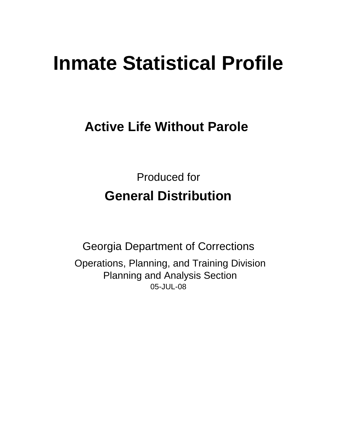# **Inmate Statistical Profile**

# **Active Life Without Parole**

Produced for **General Distribution**

05-JUL-08 Georgia Department of Corrections Operations, Planning, and Training Division Planning and Analysis Section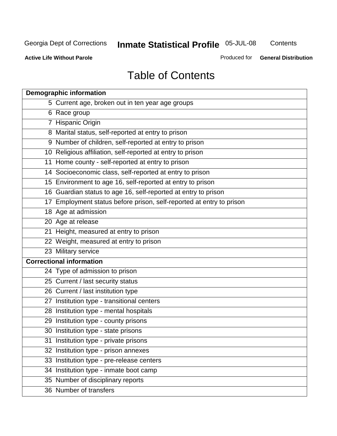**Contents** 

**Active Life Without Parole** 

Produced for **General Distribution**

# Table of Contents

| <b>Demographic information</b>                                       |
|----------------------------------------------------------------------|
| 5 Current age, broken out in ten year age groups                     |
| 6 Race group                                                         |
| 7 Hispanic Origin                                                    |
| 8 Marital status, self-reported at entry to prison                   |
| 9 Number of children, self-reported at entry to prison               |
| 10 Religious affiliation, self-reported at entry to prison           |
| 11 Home county - self-reported at entry to prison                    |
| 14 Socioeconomic class, self-reported at entry to prison             |
| 15 Environment to age 16, self-reported at entry to prison           |
| 16 Guardian status to age 16, self-reported at entry to prison       |
| 17 Employment status before prison, self-reported at entry to prison |
| 18 Age at admission                                                  |
| 20 Age at release                                                    |
| 21 Height, measured at entry to prison                               |
| 22 Weight, measured at entry to prison                               |
| 23 Military service                                                  |
| <b>Correctional information</b>                                      |
| 24 Type of admission to prison                                       |
| 25 Current / last security status                                    |
| 26 Current / last institution type                                   |
| 27 Institution type - transitional centers                           |
| 28 Institution type - mental hospitals                               |
| 29 Institution type - county prisons                                 |
| 30 Institution type - state prisons                                  |
| 31 Institution type - private prisons                                |
| 32 Institution type - prison annexes                                 |
| 33 Institution type - pre-release centers                            |
| 34 Institution type - inmate boot camp                               |
| 35 Number of disciplinary reports                                    |
| 36 Number of transfers                                               |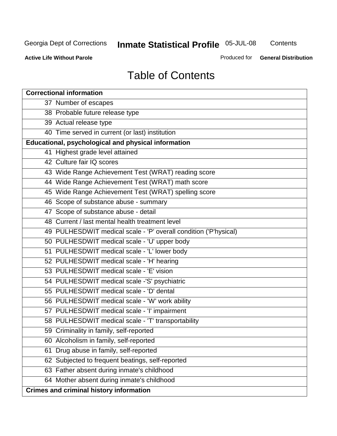**Contents** 

**Active Life Without Parole** 

Produced for **General Distribution**

# Table of Contents

| <b>Correctional information</b>                                  |
|------------------------------------------------------------------|
| 37 Number of escapes                                             |
| 38 Probable future release type                                  |
| 39 Actual release type                                           |
| 40 Time served in current (or last) institution                  |
| Educational, psychological and physical information              |
| 41 Highest grade level attained                                  |
| 42 Culture fair IQ scores                                        |
| 43 Wide Range Achievement Test (WRAT) reading score              |
| 44 Wide Range Achievement Test (WRAT) math score                 |
| 45 Wide Range Achievement Test (WRAT) spelling score             |
| 46 Scope of substance abuse - summary                            |
| 47 Scope of substance abuse - detail                             |
| 48 Current / last mental health treatment level                  |
| 49 PULHESDWIT medical scale - 'P' overall condition ('P'hysical) |
| 50 PULHESDWIT medical scale - 'U' upper body                     |
| 51 PULHESDWIT medical scale - 'L' lower body                     |
| 52 PULHESDWIT medical scale - 'H' hearing                        |
| 53 PULHESDWIT medical scale - 'E' vision                         |
| 54 PULHESDWIT medical scale -'S' psychiatric                     |
| 55 PULHESDWIT medical scale - 'D' dental                         |
| 56 PULHESDWIT medical scale - 'W' work ability                   |
| 57 PULHESDWIT medical scale - 'I' impairment                     |
| 58 PULHESDWIT medical scale - 'T' transportability               |
| 59 Criminality in family, self-reported                          |
| 60 Alcoholism in family, self-reported                           |
| Drug abuse in family, self-reported<br>61                        |
| 62 Subjected to frequent beatings, self-reported                 |
| 63 Father absent during inmate's childhood                       |
| 64 Mother absent during inmate's childhood                       |
| <b>Crimes and criminal history information</b>                   |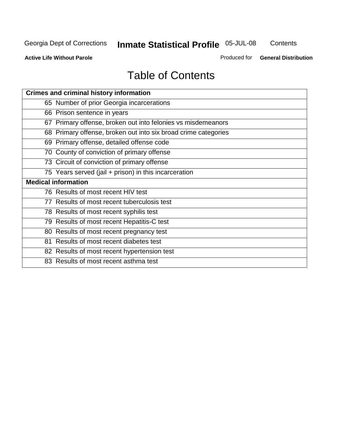**Contents** 

**Active Life Without Parole** 

Produced for **General Distribution**

# Table of Contents

| <b>Crimes and criminal history information</b>                 |
|----------------------------------------------------------------|
| 65 Number of prior Georgia incarcerations                      |
| 66 Prison sentence in years                                    |
| 67 Primary offense, broken out into felonies vs misdemeanors   |
| 68 Primary offense, broken out into six broad crime categories |
| 69 Primary offense, detailed offense code                      |
| 70 County of conviction of primary offense                     |
| 73 Circuit of conviction of primary offense                    |
| 75 Years served (jail + prison) in this incarceration          |
| <b>Medical information</b>                                     |
|                                                                |
| 76 Results of most recent HIV test                             |
| 77 Results of most recent tuberculosis test                    |
| 78 Results of most recent syphilis test                        |
| 79 Results of most recent Hepatitis-C test                     |
| 80 Results of most recent pregnancy test                       |
| 81 Results of most recent diabetes test                        |
| 82 Results of most recent hypertension test                    |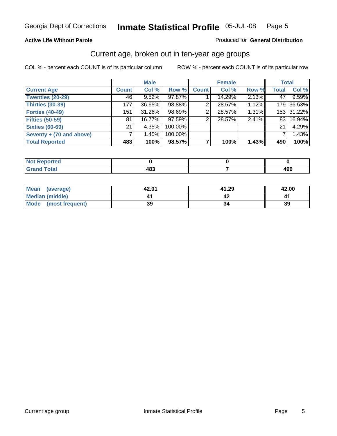#### **Active Life Without Parole**

#### Produced for **General Distribution**

#### Current age, broken out in ten-year age groups

|                          |              | <b>Male</b> |         |              | <b>Female</b> |       |              | <b>Total</b> |
|--------------------------|--------------|-------------|---------|--------------|---------------|-------|--------------|--------------|
| <b>Current Age</b>       | <b>Count</b> | Col %       | Row %   | <b>Count</b> | Col %         | Row % | <b>Total</b> | Col %        |
| <b>Twenties (20-29)</b>  | 46           | 9.52%       | 97.87%  |              | 14.29%        | 2.13% | 47           | 9.59%        |
| <b>Thirties (30-39)</b>  | 177          | 36.65%      | 98.88%  | 2            | 28.57%        | 1.12% |              | 179 36.53%   |
| <b>Forties (40-49)</b>   | 151          | 31.26%      | 98.69%  | 2            | 28.57%        | 1.31% |              | 153 31.22%   |
| <b>Fifties (50-59)</b>   | 81           | 16.77%      | 97.59%  | 2            | 28.57%        | 2.41% | 831          | 16.94%       |
| <b>Sixties (60-69)</b>   | 21           | 4.35%       | 100.00% |              |               |       | 21           | 4.29%        |
| Seventy + (70 and above) |              | 1.45%       | 100.00% |              |               |       |              | 1.43%        |
| <b>Total Reported</b>    | 483          | 100%        | 98.57%  |              | 100%          | 1.43% | 490          | 100%         |

| <b>Not Reported</b> |       |        |
|---------------------|-------|--------|
| <b>Total</b>        | 1 Q Z | "^^    |
| $\mathbf{v}$ and    | 40.   | -1 J V |

| Mean<br>(average)       | 42.01 | 41.29 | 42.00 |
|-------------------------|-------|-------|-------|
| Median (middle)         |       |       |       |
| Mode<br>(most frequent) | 39    |       | 39    |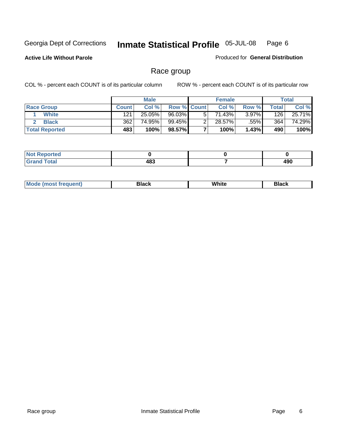**Active Life Without Parole** 

Produced for **General Distribution**

#### Race group

|                       |              | <b>Male</b> |             | <b>Female</b> |          |       | <b>Total</b> |
|-----------------------|--------------|-------------|-------------|---------------|----------|-------|--------------|
| <b>Race Group</b>     | <b>Count</b> | Col %       | Row % Count | Col %         | Row %    | Total | Col %        |
| <b>White</b>          | 121          | 25.05%      | 96.03%      | 71.43%        | $3.97\%$ | 126   | 25.71%       |
| <b>Black</b>          | 362          | 74.95%      | 99.45%      | 28.57%        | .55%l    | 364   | 74.29%       |
| <b>Total Reported</b> | 483          | 100%        | 98.57%      | 100%          | 1.43%    | 490   | 100%         |

| Reported<br>TV 6<br>$\sim$ |           |     |
|----------------------------|-----------|-----|
| <b>nta</b><br>$\sim$       | 483<br>__ | 100 |

| $^1$ Mo. | Rlack | White | 3lack |
|----------|-------|-------|-------|
| .        |       |       |       |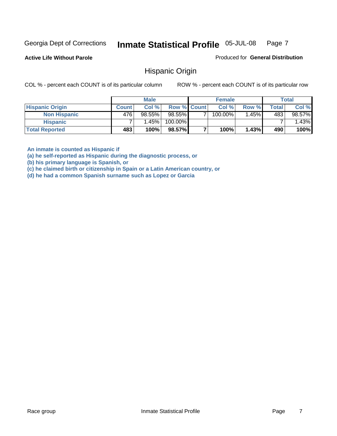**Active Life Without Parole** 

Produced for **General Distribution**

#### Hispanic Origin

COL % - percent each COUNT is of its particular column ROW % - percent each COUNT is of its particular row

|                        |              | <b>Male</b> |             | <b>Female</b> |         |       | <b>Total</b> |
|------------------------|--------------|-------------|-------------|---------------|---------|-------|--------------|
| <b>Hispanic Origin</b> | <b>Count</b> | Col %       | Row % Count | Col %         | Row %   | Total | Col %        |
| <b>Non Hispanic</b>    | 476          | $98.55\%$   | 98.55%      | 100.00%       | $.45\%$ | 483   | 98.57%       |
| <b>Hispanic</b>        |              | 1.45%       | 100.00%     |               |         |       | 1.43%        |
| <b>Total Reported</b>  | 483          | 100%        | 98.57%      | 100%          | 1.43%   | 490   | 100%         |

**An inmate is counted as Hispanic if** 

**(a) he self-reported as Hispanic during the diagnostic process, or** 

**(b) his primary language is Spanish, or** 

**(c) he claimed birth or citizenship in Spain or a Latin American country, or** 

**(d) he had a common Spanish surname such as Lopez or Garcia**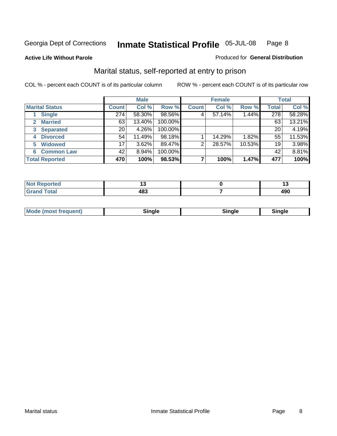#### **Active Life Without Parole**

#### Produced for **General Distribution**

#### Marital status, self-reported at entry to prison

|                                | <b>Male</b>     |        |         | <b>Female</b> |        |        | <b>Total</b> |        |
|--------------------------------|-----------------|--------|---------|---------------|--------|--------|--------------|--------|
| <b>Marital Status</b>          | <b>Count</b>    | Col %  | Row %   | <b>Count</b>  | Col %  | Row %  | <b>Total</b> | Col %  |
| <b>Single</b>                  | 274             | 58.30% | 98.56%  | 4             | 57.14% | 1.44%  | 278          | 58.28% |
| <b>Married</b><br>$\mathbf{2}$ | 63              | 13.40% | 100.00% |               |        |        | 63           | 13.21% |
| <b>Separated</b><br>3          | 20              | 4.26%  | 100.00% |               |        |        | 20           | 4.19%  |
| <b>Divorced</b><br>4           | 54              | 11.49% | 98.18%  |               | 14.29% | 1.82%  | 55           | 11.53% |
| <b>Widowed</b><br>5            | 17 <sub>1</sub> | 3.62%  | 89.47%  | 2             | 28.57% | 10.53% | 19           | 3.98%  |
| <b>Common Law</b><br>6         | 42              | 8.94%  | 100.00% |               |        |        | 42           | 8.81%  |
| <b>Total Reported</b>          | 470             | 100%   | 98.53%  |               | 100%   | 1.47%  | 477          | 100%   |

|                             | . .    |
|-----------------------------|--------|
| $\overline{ }$<br>ıv.<br>__ | "<br>. |

| <b>Mode (most frequent)</b><br>Sinale<br>™ale |
|-----------------------------------------------|
|-----------------------------------------------|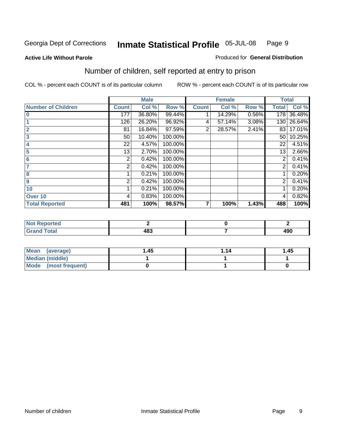#### **Active Life Without Parole**

#### Produced for **General Distribution**

### Number of children, self reported at entry to prison

|                           |              | <b>Male</b> |         |              | <b>Female</b> |       | <b>Total</b>   |        |
|---------------------------|--------------|-------------|---------|--------------|---------------|-------|----------------|--------|
| <b>Number of Children</b> | <b>Count</b> | Col %       | Row %   | <b>Count</b> | Col %         | Row % | <b>Total</b>   | Col %  |
| $\bf{0}$                  | 177          | 36.80%      | 99.44%  |              | 14.29%        | 0.56% | 178            | 36.48% |
|                           | 126          | 26.20%      | 96.92%  | 4            | 57.14%        | 3.08% | 130            | 26.64% |
| $\overline{2}$            | 81           | 16.84%      | 97.59%  | 2            | 28.57%        | 2.41% | 83             | 17.01% |
| 3                         | 50           | 10.40%      | 100.00% |              |               |       | 50             | 10.25% |
| 4                         | 22           | 4.57%       | 100.00% |              |               |       | 22             | 4.51%  |
| 5                         | 13           | 2.70%       | 100.00% |              |               |       | 13             | 2.66%  |
| 6                         | 2            | 0.42%       | 100.00% |              |               |       | 2              | 0.41%  |
|                           | 2            | 0.42%       | 100.00% |              |               |       | 2              | 0.41%  |
| 8                         |              | 0.21%       | 100.00% |              |               |       |                | 0.20%  |
| $\boldsymbol{9}$          | 2            | 0.42%       | 100.00% |              |               |       | $\overline{2}$ | 0.41%  |
| 10                        |              | 0.21%       | 100.00% |              |               |       |                | 0.20%  |
| Over 10                   | 4            | 0.83%       | 100.00% |              |               |       | 4              | 0.82%  |
| <b>Total Reported</b>     | 481          | 100%        | 98.57%  | 7            | 100%          | 1.43% | 488            | 100%   |

| ™rteu<br>$\sim$  |     |     |
|------------------|-----|-----|
| <b>otal</b>      | 00  | ۸ΩΛ |
| $\mathbf{v}$ and | כס. | 4JU |

| <b>Mean</b><br>(average) | 45. ، | 1.14 | 1.45 |
|--------------------------|-------|------|------|
| Median (middle)          |       |      |      |
| Mode (most frequent)     |       |      |      |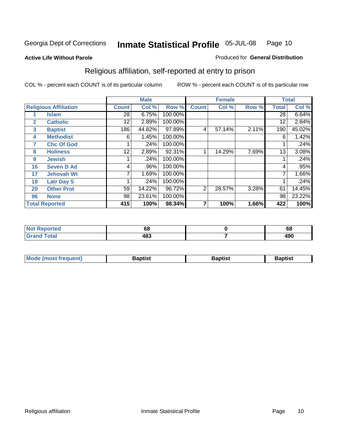#### **Active Life Without Parole**

#### Produced for **General Distribution**

### Religious affiliation, self-reported at entry to prison

|              |                              |                 | <b>Male</b> |         |              | <b>Female</b> |       |              | <b>Total</b> |
|--------------|------------------------------|-----------------|-------------|---------|--------------|---------------|-------|--------------|--------------|
|              | <b>Religious Affiliation</b> | <b>Count</b>    | Col %       | Row %   | <b>Count</b> | Col %         | Row % | <b>Total</b> | Col %        |
|              | <b>Islam</b>                 | $\overline{28}$ | 6.75%       | 100.00% |              |               |       | 28           | 6.64%        |
| $\mathbf{2}$ | <b>Catholic</b>              | 12              | 2.89%       | 100.00% |              |               |       | 12           | 2.84%        |
| 3            | <b>Baptist</b>               | 186             | 44.82%      | 97.89%  | 4            | 57.14%        | 2.11% | 190          | 45.02%       |
| 4            | <b>Methodist</b>             | 6               | 1.45%       | 100.00% |              |               |       | 6            | 1.42%        |
| 7            | <b>Chc Of God</b>            |                 | .24%        | 100.00% |              |               |       |              | .24%         |
| 8            | <b>Holiness</b>              | 12              | 2.89%       | 92.31%  |              | 14.29%        | 7.69% | 13           | 3.08%        |
| 9            | <b>Jewish</b>                |                 | .24%        | 100.00% |              |               |       |              | .24%         |
| 16           | <b>Seven D Ad</b>            | 4               | .96%        | 100.00% |              |               |       | 4            | .95%         |
| 17           | <b>Jehovah Wt</b>            |                 | 1.69%       | 100.00% |              |               |       | 7            | 1.66%        |
| 18           | <b>Latr Day S</b>            |                 | .24%        | 100.00% |              |               |       |              | .24%         |
| 20           | <b>Other Prot</b>            | 59              | 14.22%      | 96.72%  | 2            | 28.57%        | 3.28% | 61           | 14.45%       |
| 96           | <b>None</b>                  | 98              | 23.61%      | 100.00% |              |               |       | 98           | 23.22%       |
|              | <b>Total Reported</b>        | 415             | 100%        | 98.34%  | 7            | 100%          | 1.66% | 422          | 100%         |

| τeα | οc               | rı<br>oo   |
|-----|------------------|------------|
|     | ,,,<br>יטי<br>__ | 100<br>434 |

| <b>Mode (most frequent)</b> | <b>Baptist</b> | <b>Baptist</b> | <b>Baptist</b> |
|-----------------------------|----------------|----------------|----------------|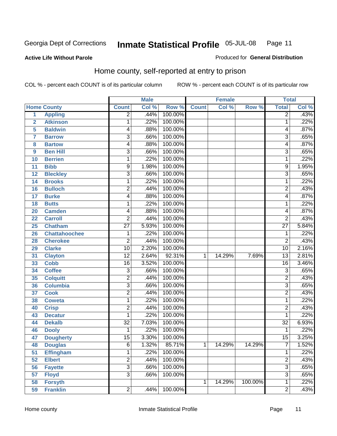#### **Active Life Without Parole**

#### Produced for **General Distribution**

#### Home county, self-reported at entry to prison

|                |                      |                 | <b>Male</b> |                  |              | <b>Female</b> |         | <b>Total</b>    |       |
|----------------|----------------------|-----------------|-------------|------------------|--------------|---------------|---------|-----------------|-------|
|                | <b>Home County</b>   | <b>Count</b>    | Col %       | Row <sup>%</sup> | <b>Count</b> | Col %         | Row %   | <b>Total</b>    | Col % |
| $\overline{1}$ | <b>Appling</b>       | $\overline{2}$  | .44%        | 100.00%          |              |               |         | $\overline{2}$  | .43%  |
| $\overline{2}$ | <b>Atkinson</b>      | 1               | .22%        | 100.00%          |              |               |         | 1               | .22%  |
| 5              | <b>Baldwin</b>       | 4               | .88%        | 100.00%          |              |               |         | 4               | .87%  |
| 7              | <b>Barrow</b>        | $\overline{3}$  | .66%        | 100.00%          |              |               |         | 3               | .65%  |
| 8              | <b>Bartow</b>        | 4               | .88%        | 100.00%          |              |               |         | 4               | .87%  |
| 9              | <b>Ben Hill</b>      | 3               | .66%        | 100.00%          |              |               |         | $\overline{3}$  | .65%  |
| 10             | <b>Berrien</b>       | 1               | .22%        | 100.00%          |              |               |         | 1               | .22%  |
| 11             | <b>Bibb</b>          | 9               | 1.98%       | 100.00%          |              |               |         | 9               | 1.95% |
| 12             | <b>Bleckley</b>      | $\overline{3}$  | .66%        | 100.00%          |              |               |         | $\overline{3}$  | .65%  |
| 14             | <b>Brooks</b>        | 1               | .22%        | 100.00%          |              |               |         | 1               | .22%  |
| 16             | <b>Bulloch</b>       | $\overline{2}$  | .44%        | 100.00%          |              |               |         | $\overline{2}$  | .43%  |
| 17             | <b>Burke</b>         | 4               | .88%        | 100.00%          |              |               |         | 4               | .87%  |
| 18             | <b>Butts</b>         | 1               | .22%        | 100.00%          |              |               |         | 1               | .22%  |
| 20             | <b>Camden</b>        | 4               | .88%        | 100.00%          |              |               |         | 4               | .87%  |
| 22             | <b>Carroll</b>       | $\overline{c}$  | .44%        | 100.00%          |              |               |         | $\overline{2}$  | .43%  |
| 25             | <b>Chatham</b>       | $\overline{27}$ | 5.93%       | 100.00%          |              |               |         | $\overline{27}$ | 5.84% |
| 26             | <b>Chattahoochee</b> | 1               | .22%        | 100.00%          |              |               |         | 1               | .22%  |
| 28             | <b>Cherokee</b>      | $\overline{2}$  | .44%        | 100.00%          |              |               |         | $\overline{2}$  | .43%  |
| 29             | <b>Clarke</b>        | $\overline{10}$ | 2.20%       | 100.00%          |              |               |         | $\overline{10}$ | 2.16% |
| 31             | <b>Clayton</b>       | $\overline{12}$ | 2.64%       | 92.31%           | 1            | 14.29%        | 7.69%   | 13              | 2.81% |
| 33             | <b>Cobb</b>          | 16              | 3.52%       | 100.00%          |              |               |         | $\overline{16}$ | 3.46% |
| 34             | <b>Coffee</b>        | 3               | .66%        | 100.00%          |              |               |         | 3               | .65%  |
| 35             | <b>Colquitt</b>      | $\overline{2}$  | .44%        | 100.00%          |              |               |         | 2               | .43%  |
| 36             | <b>Columbia</b>      | $\overline{3}$  | .66%        | 100.00%          |              |               |         | $\overline{3}$  | .65%  |
| 37             | <b>Cook</b>          | 2               | .44%        | 100.00%          |              |               |         | $\overline{c}$  | .43%  |
| 38             | <b>Coweta</b>        | 1               | .22%        | 100.00%          |              |               |         | 1               | .22%  |
| 40             | <b>Crisp</b>         | $\overline{2}$  | .44%        | 100.00%          |              |               |         | 2               | .43%  |
| 43             | <b>Decatur</b>       | 1               | .22%        | 100.00%          |              |               |         | 1               | .22%  |
| 44             | <b>Dekalb</b>        | $\overline{32}$ | 7.03%       | 100.00%          |              |               |         | $\overline{32}$ | 6.93% |
| 46             | <b>Dooly</b>         | 1               | .22%        | 100.00%          |              |               |         | 1               | .22%  |
| 47             | <b>Dougherty</b>     | $\overline{15}$ | 3.30%       | 100.00%          |              |               |         | $\overline{15}$ | 3.25% |
| 48             | <b>Douglas</b>       | 6               | 1.32%       | 85.71%           | 1            | 14.29%        | 14.29%  | ſ               | 1.52% |
| 51             | <b>Effingham</b>     | 1               | .22%        | 100.00%          |              |               |         | 1               | .22%  |
| 52             | <b>Elbert</b>        | $\overline{2}$  | .44%        | 100.00%          |              |               |         | $\overline{2}$  | .43%  |
| 56             | <b>Fayette</b>       | $\overline{3}$  | .66%        | 100.00%          |              |               |         | $\overline{3}$  | .65%  |
| 57             | <b>Floyd</b>         | $\overline{3}$  | .66%        | 100.00%          |              |               |         | $\overline{3}$  | .65%  |
| 58             | <b>Forsyth</b>       |                 |             |                  | 1            | 14.29%        | 100.00% | 1               | .22%  |
| 59             | <b>Franklin</b>      | $\overline{2}$  | .44%        | 100.00%          |              |               |         | $\overline{2}$  | .43%  |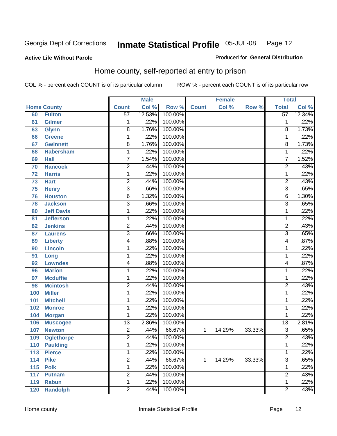#### **Active Life Without Parole**

#### Produced for **General Distribution**

#### Home county, self-reported at entry to prison

|                 |                    |                 | <b>Male</b> |         |              | <b>Female</b> |        | <b>Total</b>    |        |
|-----------------|--------------------|-----------------|-------------|---------|--------------|---------------|--------|-----------------|--------|
|                 | <b>Home County</b> | <b>Count</b>    | Col %       | Row %   | <b>Count</b> | Col %         | Row %  | <b>Total</b>    | Col %  |
| 60              | <b>Fulton</b>      | $\overline{57}$ | 12.53%      | 100.00% |              |               |        | $\overline{57}$ | 12.34% |
| 61              | Gilmer             | 1               | .22%        | 100.00% |              |               |        | 1               | .22%   |
| 63              | <b>Glynn</b>       | 8               | 1.76%       | 100.00% |              |               |        | 8               | 1.73%  |
| 66              | <b>Greene</b>      | 1               | .22%        | 100.00% |              |               |        | 1               | .22%   |
| 67              | <b>Gwinnett</b>    | $\overline{8}$  | 1.76%       | 100.00% |              |               |        | 8               | 1.73%  |
| 68              | <b>Habersham</b>   | 1               | .22%        | 100.00% |              |               |        | 1               | .22%   |
| 69              | <b>Hall</b>        | 7               | 1.54%       | 100.00% |              |               |        | 7               | 1.52%  |
| 70              | <b>Hancock</b>     | $\overline{2}$  | .44%        | 100.00% |              |               |        | $\overline{2}$  | .43%   |
| $\overline{72}$ | <b>Harris</b>      | 1               | .22%        | 100.00% |              |               |        | 1               | .22%   |
| 73              | <b>Hart</b>        | $\overline{2}$  | .44%        | 100.00% |              |               |        | $\overline{2}$  | .43%   |
| 75              | <b>Henry</b>       | 3               | .66%        | 100.00% |              |               |        | $\overline{3}$  | .65%   |
| 76              | <b>Houston</b>     | $\overline{6}$  | 1.32%       | 100.00% |              |               |        | $\overline{6}$  | 1.30%  |
| 78              | <b>Jackson</b>     | 3               | .66%        | 100.00% |              |               |        | $\overline{3}$  | .65%   |
| 80              | <b>Jeff Davis</b>  | $\mathbf{1}$    | .22%        | 100.00% |              |               |        | 1               | .22%   |
| 81              | <b>Jefferson</b>   | 1               | .22%        | 100.00% |              |               |        | 1               | .22%   |
| 82              | <b>Jenkins</b>     | $\overline{2}$  | .44%        | 100.00% |              |               |        | $\overline{2}$  | .43%   |
| 87              | <b>Laurens</b>     | 3               | .66%        | 100.00% |              |               |        | $\overline{3}$  | .65%   |
| 89              | <b>Liberty</b>     | 4               | .88%        | 100.00% |              |               |        | 4               | .87%   |
| 90              | <b>Lincoln</b>     | 1               | .22%        | 100.00% |              |               |        | 1               | .22%   |
| 91              | Long               | 1               | .22%        | 100.00% |              |               |        | 1               | .22%   |
| 92              | <b>Lowndes</b>     | 4               | .88%        | 100.00% |              |               |        | 4               | .87%   |
| 96              | <b>Marion</b>      | 1               | .22%        | 100.00% |              |               |        | 1               | .22%   |
| 97              | <b>Mcduffie</b>    | 1               | .22%        | 100.00% |              |               |        | 1               | .22%   |
| 98              | <b>Mcintosh</b>    | $\overline{2}$  | .44%        | 100.00% |              |               |        | $\overline{2}$  | .43%   |
| 100             | <b>Miller</b>      | $\mathbf{1}$    | .22%        | 100.00% |              |               |        | 1               | .22%   |
| 101             | <b>Mitchell</b>    | 1               | .22%        | 100.00% |              |               |        | 1               | .22%   |
| 102             | <b>Monroe</b>      | 1               | .22%        | 100.00% |              |               |        | 1               | .22%   |
| 104             | <b>Morgan</b>      | 1               | .22%        | 100.00% |              |               |        | 1               | .22%   |
| 106             | <b>Muscogee</b>    | $\overline{13}$ | 2.86%       | 100.00% |              |               |        | $\overline{13}$ | 2.81%  |
| 107             | <b>Newton</b>      | $\overline{2}$  | .44%        | 66.67%  | 1            | 14.29%        | 33.33% | 3               | .65%   |
| 109             | <b>Oglethorpe</b>  | $\overline{2}$  | .44%        | 100.00% |              |               |        | $\overline{2}$  | .43%   |
| 110             | <b>Paulding</b>    | 1               | .22%        | 100.00% |              |               |        | 1               | .22%   |
| 113             | <b>Pierce</b>      | $\mathbf{1}$    | .22%        | 100.00% |              |               |        | 1               | .22%   |
| 114             | <b>Pike</b>        | $\overline{2}$  | .44%        | 66.67%  | 1            | 14.29%        | 33.33% | $\overline{3}$  | .65%   |
| 115             | <b>Polk</b>        | $\overline{1}$  | .22%        | 100.00% |              |               |        | 1               | .22%   |
| 117             | <b>Putnam</b>      | $\overline{2}$  | .44%        | 100.00% |              |               |        | $\overline{2}$  | .43%   |
| 119             | <b>Rabun</b>       | $\mathbf{1}$    | .22%        | 100.00% |              |               |        | 1               | .22%   |
| 120             | <b>Randolph</b>    | $\overline{2}$  | .44%        | 100.00% |              |               |        | $\overline{2}$  | .43%   |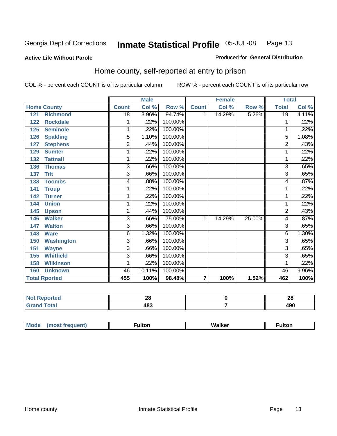#### **Active Life Without Parole**

#### Produced for **General Distribution**

#### Home county, self-reported at entry to prison

|                          |                         | <b>Male</b> |         |              | <b>Female</b> |        | <b>Total</b>   |          |
|--------------------------|-------------------------|-------------|---------|--------------|---------------|--------|----------------|----------|
| <b>Home County</b>       | <b>Count</b>            | Col %       | Row %   | <b>Count</b> | Col %         | Row %  | <b>Total</b>   | Col %    |
| 121<br><b>Richmond</b>   | 18                      | 3.96%       | 94.74%  | 1            | 14.29%        | 5.26%  | 19             | 4.11%    |
| <b>Rockdale</b><br>122   | 1                       | .22%        | 100.00% |              |               |        |                | .22%     |
| 125<br><b>Seminole</b>   | 1                       | .22%        | 100.00% |              |               |        |                | .22%     |
| <b>Spalding</b><br>126   | 5                       | 1.10%       | 100.00% |              |               |        | 5              | 1.08%    |
| <b>Stephens</b><br>127   | $\overline{\mathbf{c}}$ | .44%        | 100.00% |              |               |        | $\overline{2}$ | .43%     |
| <b>Sumter</b><br>129     | 1                       | .22%        | 100.00% |              |               |        |                | .22%     |
| <b>Tattnall</b><br>132   | 1                       | .22%        | 100.00% |              |               |        |                | .22%     |
| <b>Thomas</b><br>136     | 3                       | .66%        | 100.00% |              |               |        | 3              | .65%     |
| <b>Tift</b><br>137       | 3                       | .66%        | 100.00% |              |               |        | 3              | .65%     |
| <b>Toombs</b><br>138     | 4                       | .88%        | 100.00% |              |               |        | 4              | .87%     |
| 141<br><b>Troup</b>      | 1                       | .22%        | 100.00% |              |               |        | 1              | .22%     |
| <b>Turner</b><br>142     | 1                       | .22%        | 100.00% |              |               |        | 1              | .22%     |
| <b>Union</b><br>144      | 1                       | .22%        | 100.00% |              |               |        | 1              | .22%     |
| 145<br><b>Upson</b>      | $\overline{\mathbf{c}}$ | .44%        | 100.00% |              |               |        | $\overline{c}$ | .43%     |
| <b>Walker</b><br>146     | 3                       | .66%        | 75.00%  | 1            | 14.29%        | 25.00% | 4              | .87%     |
| <b>Walton</b><br>147     | 3                       | .66%        | 100.00% |              |               |        | 3              | .65%     |
| <b>Ware</b><br>148       | 6                       | 1.32%       | 100.00% |              |               |        | 6              | 1.30%    |
| <b>Washington</b><br>150 | $\overline{3}$          | .66%        | 100.00% |              |               |        | $\overline{3}$ | .65%     |
| 151<br><b>Wayne</b>      | 3                       | .66%        | 100.00% |              |               |        | 3              | .65%     |
| <b>Whitfield</b><br>155  | $\overline{3}$          | .66%        | 100.00% |              |               |        | $\overline{3}$ | .65%     |
| <b>Wilkinson</b><br>158  | 1                       | .22%        | 100.00% |              |               |        | 1              | .22%     |
| <b>Unknown</b><br>160    | 46                      | 10.11%      | 100.00% |              |               |        | 46             | $9.96\%$ |
| <b>Total Rported</b>     | 455                     | 100%        | 98.48%  | 7            | 100%          | 1.52%  | 462            | 100%     |

| τeα         | $\sim$<br>--<br>$\sim$ | റ<br>ZO    |
|-------------|------------------------|------------|
| <b>otal</b> | 483                    | ,,,<br>73V |

| <b>Mode</b> | .<br>∼uπor. | walke<br>_______ | ·uitor.<br>- ------ |
|-------------|-------------|------------------|---------------------|
|             |             |                  |                     |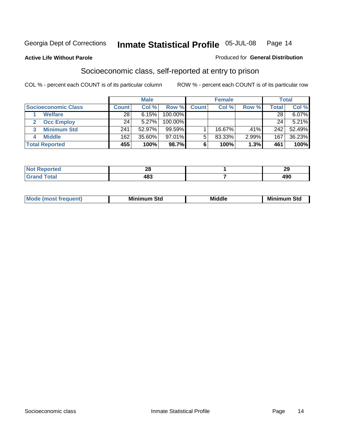#### **Active Life Without Parole**

#### Produced for **General Distribution**

#### Socioeconomic class, self-reported at entry to prison

|                                   |              | <b>Male</b> |            |              | <b>Female</b> |       |       | <b>Total</b> |
|-----------------------------------|--------------|-------------|------------|--------------|---------------|-------|-------|--------------|
| <b>Socioeconomic Class</b>        | <b>Count</b> | Col %       | Row %      | <b>Count</b> | Col %         | Row % | Total | Col %        |
| <b>Welfare</b>                    | 28           | 6.15%       | 100.00%    |              |               |       | 28    | 6.07%        |
| <b>Occ Employ</b><br>$\mathbf{2}$ | 24           | 5.27%       | $100.00\%$ |              |               |       | 24    | 5.21%        |
| <b>Minimum Std</b><br>3           | 241          | 52.97%      | $99.59\%$  |              | 16.67%        | .41%  | 242   | 52.49%       |
| <b>Middle</b>                     | 162          | 35.60%      | 97.01%     |              | 83.33%        | 2.99% | 167   | 36.23%       |
| <b>Total Reported</b>             | 455          | 100%        | 98.7%      |              | 100%          | 1.3%  | 461   | 100%         |

| <b><i>College College College</i></b><br>N<br>тео | nc.<br>ZС | - -<br>. .<br>20  |
|---------------------------------------------------|-----------|-------------------|
| $C = 4$<br>---                                    | 483       | $\sqrt{2}$<br>ャンひ |

| M<br>Mir<br>Mil<br><b>Middle</b><br><b>C</b> ta<br>Sta<br>oτu<br>.<br>the contract of the contract of the contract of the contract of the contract of the contract of the contract of<br>___ |
|----------------------------------------------------------------------------------------------------------------------------------------------------------------------------------------------|
|----------------------------------------------------------------------------------------------------------------------------------------------------------------------------------------------|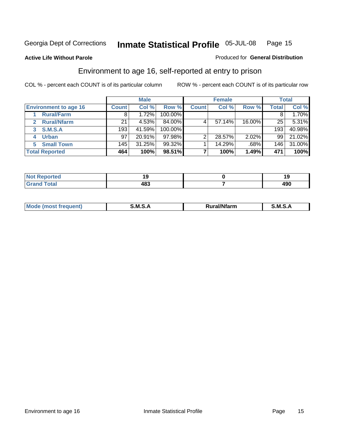#### **Active Life Without Parole**

#### Produced for **General Distribution**

#### Environment to age 16, self-reported at entry to prison

|                              |              | <b>Male</b> |            |              | <b>Female</b> |        |              | <b>Total</b> |
|------------------------------|--------------|-------------|------------|--------------|---------------|--------|--------------|--------------|
| <b>Environment to age 16</b> | <b>Count</b> | Col %       | Row %      | <b>Count</b> | Col %         | Row %  | <b>Total</b> | Col %        |
| <b>Rural/Farm</b>            | 8            | 1.72%       | 100.00%    |              |               |        |              | 1.70%        |
| <b>Rural/Nfarm</b><br>2      | 21           | 4.53%       | 84.00%     |              | 57.14%        | 16.00% | 25           | 5.31%        |
| <b>S.M.S.A</b><br>3          | 193          | 41.59%      | $100.00\%$ |              |               |        | 193          | 40.98%       |
| <b>Urban</b><br>4            | 97           | 20.91%      | 97.98%     | っ            | 28.57%        | 2.02%  | 99           | 21.02%       |
| <b>Small Town</b>            | 145          | 31.25%      | 99.32%     |              | 14.29%        | .68%   | 146          | 31.00%       |
| <b>Total Reported</b>        | 464          | 100%        | 98.51%     |              | 100%          | 1.49%  | 471          | 100%         |

| Reported<br>∵Not.<br>. |     |            |
|------------------------|-----|------------|
| <b>Total</b><br>Grand  | 483 | ,,,<br>43V |

| Mo<br>זחנ | M<br>.<br>______ | $1.3.14 \times 10^{18}$<br>. Ifara<br>arm | -<br>M<br>______ |
|-----------|------------------|-------------------------------------------|------------------|
|           |                  |                                           |                  |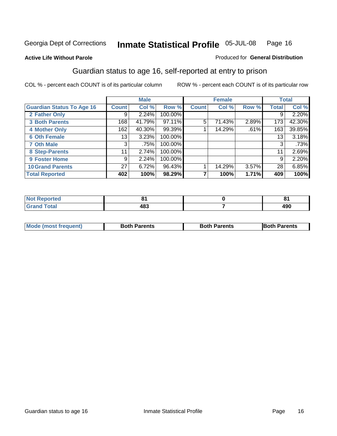#### **Active Life Without Parole**

#### Produced for **General Distribution**

#### Guardian status to age 16, self-reported at entry to prison

|                                  |                 | <b>Male</b> |         |              | <b>Female</b> |       |              | <b>Total</b> |
|----------------------------------|-----------------|-------------|---------|--------------|---------------|-------|--------------|--------------|
| <b>Guardian Status To Age 16</b> | <b>Count</b>    | Col %       | Row %   | <b>Count</b> | Col %         | Row % | <b>Total</b> | Col %        |
| 2 Father Only                    | 9               | 2.24%       | 100.00% |              |               |       | 9            | 2.20%        |
| <b>3 Both Parents</b>            | 168             | 41.79%      | 97.11%  | 5            | 71.43%        | 2.89% | 173          | 42.30%       |
| <b>4 Mother Only</b>             | 162             | 40.30%      | 99.39%  |              | 14.29%        | .61%  | 163          | 39.85%       |
| <b>6 Oth Female</b>              | 13              | 3.23%       | 100.00% |              |               |       | 13           | 3.18%        |
| <b>7 Oth Male</b>                | 3               | .75%        | 100.00% |              |               |       | 3            | .73%         |
| 8 Step-Parents                   | 11              | 2.74%       | 100.00% |              |               |       | 11           | 2.69%        |
| 9 Foster Home                    | 9               | 2.24%       | 100.00% |              |               |       | 9            | 2.20%        |
| <b>10 Grand Parents</b>          | 27 <sup>1</sup> | 6.72%       | 96.43%  |              | 14.29%        | 3.57% | 28           | 6.85%        |
| <b>Total Reported</b>            | 402             | 100%        | 98.29%  |              | 100%          | 1.71% | 409          | 100%         |

| п.<br>$\sim$ $\sim$ | o.  |
|---------------------|-----|
| 109<br>יטד          | 490 |

| <b>Mode (most frequent)</b> | <b>Both Parents</b> | <b>Both Parents</b> | <b>IBoth Parents</b> |
|-----------------------------|---------------------|---------------------|----------------------|
|                             |                     |                     |                      |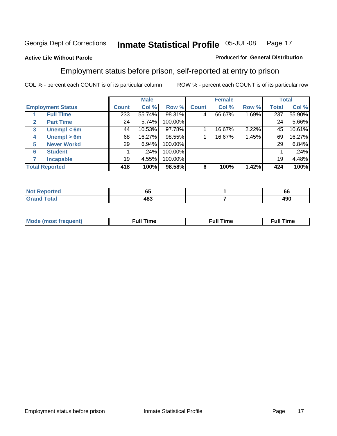#### **Active Life Without Parole**

#### Produced for **General Distribution**

#### Employment status before prison, self-reported at entry to prison

|              |                          | <b>Male</b>  |        | <b>Female</b> |              |        | <b>Total</b> |              |        |
|--------------|--------------------------|--------------|--------|---------------|--------------|--------|--------------|--------------|--------|
|              | <b>Employment Status</b> | <b>Count</b> | Col %  | Row %         | <b>Count</b> | Col %  | Row %        | <b>Total</b> | Col %  |
|              | <b>Full Time</b>         | 233          | 55.74% | 98.31%        | 4            | 66.67% | 1.69%        | 237          | 55.90% |
| $\mathbf{2}$ | <b>Part Time</b>         | 24           | 5.74%  | 100.00%       |              |        |              | 24           | 5.66%  |
| 3            | Unempl $<$ 6m            | 44           | 10.53% | 97.78%        |              | 16.67% | 2.22%        | 45           | 10.61% |
| 4            | Unempl $> 6m$            | 68           | 16.27% | 98.55%        |              | 16.67% | 1.45%        | 69           | 16.27% |
| 5            | <b>Never Workd</b>       | 29           | 6.94%  | 100.00%       |              |        |              | 29           | 6.84%  |
| 6            | <b>Student</b>           |              | .24%   | 100.00%       |              |        |              |              | .24%   |
|              | <b>Incapable</b>         | 19           | 4.55%  | 100.00%       |              |        |              | 19           | 4.48%  |
|              | <b>Total Reported</b>    | 418          | 100%   | 98.58%        | 6            | 100%   | 1.42%        | 424          | 100%   |

| TAC.  | - -<br>υJ | $\sim$<br><b>bb</b> |
|-------|-----------|---------------------|
| _____ | 483<br>__ | 00۸<br>4JU<br>__    |

| Mo | 'me<br>uн<br>the contract of the contract of the contract of the contract of the contract of the contract of the contract of | ïme<br>uı.<br>the contract of the contract of the contract of the contract of the contract of the contract of the contract of |
|----|------------------------------------------------------------------------------------------------------------------------------|-------------------------------------------------------------------------------------------------------------------------------|
|    |                                                                                                                              |                                                                                                                               |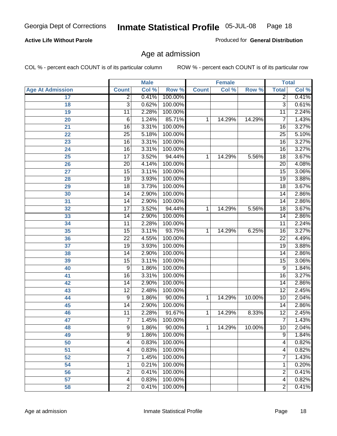#### **Active Life Without Parole**

Produced for **General Distribution**

#### Age at admission

|                         |                 | <b>Male</b> |           |              | <b>Female</b> |        |                 | <b>Total</b> |
|-------------------------|-----------------|-------------|-----------|--------------|---------------|--------|-----------------|--------------|
| <b>Age At Admission</b> | <b>Count</b>    | Col %       | Row %     | <b>Count</b> | Col %         | Row %  | <b>Total</b>    | Col %        |
| 17                      | $\overline{2}$  | 0.41%       | 100.00%   |              |               |        | 2               | 0.41%        |
| 18                      | $\overline{3}$  | 0.62%       | 100.00%   |              |               |        | $\overline{3}$  | 0.61%        |
| 19                      | $\overline{11}$ | 2.28%       | 100.00%   |              |               |        | $\overline{11}$ | 2.24%        |
| 20                      | 6               | 1.24%       | 85.71%    | 1            | 14.29%        | 14.29% | 7               | 1.43%        |
| 21                      | $\overline{16}$ | 3.31%       | 100.00%   |              |               |        | 16              | 3.27%        |
| 22                      | $\overline{25}$ | 5.18%       | 100.00%   |              |               |        | $\overline{25}$ | 5.10%        |
| 23                      | $\overline{16}$ | 3.31%       | 100.00%   |              |               |        | $\overline{16}$ | 3.27%        |
| 24                      | $\overline{16}$ | 3.31%       | 100.00%   |              |               |        | 16              | 3.27%        |
| 25                      | $\overline{17}$ | 3.52%       | 94.44%    | 1            | 14.29%        | 5.56%  | $\overline{18}$ | 3.67%        |
| 26                      | $\overline{20}$ | 4.14%       | 100.00%   |              |               |        | 20              | 4.08%        |
| 27                      | $\overline{15}$ | 3.11%       | 100.00%   |              |               |        | $\overline{15}$ | 3.06%        |
| 28                      | 19              | 3.93%       | 100.00%   |              |               |        | 19              | 3.88%        |
| 29                      | $\overline{18}$ | 3.73%       | 100.00%   |              |               |        | $\overline{18}$ | 3.67%        |
| 30                      | $\overline{14}$ | 2.90%       | 100.00%   |              |               |        | 14              | 2.86%        |
| 31                      | $\overline{14}$ | 2.90%       | 100.00%   |              |               |        | $\overline{14}$ | 2.86%        |
| 32                      | $\overline{17}$ | 3.52%       | 94.44%    | 1            | 14.29%        | 5.56%  | 18              | 3.67%        |
| 33                      | 14              | 2.90%       | 100.00%   |              |               |        | 14              | 2.86%        |
| 34                      | 11              | 2.28%       | 100.00%   |              |               |        | 11              | 2.24%        |
| 35                      | 15              | 3.11%       | 93.75%    | 1            | 14.29%        | 6.25%  | 16              | 3.27%        |
| 36                      | $\overline{22}$ | 4.55%       | 100.00%   |              |               |        | $\overline{22}$ | 4.49%        |
| 37                      | $\overline{19}$ | 3.93%       | 100.00%   |              |               |        | $\overline{19}$ | 3.88%        |
| 38                      | $\overline{14}$ | 2.90%       | 100.00%   |              |               |        | 14              | 2.86%        |
| 39                      | 15              | 3.11%       | 100.00%   |              |               |        | 15              | 3.06%        |
| 40                      | 9               | 1.86%       | 100.00%   |              |               |        | 9               | 1.84%        |
| 41                      | 16              | 3.31%       | 100.00%   |              |               |        | 16              | 3.27%        |
| 42                      | 14              | 2.90%       | 100.00%   |              |               |        | 14              | 2.86%        |
| 43                      | $\overline{12}$ | 2.48%       | 100.00%   |              |               |        | $\overline{12}$ | 2.45%        |
| 44                      | 9               | 1.86%       | 90.00%    | 1            | 14.29%        | 10.00% | 10              | 2.04%        |
| 45                      | 14              | 2.90%       | 100.00%   |              |               |        | 14              | 2.86%        |
| 46                      | $\overline{11}$ | 2.28%       | 91.67%    | 1            | 14.29%        | 8.33%  | $\overline{12}$ | 2.45%        |
| 47                      | $\overline{7}$  | 1.45%       | 100.00%   |              |               |        | 7               | 1.43%        |
| 48                      | 9               | 1.86%       | $90.00\%$ | 1            | 14.29%        | 10.00% | 10              | 2.04%        |
| 49                      | $\overline{9}$  | 1.86%       | 100.00%   |              |               |        | 9               | 1.84%        |
| 50                      | 4               | 0.83%       | 100.00%   |              |               |        | 4               | 0.82%        |
| 51                      | 4               | 0.83%       | 100.00%   |              |               |        | 4               | 0.82%        |
| 52                      | 7               | 1.45%       | 100.00%   |              |               |        | 7               | 1.43%        |
| 54                      | 1               | 0.21%       | 100.00%   |              |               |        | 1               | 0.20%        |
| 56                      | $\overline{c}$  | 0.41%       | 100.00%   |              |               |        | 2               | 0.41%        |
| 57                      | 4               | 0.83%       | 100.00%   |              |               |        | $\overline{4}$  | 0.82%        |
| 58                      | $\overline{2}$  | 0.41%       | 100.00%   |              |               |        | $\overline{2}$  | 0.41%        |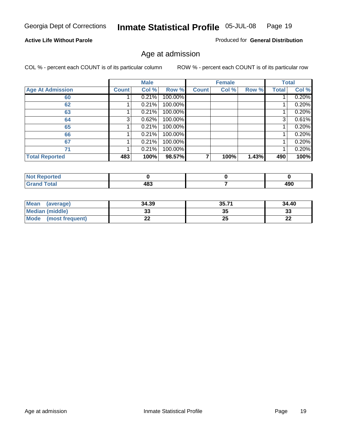#### **Active Life Without Parole**

Produced for **General Distribution**

#### Age at admission

|                         |              | <b>Male</b> |         |              | <b>Female</b> |       |              | <b>Total</b> |
|-------------------------|--------------|-------------|---------|--------------|---------------|-------|--------------|--------------|
| <b>Age At Admission</b> | <b>Count</b> | Col %       | Row %   | <b>Count</b> | Col %         | Row % | <b>Total</b> | Col %        |
| 60                      |              | 0.21%       | 100.00% |              |               |       |              | 0.20%        |
| 62                      |              | 0.21%       | 100.00% |              |               |       |              | 0.20%        |
| 63                      |              | 0.21%       | 100.00% |              |               |       |              | 0.20%        |
| 64                      | 3            | 0.62%       | 100.00% |              |               |       | 3            | 0.61%        |
| 65                      |              | 0.21%       | 100.00% |              |               |       |              | 0.20%        |
| 66                      |              | 0.21%       | 100.00% |              |               |       |              | 0.20%        |
| 67                      |              | 0.21%       | 100.00% |              |               |       |              | 0.20%        |
| 71                      |              | 0.21%       | 100.00% |              |               |       |              | 0.20%        |
| <b>Total Reported</b>   | 483          | 100%        | 98.57%  |              | 100%          | 1.43% | 490          | 100%         |

| <b>orted</b> |     |            |
|--------------|-----|------------|
| <b>Total</b> | 483 | 008<br>4JU |

| Mean<br>(average)              | 34.39    | 35.71 | 34.40     |
|--------------------------------|----------|-------|-----------|
| Median (middle)                | ູບ       | 35    | າາ<br>აა  |
| <b>Mode</b><br>(most frequent) | ^^<br>44 | 25    | ne.<br>LL |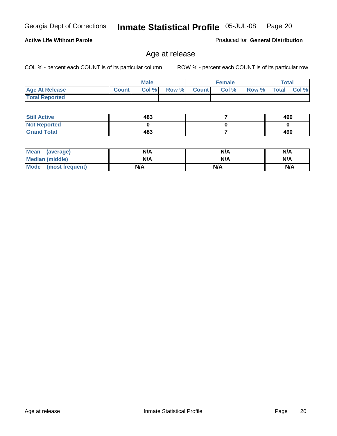COL % - percent each COUNT is of its particular column ROW % - percent each COUNT is of its particular row

Produced for **General Distribution**

|                       |              | <b>Male</b> |       |              | <b>Female</b> |       |              | Total |
|-----------------------|--------------|-------------|-------|--------------|---------------|-------|--------------|-------|
| <b>Age At Release</b> | <b>Count</b> | Col %       | Row % | <b>Count</b> | Col %         | Row % | <b>Total</b> | Col % |
| <b>Total Reported</b> |              |             |       |              |               |       |              |       |

Age at release

| <b>Still Active</b> | 483 | 490 |
|---------------------|-----|-----|
| <b>Not Reported</b> |     |     |
| <b>Grand Total</b>  | 483 | 490 |

| Mean<br>(average)      | N/A | N/A | N/A |
|------------------------|-----|-----|-----|
| <b>Median (middle)</b> | N/A | N/A | N/A |
| Mode (most frequent)   | N/A | N/A | N/A |

#### **Active Life Without Parole**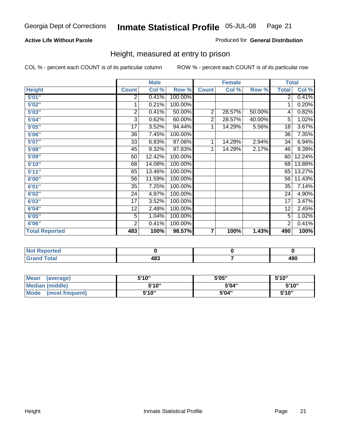#### **Active Life Without Parole**

#### Produced for **General Distribution**

#### Height, measured at entry to prison

|                       |                | <b>Male</b> |         |                | <b>Female</b> |        | <b>Total</b>    |        |
|-----------------------|----------------|-------------|---------|----------------|---------------|--------|-----------------|--------|
| <b>Height</b>         | <b>Count</b>   | Col %       | Row %   | <b>Count</b>   | Col %         | Row %  | <b>Total</b>    | Col %  |
| 5'01''                | 2              | 0.41%       | 100.00% |                |               |        | $\overline{2}$  | 0.41%  |
| 5'02"                 | 1              | 0.21%       | 100.00% |                |               |        | 1               | 0.20%  |
| 5'03"                 | $\overline{c}$ | 0.41%       | 50.00%  | $\overline{2}$ | 28.57%        | 50.00% | 4               | 0.82%  |
| 5'04"                 | 3              | 0.62%       | 60.00%  | $\overline{2}$ | 28.57%        | 40.00% | 5               | 1.02%  |
| 5'05"                 | 17             | 3.52%       | 94.44%  | 1              | 14.29%        | 5.56%  | 18              | 3.67%  |
| 5'06"                 | 36             | 7.45%       | 100.00% |                |               |        | $\overline{36}$ | 7.35%  |
| 5'07''                | 33             | 6.83%       | 97.06%  | 1              | 14.29%        | 2.94%  | 34              | 6.94%  |
| 5'08"                 | 45             | 9.32%       | 97.83%  | 1              | 14.29%        | 2.17%  | 46              | 9.39%  |
| <b>5'09"</b>          | 60             | 12.42%      | 100.00% |                |               |        | 60              | 12.24% |
| 5'10''                | 68             | 14.08%      | 100.00% |                |               |        | 68              | 13.88% |
| 5'11''                | 65             | 13.46%      | 100.00% |                |               |        | 65              | 13.27% |
| 6'00"                 | 56             | 11.59%      | 100.00% |                |               |        | 56              | 11.43% |
| 6'01''                | 35             | 7.25%       | 100.00% |                |               |        | 35              | 7.14%  |
| 6'02"                 | 24             | 4.97%       | 100.00% |                |               |        | 24              | 4.90%  |
| 6'03"                 | 17             | 3.52%       | 100.00% |                |               |        | 17              | 3.47%  |
| 6'04"                 | 12             | 2.48%       | 100.00% |                |               |        | 12              | 2.45%  |
| 6'05"                 | 5              | 1.04%       | 100.00% |                |               |        | 5               | 1.02%  |
| 6'06"                 | $\overline{2}$ | 0.41%       | 100.00% |                |               |        | 2               | 0.41%  |
| <b>Total Reported</b> | 483            | 100%        | 98.57%  | 7              | 100%          | 1.43%  | 490             | 100%   |

| τeα<br>.     |                     |            |
|--------------|---------------------|------------|
| -4-<br>_____ | 10 D<br>409<br>$ -$ | ៱៱៱<br>ォコマ |

| Mean<br>(average)              | 5'10" | 5'05" | 5'10'' |
|--------------------------------|-------|-------|--------|
| Median (middle)                | 5'10" | 5'04" | 5'10"  |
| <b>Mode</b><br>(most frequent) | 5'10" | 5'04" | 5'10'' |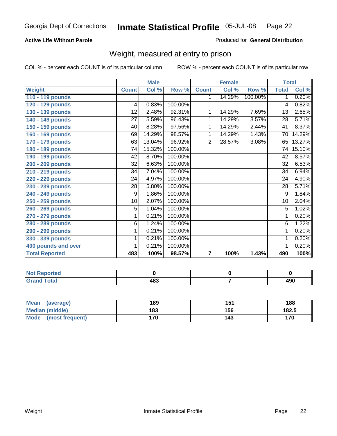#### **Active Life Without Parole**

#### Produced for **General Distribution**

#### Weight, measured at entry to prison

|                       |                 | <b>Male</b> |         |                | <b>Female</b> |         | <b>Total</b>    |        |
|-----------------------|-----------------|-------------|---------|----------------|---------------|---------|-----------------|--------|
| <b>Weight</b>         | <b>Count</b>    | Col %       | Row %   | <b>Count</b>   | Col %         | Row %   | <b>Total</b>    | Col %  |
| 110 - 119 pounds      |                 |             |         | 1.             | 14.29%        | 100.00% | $\mathbf{1}$    | 0.20%  |
| 120 - 129 pounds      | 4               | 0.83%       | 100.00% |                |               |         | 4               | 0.82%  |
| 130 - 139 pounds      | 12              | 2.48%       | 92.31%  | 1              | 14.29%        | 7.69%   | 13              | 2.65%  |
| 140 - 149 pounds      | 27              | 5.59%       | 96.43%  | 1              | 14.29%        | 3.57%   | 28              | 5.71%  |
| 150 - 159 pounds      | 40              | 8.28%       | 97.56%  | 1              | 14.29%        | 2.44%   | 41              | 8.37%  |
| 160 - 169 pounds      | 69              | 14.29%      | 98.57%  | 1              | 14.29%        | 1.43%   | $\overline{70}$ | 14.29% |
| 170 - 179 pounds      | 63              | 13.04%      | 96.92%  | $\overline{2}$ | 28.57%        | 3.08%   | 65              | 13.27% |
| 180 - 189 pounds      | 74              | 15.32%      | 100.00% |                |               |         | 74              | 15.10% |
| 190 - 199 pounds      | 42              | 8.70%       | 100.00% |                |               |         | 42              | 8.57%  |
| 200 - 209 pounds      | 32              | 6.63%       | 100.00% |                |               |         | $\overline{32}$ | 6.53%  |
| 210 - 219 pounds      | 34              | 7.04%       | 100.00% |                |               |         | 34              | 6.94%  |
| 220 - 229 pounds      | 24              | 4.97%       | 100.00% |                |               |         | 24              | 4.90%  |
| 230 - 239 pounds      | $\overline{28}$ | 5.80%       | 100.00% |                |               |         | $\overline{28}$ | 5.71%  |
| 240 - 249 pounds      | 9               | 1.86%       | 100.00% |                |               |         | 9               | 1.84%  |
| 250 - 259 pounds      | 10              | 2.07%       | 100.00% |                |               |         | $\overline{10}$ | 2.04%  |
| 260 - 269 pounds      | $\overline{5}$  | 1.04%       | 100.00% |                |               |         | $\overline{5}$  | 1.02%  |
| 270 - 279 pounds      | 1               | 0.21%       | 100.00% |                |               |         | 1               | 0.20%  |
| 280 - 289 pounds      | $\,6$           | 1.24%       | 100.00% |                |               |         | 6               | 1.22%  |
| 290 - 299 pounds      | 1               | 0.21%       | 100.00% |                |               |         | 1               | 0.20%  |
| 330 - 339 pounds      | 1               | 0.21%       | 100.00% |                |               |         | 1               | 0.20%  |
| 400 pounds and over   | 1               | 0.21%       | 100.00% |                |               |         | 1               | 0.20%  |
| <b>Total Reported</b> | 483             | 100%        | 98.57%  | 7              | 100%          | 1.43%   | 490             | 100%   |

| المناسبة المتعاد<br>NO.<br>ported   |                    |            |
|-------------------------------------|--------------------|------------|
| <b>c</b> otal<br>Gra<br>--<br>_____ | 10O<br>100<br>$ -$ | חמו<br>490 |

| <b>Mean</b><br>(average) | 189 | 151 | 188   |
|--------------------------|-----|-----|-------|
| Median (middle)          | 183 | 156 | 182.5 |
| Mode (most frequent)     | 170 | 143 | 170   |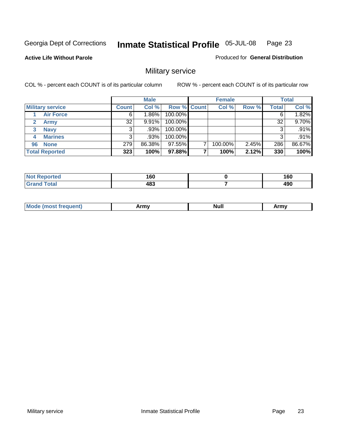**Active Life Without Parole** 

Produced for **General Distribution**

### Military service

|                         |              | <b>Male</b> |                    | <b>Female</b> |          |       | <b>Total</b> |
|-------------------------|--------------|-------------|--------------------|---------------|----------|-------|--------------|
| <b>Military service</b> | <b>Count</b> | Col %       | <b>Row % Count</b> | Col %         | Row %    | Total | Col %        |
| <b>Air Force</b>        | 6            | $1.86\%$    | 100.00%            |               |          |       | 1.82%        |
| <b>Army</b>             | 32           | 9.91%       | 100.00%            |               |          | 32    | 9.70%        |
| <b>Navy</b><br>3        |              | .93%        | 100.00%            |               |          |       | .91%         |
| <b>Marines</b><br>4     | 3            | .93%        | 100.00%            |               |          | 3     | .91%         |
| 96 None                 | 279          | 86.38%      | 97.55%             | 100.00%       | $2.45\%$ | 286   | 86.67%       |
| <b>Total Reported</b>   | 323          | 100%        | 97.88%             | 100%          | 2.12%    | 330   | 100%         |

| erted (     | A CO<br>∣ vu<br>__ | 160<br>- - |
|-------------|--------------------|------------|
| $C = 4 - 1$ | 483                | 490        |

| M<br><b>IVUII</b><br>.<br>. |
|-----------------------------|
|-----------------------------|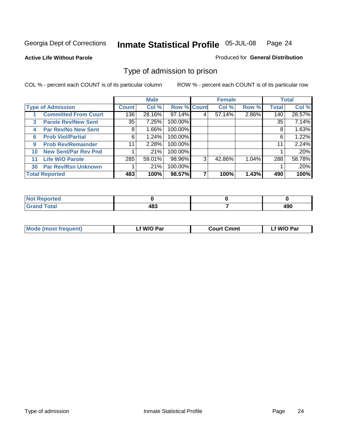#### **Active Life Without Parole**

#### Produced for **General Distribution**

#### Type of admission to prison

|    |                             |              | <b>Male</b> |                    |   | <b>Female</b> |       |              | <b>Total</b> |
|----|-----------------------------|--------------|-------------|--------------------|---|---------------|-------|--------------|--------------|
|    | <b>Type of Admission</b>    | <b>Count</b> | Col %       | <b>Row % Count</b> |   | Col %         | Row % | <b>Total</b> | Col %        |
|    | <b>Committed From Court</b> | 136          | 28.16%      | 97.14%             | 4 | 57.14%        | 2.86% | 140          | 28.57%       |
| 3  | <b>Parole Rev/New Sent</b>  | 35 l         | 7.25%       | 100.00%            |   |               |       | 35           | 7.14%        |
| 4  | <b>Par Rev/No New Sent</b>  | 8            | 1.66%       | 100.00%            |   |               |       | 8            | 1.63%        |
| 6  | <b>Prob Viol/Partial</b>    | 6            | 1.24%       | 100.00%            |   |               |       | 6            | 1.22%        |
| 9  | <b>Prob Rev/Remainder</b>   | 11           | 2.28%       | 100.00%            |   |               |       | 11           | 2.24%        |
| 10 | <b>New Sent/Par Rev Pnd</b> |              | .21%        | 100.00%            |   |               |       |              | .20%         |
| 11 | <b>Life W/O Parole</b>      | 285          | 59.01%      | 98.96%             | 3 | 42.86%        | 1.04% | 288          | 58.78%       |
| 30 | <b>Par Rev/Rsn Unknown</b>  |              | .21%        | 100.00%            |   |               |       |              | .20%         |
|    | <b>Total Reported</b>       | 483          | 100%        | 98.57%             |   | 100%          | 1.43% | 490          | 100%         |

| eported<br>NOT                                  |     |             |
|-------------------------------------------------|-----|-------------|
| <b>Total</b><br>Grs<br>$\sim$ . $\sim$ . $\sim$ | 409 | ,,,<br>7J U |

| <b>Mode (most frequent)</b> | <b>W/O Par</b> | <b>Court Cmmt</b> | M/O Par |  |
|-----------------------------|----------------|-------------------|---------|--|
|                             |                |                   |         |  |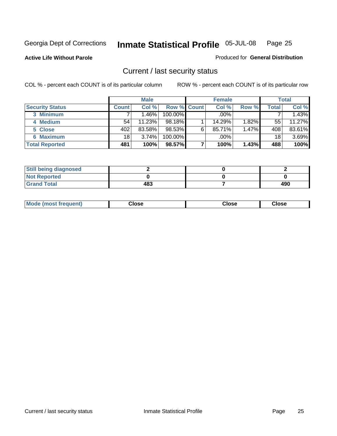**Active Life Without Parole** 

Produced for **General Distribution**

#### Current / last security status

|                        |         | <b>Male</b> |                    |   | <b>Female</b> |          |       | <b>Total</b> |
|------------------------|---------|-------------|--------------------|---|---------------|----------|-------|--------------|
| <b>Security Status</b> | Count l | Col %       | <b>Row % Count</b> |   | Col %         | Row %    | Total | Col %        |
| 3 Minimum              |         | 1.46%       | $100.00\%$         |   | .00%          |          |       | 1.43%        |
| 4 Medium               | 54      | 11.23%      | 98.18%             |   | 14.29%        | $1.82\%$ | 55    | 11.27%       |
| 5 Close                | 402     | 83.58%      | 98.53%             | 6 | 85.71%        | 1.47%    | 408   | 83.61%       |
| <b>6 Maximum</b>       | 18      | 3.74%       | 100.00%            |   | .00%          |          | 18    | 3.69%        |
| <b>Total Reported</b>  | 481     | 100%        | 98.57%             |   | 100%          | 1.43%    | 488   | 100%         |

| <b>Still being diagnosed</b> |     |     |
|------------------------------|-----|-----|
| <b>Not Reported</b>          |     |     |
| <b>Grand Total</b>           | 483 | 490 |

| <b>Mode</b><br><b>OSE</b><br>∵lose<br>(most frequent)<br>oseث<br>- - - -<br>- - - -<br>- - - - |  |
|------------------------------------------------------------------------------------------------|--|
|------------------------------------------------------------------------------------------------|--|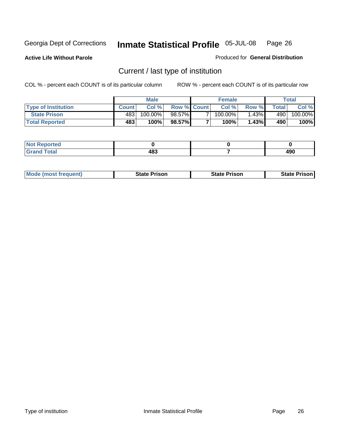**Active Life Without Parole** 

Produced for **General Distribution**

### Current / last type of institution

|                            |              | <b>Male</b> |                    | <b>Female</b> |        |        | Total   |
|----------------------------|--------------|-------------|--------------------|---------------|--------|--------|---------|
| <b>Type of Institution</b> | <b>Count</b> | Col%        | <b>Row % Count</b> | Col %         | Row %I | Totall | Col %   |
| <b>State Prison</b>        | 483          | 100.00%」    | 98.57%             | $100.00\%$    | 1.43%┃ | 490    | 100.00% |
| <b>Total Reported</b>      | 483          | 100%        | 98.57%             | $100\%$       | 1.43%  | 490    | 100%    |

| Reported<br> |               |      |
|--------------|---------------|------|
| <b>otal</b>  | $AB^{\sigma}$ | ۸ مه |
| <b>Circ</b>  | 10J           | 49U  |

| <b>Mode (most frequent)</b> | <b>State Prison</b> | <b>State Prison</b> | <b>State Prison I</b> |
|-----------------------------|---------------------|---------------------|-----------------------|
|                             |                     |                     |                       |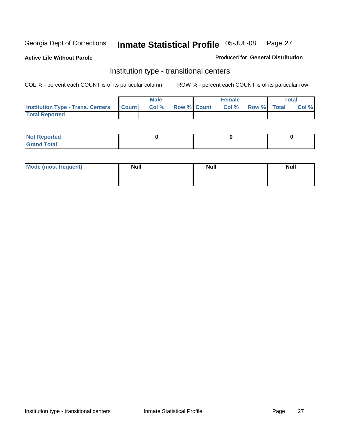**Active Life Without Parole** 

Produced for **General Distribution**

#### Institution type - transitional centers

|                                          |              | <b>Male</b> |                    | <b>Female</b> |             | <b>Total</b> |
|------------------------------------------|--------------|-------------|--------------------|---------------|-------------|--------------|
| <b>Institution Type - Trans. Centers</b> | <b>Count</b> | Col %       | <b>Row % Count</b> | Col %         | Row % Total | Col %        |
| <b>Total Reported</b>                    |              |             |                    |               |             |              |

| <b>Not Reported</b>             |  |  |
|---------------------------------|--|--|
| Cotal<br>Cror<br>. <del>.</del> |  |  |

| Mode (most frequent) | <b>Null</b> | <b>Null</b> | <b>Null</b> |
|----------------------|-------------|-------------|-------------|
|                      |             |             |             |
|                      |             |             |             |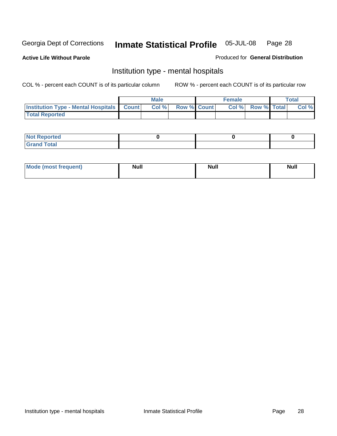**Active Life Without Parole** 

Produced for **General Distribution**

#### Institution type - mental hospitals

|                                                    | Male |                    | <b>Female</b> |                    | <b>Total</b> |
|----------------------------------------------------|------|--------------------|---------------|--------------------|--------------|
| <b>Institution Type - Mental Hospitals Count  </b> | Col% | <b>Row % Count</b> | Col%          | <b>Row % Total</b> | Col %        |
| <b>Total Reported</b>                              |      |                    |               |                    |              |

| <b>Not Reported</b> |  |  |
|---------------------|--|--|
| <b>Total</b><br>Cro |  |  |

| Mode (most frequent) | <b>Null</b> | <b>Null</b> | <b>Null</b> |
|----------------------|-------------|-------------|-------------|
|                      |             |             |             |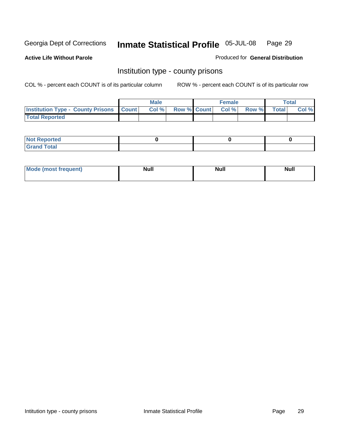**Active Life Without Parole** 

Produced for **General Distribution**

#### Institution type - county prisons

|                                                    | <b>Male</b> |  | <b>Female</b>            |              |       | Total |
|----------------------------------------------------|-------------|--|--------------------------|--------------|-------|-------|
| <b>Institution Type - County Prisons   Count  </b> | Col %       |  | <b>Row % Count Col %</b> | <b>Row %</b> | Total | Col % |
| <b>Total Reported</b>                              |             |  |                          |              |       |       |

| <b>Not Reported</b>        |  |  |
|----------------------------|--|--|
| <b>Total</b><br>.Grar<br>_ |  |  |

| <b>Mo</b><br>frequent) | NI. . II<br>1u 11 | <b>Moll</b> | <b>Null</b> |
|------------------------|-------------------|-------------|-------------|
|                        |                   |             |             |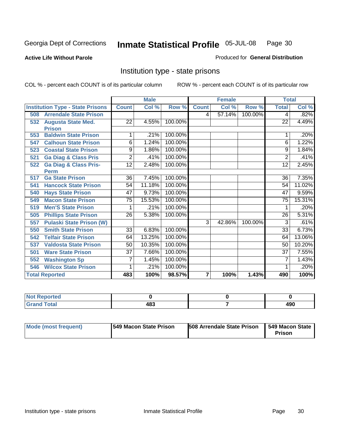#### **Active Life Without Parole**

#### Produced for **General Distribution**

#### Institution type - state prisons

|     |                                         | <b>Male</b>     |        | <b>Female</b> |              |        | <b>Total</b> |                 |          |
|-----|-----------------------------------------|-----------------|--------|---------------|--------------|--------|--------------|-----------------|----------|
|     | <b>Institution Type - State Prisons</b> | <b>Count</b>    | Col %  | Row %         | <b>Count</b> | Col %  | Row %        | <b>Total</b>    | Col %    |
| 508 | <b>Arrendale State Prison</b>           |                 |        |               | 4            | 57.14% | 100.00%      | 4               | .82%     |
| 532 | <b>Augusta State Med.</b>               | 22              | 4.55%  | 100.00%       |              |        |              | 22              | 4.49%    |
|     | <b>Prison</b>                           |                 |        |               |              |        |              |                 |          |
| 553 | <b>Baldwin State Prison</b>             | 1               | .21%   | 100.00%       |              |        |              |                 | .20%     |
| 547 | <b>Calhoun State Prison</b>             | 6               | 1.24%  | 100.00%       |              |        |              | 6               | 1.22%    |
| 523 | <b>Coastal State Prison</b>             | 9               | 1.86%  | 100.00%       |              |        |              | 9               | 1.84%    |
| 521 | <b>Ga Diag &amp; Class Pris</b>         | $\overline{2}$  | .41%   | 100.00%       |              |        |              | $\overline{2}$  | .41%     |
| 522 | <b>Ga Diag &amp; Class Pris-</b>        | 12              | 2.48%  | 100.00%       |              |        |              | 12              | 2.45%    |
|     | <b>Perm</b>                             |                 |        |               |              |        |              |                 |          |
| 517 | <b>Ga State Prison</b>                  | 36              | 7.45%  | 100.00%       |              |        |              | 36              | $7.35\%$ |
| 541 | <b>Hancock State Prison</b>             | 54              | 11.18% | 100.00%       |              |        |              | 54              | 11.02%   |
| 540 | <b>Hays State Prison</b>                | 47              | 9.73%  | 100.00%       |              |        |              | 47              | 9.59%    |
| 549 | <b>Macon State Prison</b>               | $\overline{75}$ | 15.53% | 100.00%       |              |        |              | $\overline{75}$ | 15.31%   |
| 519 | <b>Men'S State Prison</b>               |                 | .21%   | 100.00%       |              |        |              |                 | .20%     |
| 505 | <b>Phillips State Prison</b>            | $\overline{26}$ | 5.38%  | 100.00%       |              |        |              | $\overline{26}$ | 5.31%    |
| 557 | <b>Pulaski State Prison (W)</b>         |                 |        |               | 3            | 42.86% | 100.00%      | 3               | .61%     |
| 550 | <b>Smith State Prison</b>               | $\overline{33}$ | 6.83%  | 100.00%       |              |        |              | $\overline{33}$ | 6.73%    |
| 542 | <b>Telfair State Prison</b>             | 64              | 13.25% | 100.00%       |              |        |              | 64              | 13.06%   |
| 537 | <b>Valdosta State Prison</b>            | 50              | 10.35% | 100.00%       |              |        |              | 50              | 10.20%   |
| 501 | <b>Ware State Prison</b>                | $\overline{37}$ | 7.66%  | 100.00%       |              |        |              | 37              | 7.55%    |
| 552 | <b>Washington Sp</b>                    | 7               | 1.45%  | 100.00%       |              |        |              | 7               | 1.43%    |
| 546 | <b>Wilcox State Prison</b>              |                 | .21%   | 100.00%       |              |        |              |                 | .20%     |
|     | <b>Total Reported</b>                   | 483             | 100%   | 98.57%        | 7            | 100%   | 1.43%        | 490             | 100%     |

| <b>Reported</b>     |     |             |
|---------------------|-----|-------------|
| <b>Total</b><br>Gra | 483 | 00 א<br>4JU |

| Mode (most frequent) | 1549 Macon State Prison | <b>508 Arrendale State Prison</b> | 1549 Macon State 1<br>Prison |
|----------------------|-------------------------|-----------------------------------|------------------------------|
|----------------------|-------------------------|-----------------------------------|------------------------------|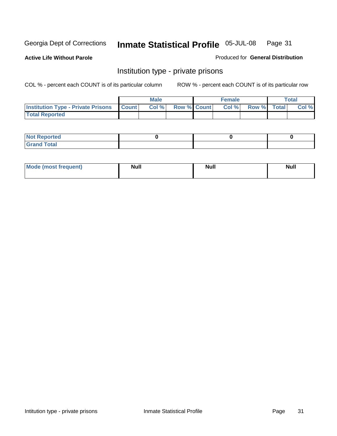**Active Life Without Parole** 

Produced for **General Distribution**

#### Institution type - private prisons

|                                                     | <b>Male</b> |                    | <b>Female</b> |             | Total |
|-----------------------------------------------------|-------------|--------------------|---------------|-------------|-------|
| <b>Institution Type - Private Prisons   Count  </b> | Col %       | <b>Row % Count</b> | Col %         | Row % Total | Col % |
| <b>Total Reported</b>                               |             |                    |               |             |       |

| <b>Not Reported</b>        |  |  |
|----------------------------|--|--|
| <b>otal</b><br>. Gror<br>. |  |  |

| Mode (most frequent) | <b>Null</b> | <b>Null</b> | <b>Null</b> |
|----------------------|-------------|-------------|-------------|
|                      |             |             |             |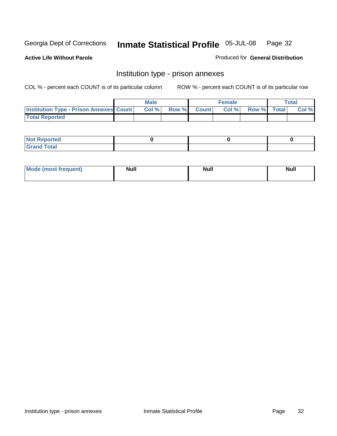**Active Life Without Parole** 

Produced for **General Distribution**

#### Institution type - prison annexes

|                                                | <b>Male</b> |              |                | <b>Female</b> |             | <b>Total</b> |
|------------------------------------------------|-------------|--------------|----------------|---------------|-------------|--------------|
| <b>Institution Type - Prison Annexes Count</b> | Col %       | <b>Row %</b> | <b>Count</b> Ⅰ | Col%          | Row % Total | Col %        |
| <b>Total Reported</b>                          |             |              |                |               |             |              |

| <b>Not</b><br><b>Reported</b>    |  |  |
|----------------------------------|--|--|
| <b>Total</b><br>Gran<br>$\sim$ . |  |  |

| Mode (most frequent) | <b>Null</b> | <b>Null</b> | <b>Null</b> |
|----------------------|-------------|-------------|-------------|
|                      |             |             |             |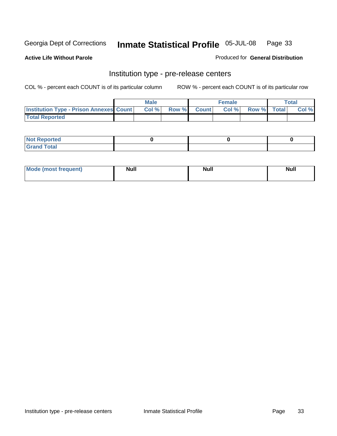**Active Life Without Parole** 

Produced for **General Distribution**

#### Institution type - pre-release centers

|                                                | <b>Male</b> |       |              | Female |             | <b>Total</b> |
|------------------------------------------------|-------------|-------|--------------|--------|-------------|--------------|
| <b>Institution Type - Prison Annexes Count</b> | Col %       | Row % | <b>Count</b> | Col%   | Row % Total | Col %        |
| <b>Total Reported</b>                          |             |       |              |        |             |              |

| <b>Not</b><br><b>Reported</b>    |  |  |
|----------------------------------|--|--|
| <b>Total</b><br>Gran<br>$\sim$ . |  |  |

| Mode (most frequent) | <b>Null</b> | <b>Null</b> | <b>Null</b> |
|----------------------|-------------|-------------|-------------|
|                      |             |             |             |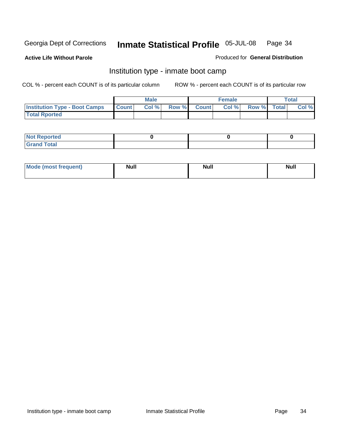**Active Life Without Parole** 

Produced for **General Distribution**

#### Institution type - inmate boot camp

|                                      |              | Male  |             | <b>Female</b> |             | <b>Total</b> |
|--------------------------------------|--------------|-------|-------------|---------------|-------------|--------------|
| <b>Institution Type - Boot Camps</b> | <b>Count</b> | Col % | Row % Count | Col%          | Row % Total | Col %        |
| <b>Total Rported</b>                 |              |       |             |               |             |              |

| <b>Not Reported</b>  |  |  |
|----------------------|--|--|
| <b>Total</b><br>Croy |  |  |

| Mode (most frequent) | <b>Null</b> | <b>Null</b> | <b>Null</b> |
|----------------------|-------------|-------------|-------------|
|                      |             |             |             |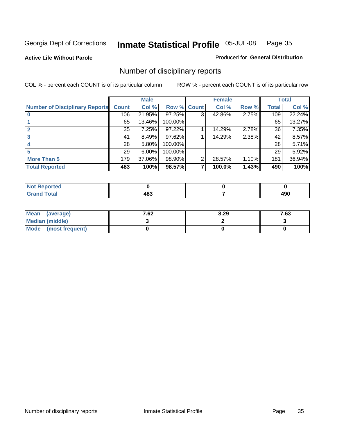**Active Life Without Parole** 

Produced for **General Distribution**

### Number of disciplinary reports

|                                       |                 | <b>Male</b> |                    |   | <b>Female</b> |       |                 | <b>Total</b> |
|---------------------------------------|-----------------|-------------|--------------------|---|---------------|-------|-----------------|--------------|
| <b>Number of Disciplinary Reports</b> | <b>Count</b>    | Col %       | <b>Row % Count</b> |   | Col %         | Row % | <b>Total</b>    | Col %        |
|                                       | 106             | 21.95%      | 97.25%             | 3 | 42.86%        | 2.75% | 109             | 22.24%       |
|                                       | 65              | 13.46%      | 100.00%            |   |               |       | 65              | 13.27%       |
|                                       | 35              | 7.25%       | 97.22%             |   | 14.29%        | 2.78% | 36              | 7.35%        |
| 3                                     | 41              | 8.49%       | 97.62%             |   | 14.29%        | 2.38% | 42              | 8.57%        |
|                                       | 28 <sup>1</sup> | 5.80%       | 100.00%            |   |               |       | 28 <sup>1</sup> | 5.71%        |
|                                       | 29              | 6.00%       | 100.00%            |   |               |       | 29 <sup>1</sup> | 5.92%        |
| <b>More Than 5</b>                    | 179             | 37.06%      | 98.90%             | 2 | 28.57%        | 1.10% | 181             | 36.94%       |
| <b>Total Reported</b>                 | 483             | 100%        | 98.57%             | 7 | 100.0%        | 1.43% | 490             | 100%         |

| .<br>N<br>тес  |                 |                      |
|----------------|-----------------|----------------------|
| T <sub>1</sub> | ៰េ<br>4о-<br>__ | .<br>ה<br>4JU<br>- - |

| Mean (average)       | 7.62 | 8.29 | 7.63 |
|----------------------|------|------|------|
| Median (middle)      |      |      |      |
| Mode (most frequent) |      |      |      |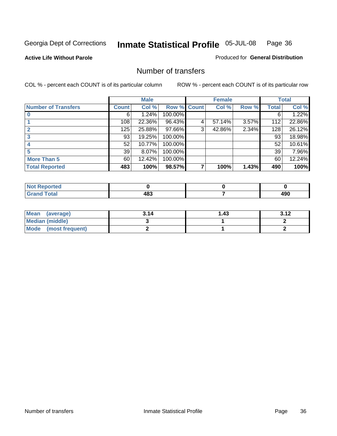**Active Life Without Parole** 

Produced for **General Distribution**

#### Number of transfers

|                            |              | <b>Male</b> |                    |   | <b>Female</b> |       |              | <b>Total</b> |
|----------------------------|--------------|-------------|--------------------|---|---------------|-------|--------------|--------------|
| <b>Number of Transfers</b> | <b>Count</b> | Col %       | <b>Row % Count</b> |   | Col %         | Row % | <b>Total</b> | Col %        |
|                            | 6            | 1.24%       | 100.00%            |   |               |       | 6            | 1.22%        |
|                            | 108          | 22.36%      | 96.43%             | 4 | 57.14%        | 3.57% | 112          | 22.86%       |
|                            | 125          | 25.88%      | 97.66%             | 3 | 42.86%        | 2.34% | 128          | 26.12%       |
| 3                          | 93           | 19.25%      | 100.00%            |   |               |       | 93           | 18.98%       |
|                            | 52           | 10.77%      | 100.00%            |   |               |       | 52           | 10.61%       |
|                            | 39           | 8.07%       | 100.00%            |   |               |       | 39           | 7.96%        |
| <b>More Than 5</b>         | 60           | 12.42%      | 100.00%            |   |               |       | 60           | 12.24%       |
| <b>Total Reported</b>      | 483          | 100%        | 98.57%             | 7 | 100%          | 1.43% | 490          | 100%         |

| N<br>тео  |                 |            |
|-----------|-----------------|------------|
| $\sim$ 10 | 20<br>-<br>$ -$ | Anr<br>43U |

| Mean (average)       | 3.14 | l.43 | 3.12 |
|----------------------|------|------|------|
| Median (middle)      |      |      |      |
| Mode (most frequent) |      |      |      |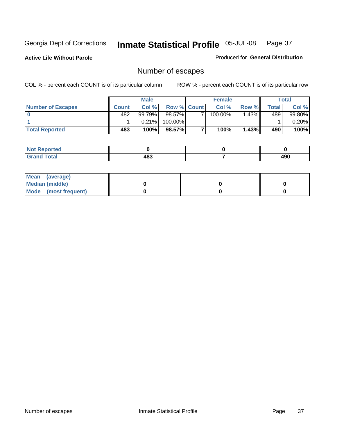**Active Life Without Parole** 

Produced for **General Distribution**

# Number of escapes

|                       |         | <b>Male</b> |                    | <b>Female</b> |       |       | Total  |
|-----------------------|---------|-------------|--------------------|---------------|-------|-------|--------|
| Number of Escapes     | Count l | Col %       | <b>Row % Count</b> | Col %         | Row % | Total | Col %  |
|                       | 482     | 99.79%      | $98.57\%$          | $100.00\%$    | .43%  | 489   | 99.80% |
|                       |         | 0.21%       | 100.00%            |               |       |       | 0.20%  |
| <b>Total Reported</b> | 483     | 100%        | 98.57%             | 100%          | 1.43% | 490   | 100%   |

| neo                             |                     |     |
|---------------------------------|---------------------|-----|
| <b>otal</b><br>$\mathbf{v}$ and | $48^{\circ}$<br>TV. | 490 |

| Mean (average)       |  |  |
|----------------------|--|--|
| Median (middle)      |  |  |
| Mode (most frequent) |  |  |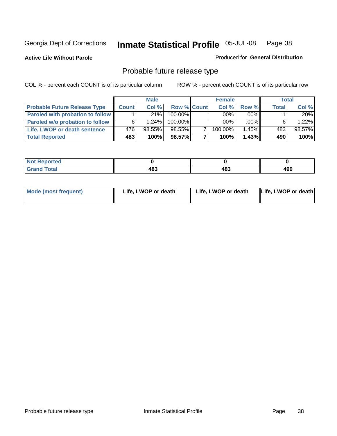**Active Life Without Parole** 

Produced for **General Distribution**

# Probable future release type

|                                         |              | <b>Male</b> |                    | <b>Female</b> |         | Total        |        |
|-----------------------------------------|--------------|-------------|--------------------|---------------|---------|--------------|--------|
| <b>Probable Future Release Type</b>     | <b>Count</b> | Col%        | <b>Row % Count</b> | Col%          | Row %   | <b>Total</b> | Col %  |
| <b>Paroled with probation to follow</b> |              | $.21\%$     | 100.00%            | $.00\%$       | $.00\%$ |              | .20%   |
| Paroled w/o probation to follow         |              | 1.24%       | $100.00\%$         | $.00\%$       | $.00\%$ |              | 1.22%  |
| Life, LWOP or death sentence            | 476          | $98.55\%$   | 98.55%             | 100.00%       | 1.45%   | 483          | 98.57% |
| <b>Total Reported</b>                   | 483          | 100%        | 98.57%             | 100%          | 1.43%   | 490          | 100%   |

| .ec         |                    |            |                 |
|-------------|--------------------|------------|-----------------|
| $- - - - -$ | י הי<br>40J<br>- - | ^۹۵<br>ŀυ. | . .<br>.<br>ャンひ |

| Mode (most frequent) | Life, LWOP or death | Life, LWOP or death | Life, LWOP or death |
|----------------------|---------------------|---------------------|---------------------|
|----------------------|---------------------|---------------------|---------------------|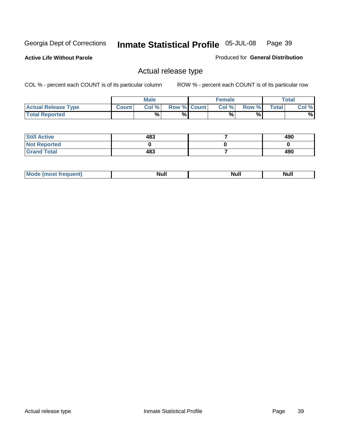**Active Life Without Parole** 

Produced for **General Distribution**

### Actual release type

|                            |              | <b>Male</b> |                    | <b>Female</b> |        |       | $\tau$ otal |
|----------------------------|--------------|-------------|--------------------|---------------|--------|-------|-------------|
| <b>Actual Release Type</b> | <b>Count</b> | Col %       | <b>Row % Count</b> | Col %         | Row %I | Total | Col %       |
| <b>Total Reported</b>      |              | $\%$        | %                  | %             | %      |       | %           |

| <b>Still Active</b> | 483 | 490 |
|---------------------|-----|-----|
| <b>Not Reported</b> |     |     |
| <b>Grand Total</b>  | 483 | 490 |

| M<br>_____<br>_____ | NI | Null | $\cdots$ |
|---------------------|----|------|----------|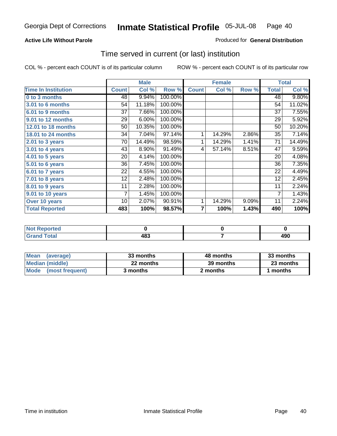### **Active Life Without Parole**

### Produced for **General Distribution**

### Time served in current (or last) institution

|                            |              | <b>Male</b> |         |              | <b>Female</b> |       |                | <b>Total</b> |
|----------------------------|--------------|-------------|---------|--------------|---------------|-------|----------------|--------------|
| <b>Time In Institution</b> | <b>Count</b> | Col %       | Row %   | <b>Count</b> | Col %         | Row % | <b>Total</b>   | Col %        |
| 0 to 3 months              | 48           | 9.94%       | 100.00% |              |               |       | 48             | 9.80%        |
| 3.01 to 6 months           | 54           | 11.18%      | 100.00% |              |               |       | 54             | 11.02%       |
| 6.01 to 9 months           | 37           | 7.66%       | 100.00% |              |               |       | 37             | 7.55%        |
| 9.01 to 12 months          | 29           | 6.00%       | 100.00% |              |               |       | 29             | 5.92%        |
| 12.01 to 18 months         | 50           | 10.35%      | 100.00% |              |               |       | 50             | 10.20%       |
| 18.01 to 24 months         | 34           | 7.04%       | 97.14%  | 1            | 14.29%        | 2.86% | 35             | 7.14%        |
| 2.01 to 3 years            | 70           | 14.49%      | 98.59%  | 1            | 14.29%        | 1.41% | 71             | 14.49%       |
| $3.01$ to 4 years          | 43           | 8.90%       | 91.49%  | 4            | 57.14%        | 8.51% | 47             | 9.59%        |
| 4.01 to 5 years            | 20           | 4.14%       | 100.00% |              |               |       | 20             | 4.08%        |
| 5.01 to 6 years            | 36           | 7.45%       | 100.00% |              |               |       | 36             | 7.35%        |
| 6.01 to 7 years            | 22           | 4.55%       | 100.00% |              |               |       | 22             | 4.49%        |
| $7.01$ to 8 years          | 12           | 2.48%       | 100.00% |              |               |       | 12             | 2.45%        |
| 8.01 to 9 years            | 11           | 2.28%       | 100.00% |              |               |       | 11             | 2.24%        |
| 9.01 to 10 years           | 7            | 1.45%       | 100.00% |              |               |       | $\overline{7}$ | 1.43%        |
| Over 10 years              | 10           | 2.07%       | 90.91%  | 1            | 14.29%        | 9.09% | 11             | 2.24%        |
| <b>Total Reported</b>      | 483          | 100%        | 98.57%  | 7            | 100%          | 1.43% | 490            | 100%         |

| <b>Reported</b><br><b>Not</b> |            |             |
|-------------------------------|------------|-------------|
| <b>Total</b>                  | 122<br>10J | anr<br>4J U |

| <b>Mean</b><br>(average) | 33 months | 48 months | 33 months |  |
|--------------------------|-----------|-----------|-----------|--|
| Median (middle)          | 22 months | 39 months | 23 months |  |
| Mode (most frequent)     | 3 months  | 2 months  | months    |  |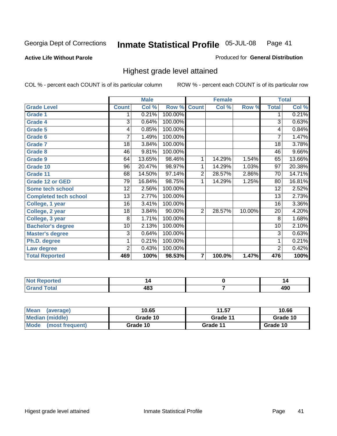**Active Life Without Parole** 

Produced for **General Distribution**

### Highest grade level attained

|                              |                 | <b>Male</b> |         |                | <b>Female</b> |        |                 | <b>Total</b> |
|------------------------------|-----------------|-------------|---------|----------------|---------------|--------|-----------------|--------------|
| <b>Grade Level</b>           | <b>Count</b>    | Col %       | Row %   | <b>Count</b>   | Col %         | Row %  | <b>Total</b>    | Col %        |
| <b>Grade 1</b>               | 1               | 0.21%       | 100.00% |                |               |        | 1               | 0.21%        |
| <b>Grade 4</b>               | 3               | 0.64%       | 100.00% |                |               |        | $\overline{3}$  | 0.63%        |
| Grade 5                      | 4               | 0.85%       | 100.00% |                |               |        | 4               | 0.84%        |
| Grade 6                      | 7               | 1.49%       | 100.00% |                |               |        | $\overline{7}$  | 1.47%        |
| <b>Grade 7</b>               | 18              | 3.84%       | 100.00% |                |               |        | $\overline{18}$ | 3.78%        |
| <b>Grade 8</b>               | 46              | 9.81%       | 100.00% |                |               |        | 46              | $9.66\%$     |
| <b>Grade 9</b>               | 64              | 13.65%      | 98.46%  | 1              | 14.29%        | 1.54%  | 65              | 13.66%       |
| Grade 10                     | $\overline{96}$ | 20.47%      | 98.97%  | 1              | 14.29%        | 1.03%  | $\overline{97}$ | 20.38%       |
| Grade 11                     | 68              | 14.50%      | 97.14%  | $\overline{2}$ | 28.57%        | 2.86%  | 70              | 14.71%       |
| <b>Grade 12 or GED</b>       | 79              | 16.84%      | 98.75%  | 1              | 14.29%        | 1.25%  | 80              | 16.81%       |
| <b>Some tech school</b>      | 12              | 2.56%       | 100.00% |                |               |        | 12              | 2.52%        |
| <b>Completed tech school</b> | 13              | 2.77%       | 100.00% |                |               |        | 13              | 2.73%        |
| College, 1 year              | 16              | 3.41%       | 100.00% |                |               |        | 16              | 3.36%        |
| College, 2 year              | 18              | 3.84%       | 90.00%  | $\overline{2}$ | 28.57%        | 10.00% | 20              | 4.20%        |
| College, 3 year              | 8               | 1.71%       | 100.00% |                |               |        | 8               | 1.68%        |
| <b>Bachelor's degree</b>     | 10              | 2.13%       | 100.00% |                |               |        | 10              | 2.10%        |
| <b>Master's degree</b>       | 3               | 0.64%       | 100.00% |                |               |        | 3               | 0.63%        |
| Ph.D. degree                 | 1               | 0.21%       | 100.00% |                |               |        | 1               | 0.21%        |
| Law degree                   | $\overline{2}$  | 0.43%       | 100.00% |                |               |        | $\overline{2}$  | 0.42%        |
| <b>Total Reported</b>        | 469             | 100%        | 98.53%  | $\overline{7}$ | 100.0%        | 1.47%  | 476             | 100%         |

| 15 March<br><b>Constitution and</b><br>τeα<br>N0 | 4   |            |
|--------------------------------------------------|-----|------------|
| $T = 4 - T$<br><b>C.A.A</b>                      | 483 | ,,,<br>4JU |

| <b>Mean</b><br>(average)       | 10.65    | 11.57    | 10.66    |
|--------------------------------|----------|----------|----------|
| Median (middle)                | Grade 10 | Grade 11 | Grade 10 |
| <b>Mode</b><br>(most frequent) | Grade 10 | Grade 11 | Grade 10 |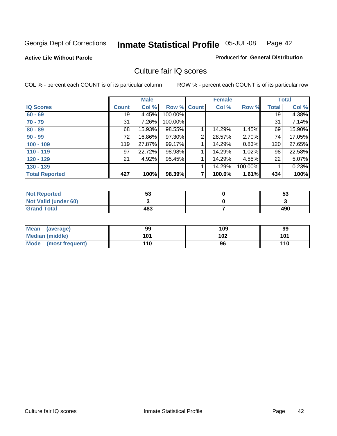#### **Active Life Without Parole**

#### Produced for **General Distribution**

### Culture fair IQ scores

|                       |              | <b>Male</b> |             |   | <b>Female</b> |         |              | <b>Total</b> |
|-----------------------|--------------|-------------|-------------|---|---------------|---------|--------------|--------------|
| <b>IQ Scores</b>      | <b>Count</b> | Col %       | Row % Count |   | Col %         | Row %   | <b>Total</b> | Col %        |
| $60 - 69$             | 19           | 4.45%       | 100.00%     |   |               |         | 19           | 4.38%        |
| $70 - 79$             | 31           | 7.26%       | 100.00%     |   |               |         | 31           | 7.14%        |
| $80 - 89$             | 68           | 15.93%      | 98.55%      |   | 14.29%        | 1.45%   | 69           | 15.90%       |
| $90 - 99$             | 72           | 16.86%      | 97.30%      | 2 | 28.57%        | 2.70%   | 74           | 17.05%       |
| $100 - 109$           | 119          | 27.87%      | 99.17%      |   | 14.29%        | 0.83%   | 120          | 27.65%       |
| $110 - 119$           | 97           | 22.72%      | 98.98%      |   | 14.29%        | 1.02%   | 98           | 22.58%       |
| $120 - 129$           | 21           | 4.92%       | 95.45%      |   | 14.29%        | 4.55%   | 22           | 5.07%        |
| $130 - 139$           |              |             |             | 1 | 14.29%        | 100.00% |              | 0.23%        |
| <b>Total Reported</b> | 427          | 100%        | 98.39%      | 7 | 100.0%        | 1.61%   | 434          | 100%         |

| <b>Not Reported</b>  | -0<br>აა | 53  |
|----------------------|----------|-----|
| Not Valid (under 60) |          |     |
| <b>Grand Total</b>   | 483      | 490 |

| <b>Mean</b><br>(average) | 99  | 109 | 99  |
|--------------------------|-----|-----|-----|
| <b>Median (middle)</b>   | 101 | 102 | 101 |
| Mode<br>(most frequent)  | 110 | 96  | 110 |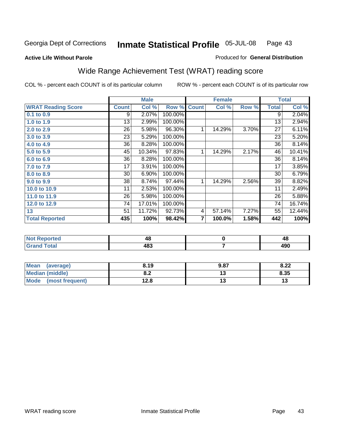#### **Active Life Without Parole**

#### Produced for **General Distribution**

# Wide Range Achievement Test (WRAT) reading score

|                           |              | <b>Male</b> |         |                         | <b>Female</b> |       |              | <b>Total</b>    |
|---------------------------|--------------|-------------|---------|-------------------------|---------------|-------|--------------|-----------------|
| <b>WRAT Reading Score</b> | <b>Count</b> | Col %       | Row %   | <b>Count</b>            | Col %         | Row % | <b>Total</b> | Col %           |
| 0.1 to 0.9                | 9            | 2.07%       | 100.00% |                         |               |       | 9            | 2.04%           |
| 1.0 to 1.9                | 13           | 2.99%       | 100.00% |                         |               |       | 13           | 2.94%           |
| 2.0 to 2.9                | 26           | 5.98%       | 96.30%  | 1                       | 14.29%        | 3.70% | 27           | 6.11%           |
| 3.0 to 3.9                | 23           | 5.29%       | 100.00% |                         |               |       | 23           | 5.20%           |
| 4.0 to 4.9                | 36           | 8.28%       | 100.00% |                         |               |       | 36           | 8.14%           |
| 5.0 to 5.9                | 45           | 10.34%      | 97.83%  | 1                       | 14.29%        | 2.17% | 46           | 10.41%          |
| 6.0 to 6.9                | 36           | 8.28%       | 100.00% |                         |               |       | 36           | 8.14%           |
| 7.0 to 7.9                | 17           | 3.91%       | 100.00% |                         |               |       | 17           | 3.85%           |
| 8.0 to 8.9                | 30           | 6.90%       | 100.00% |                         |               |       | 30           | 6.79%           |
| 9.0 to 9.9                | 38           | 8.74%       | 97.44%  | 1                       | 14.29%        | 2.56% | 39           | 8.82%           |
| 10.0 to 10.9              | 11           | 2.53%       | 100.00% |                         |               |       | 11           | 2.49%           |
| 11.0 to 11.9              | 26           | 5.98%       | 100.00% |                         |               |       | 26           | 5.88%           |
| 12.0 to 12.9              | 74           | 17.01%      | 100.00% |                         |               |       | 74           | 16.74%          |
| 13                        | 51           | 11.72%      | 92.73%  | 4                       | 57.14%        | 7.27% | 55           | 12.44%          |
| <b>Total Reported</b>     | 435          | 100%        | 98.42%  | $\overline{\mathbf{r}}$ | 100.0%        | 1.58% | 442          | 100%            |
|                           |              |             |         |                         |               |       |              |                 |
| Not Penerted              |              | A Q         |         |                         | $\mathbf{r}$  |       |              | $\overline{AB}$ |

| 70  | - 6   |
|-----|-------|
| 483 | A O O |
|     |       |

| Mean (average)         | 8.19       | 9.87 | 8.22 |
|------------------------|------------|------|------|
| <b>Median (middle)</b> | י ה<br>o.z |      | 8.35 |
| Mode (most frequent)   | 12.8       | . .  | 13   |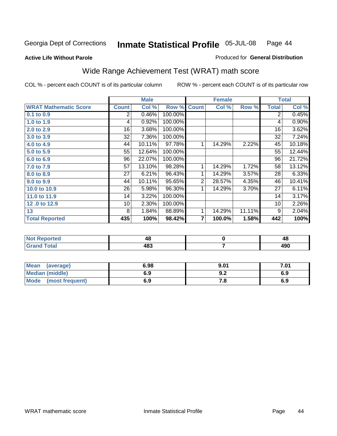#### **Active Life Without Parole**

### Produced for **General Distribution**

# Wide Range Achievement Test (WRAT) math score

|                              |              | <b>Male</b> |         |                | <b>Female</b> |        |              | <b>Total</b> |
|------------------------------|--------------|-------------|---------|----------------|---------------|--------|--------------|--------------|
| <b>WRAT Mathematic Score</b> | <b>Count</b> | Col %       | Row %   | <b>Count</b>   | Col %         | Row %  | <b>Total</b> | Col %        |
| $0.1$ to 0.9                 | 2            | 0.46%       | 100.00% |                |               |        | 2            | 0.45%        |
| 1.0 to 1.9                   | 4            | 0.92%       | 100.00% |                |               |        | 4            | 0.90%        |
| 2.0 to 2.9                   | 16           | 3.68%       | 100.00% |                |               |        | 16           | 3.62%        |
| 3.0 to 3.9                   | 32           | 7.36%       | 100.00% |                |               |        | 32           | 7.24%        |
| 4.0 to 4.9                   | 44           | 10.11%      | 97.78%  | 1              | 14.29%        | 2.22%  | 45           | 10.18%       |
| 5.0 to 5.9                   | 55           | 12.64%      | 100.00% |                |               |        | 55           | 12.44%       |
| 6.0 to 6.9                   | 96           | 22.07%      | 100.00% |                |               |        | 96           | 21.72%       |
| 7.0 to 7.9                   | 57           | 13.10%      | 98.28%  | 1              | 14.29%        | 1.72%  | 58           | 13.12%       |
| 8.0 to 8.9                   | 27           | 6.21%       | 96.43%  | 1              | 14.29%        | 3.57%  | 28           | 6.33%        |
| 9.0 to 9.9                   | 44           | 10.11%      | 95.65%  | 2              | 28.57%        | 4.35%  | 46           | 10.41%       |
| 10.0 to 10.9                 | 26           | 5.98%       | 96.30%  | 1              | 14.29%        | 3.70%  | 27           | 6.11%        |
| 11.0 to 11.9                 | 14           | 3.22%       | 100.00% |                |               |        | 14           | 3.17%        |
| 12.0 to 12.9                 | 10           | 2.30%       | 100.00% |                |               |        | 10           | 2.26%        |
| 13                           | 8            | 1.84%       | 88.89%  | 1              | 14.29%        | 11.11% | 9            | 2.04%        |
| <b>Total Reported</b>        | 435          | 100%        | 98.42%  | $\overline{7}$ | 100.0%        | 1.58%  | 442          | 100%         |

| <b>Not Reported</b> | 40  | 4c         |
|---------------------|-----|------------|
| <b>Grand Total</b>  | 483 | חחו<br>49U |

| Mean (average)         | 6.98 | 9.01 | 7.01 |
|------------------------|------|------|------|
| <b>Median (middle)</b> | 6.9  | J.Z  | 6.9  |
| Mode (most frequent)   | 6.9  | 7.a  | 6.9  |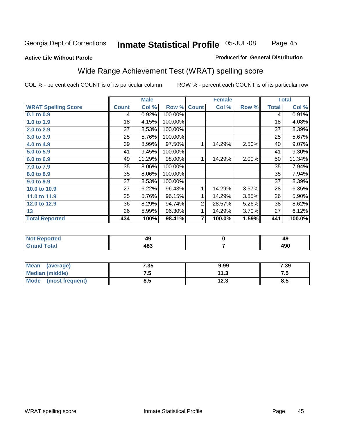Page 45

#### **Active Life Without Parole**

#### Produced for **General Distribution**

# Wide Range Achievement Test (WRAT) spelling score

|                            |              | <b>Male</b> |         |                | <b>Female</b> |       |              | <b>Total</b> |
|----------------------------|--------------|-------------|---------|----------------|---------------|-------|--------------|--------------|
| <b>WRAT Spelling Score</b> | <b>Count</b> | Col %       | Row %   | <b>Count</b>   | Col %         | Row % | <b>Total</b> | Col %        |
| $0.1$ to $0.9$             | 4            | 0.92%       | 100.00% |                |               |       | 4            | 0.91%        |
| 1.0 to 1.9                 | 18           | 4.15%       | 100.00% |                |               |       | 18           | 4.08%        |
| 2.0 to 2.9                 | 37           | 8.53%       | 100.00% |                |               |       | 37           | 8.39%        |
| 3.0 to 3.9                 | 25           | 5.76%       | 100.00% |                |               |       | 25           | 5.67%        |
| 4.0 to 4.9                 | 39           | 8.99%       | 97.50%  | 1              | 14.29%        | 2.50% | 40           | 9.07%        |
| 5.0 to 5.9                 | 41           | 9.45%       | 100.00% |                |               |       | 41           | 9.30%        |
| 6.0 to 6.9                 | 49           | 11.29%      | 98.00%  | 1              | 14.29%        | 2.00% | 50           | 11.34%       |
| 7.0 to 7.9                 | 35           | 8.06%       | 100.00% |                |               |       | 35           | 7.94%        |
| 8.0 to 8.9                 | 35           | 8.06%       | 100.00% |                |               |       | 35           | 7.94%        |
| 9.0 to 9.9                 | 37           | 8.53%       | 100.00% |                |               |       | 37           | 8.39%        |
| 10.0 to 10.9               | 27           | 6.22%       | 96.43%  | 1              | 14.29%        | 3.57% | 28           | 6.35%        |
| 11.0 to 11.9               | 25           | 5.76%       | 96.15%  | 1              | 14.29%        | 3.85% | 26           | 5.90%        |
| 12.0 to 12.9               | 36           | 8.29%       | 94.74%  | $\overline{2}$ | 28.57%        | 5.26% | 38           | 8.62%        |
| 13                         | 26           | 5.99%       | 96.30%  | 1              | 14.29%        | 3.70% | 27           | 6.12%        |
| <b>Total Reported</b>      | 434          | 100%        | 98.41%  | 7              | 100.0%        | 1.59% | 441          | 100.0%       |

| <b>Not Reported</b> | 43  | - - |
|---------------------|-----|-----|
| <b>Grand Total</b>  | 483 | 490 |

| Mean (average)         | 7.35 | 9.99 | 7.39  |
|------------------------|------|------|-------|
| <b>Median (middle)</b> | ن. ا | 11.3 | . . J |
| Mode (most frequent)   | 8.5  | 12.3 | 8.5   |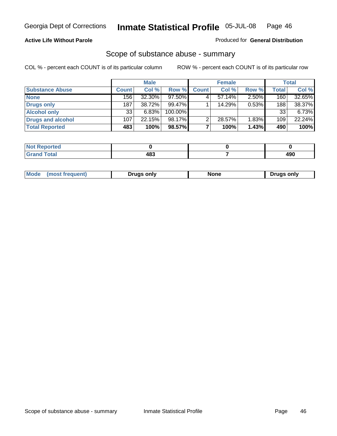### **Active Life Without Parole**

#### Produced for **General Distribution**

### Scope of substance abuse - summary

|                        |              | <b>Male</b> |            |              | <b>Female</b> |          |              | <b>Total</b> |
|------------------------|--------------|-------------|------------|--------------|---------------|----------|--------------|--------------|
| <b>Substance Abuse</b> | <b>Count</b> | Col %       | Row %      | <b>Count</b> | Col %         | Row %    | <b>Total</b> | Col %        |
| <b>None</b>            | 156          | 32.30%      | 97.50%     |              | $57.14\%$     | $2.50\%$ | 160          | 32.65%       |
| Drugs only             | 187          | 38.72%      | $99.47\%$  |              | 14.29%        | 0.53%    | 188          | 38.37%       |
| <b>Alcohol only</b>    | 33           | 6.83%       | $100.00\%$ |              |               |          | 33           | $6.73\%$     |
| Drugs and alcohol      | 107          | 22.15%      | 98.17%     | າ            | 28.57%        | 1.83%    | 109          | 22.24%       |
| <b>Total Reported</b>  | 483          | 100%        | 98.57%     |              | 100%          | 1.43%    | 490          | 100%         |

| <b>Not</b><br><b>Reported</b> |     |      |
|-------------------------------|-----|------|
| <b>Total</b>                  | 120 | Anc  |
| ' Gran⊾                       | TU. | 4J U |

|  | Mode<br>ונוצוווי | Druas onlv | None | only<br>Pruas . |
|--|------------------|------------|------|-----------------|
|--|------------------|------------|------|-----------------|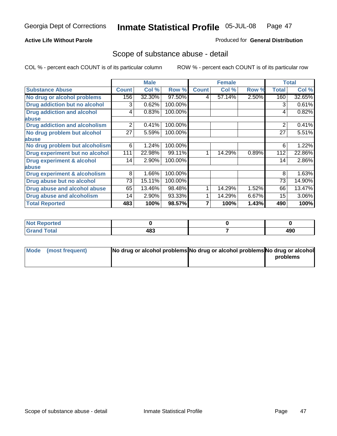### **Active Life Without Parole**

#### Produced for **General Distribution**

### Scope of substance abuse - detail

|                                         |              | <b>Male</b> |         |              | <b>Female</b> |       |              | <b>Total</b> |
|-----------------------------------------|--------------|-------------|---------|--------------|---------------|-------|--------------|--------------|
| <b>Substance Abuse</b>                  | <b>Count</b> | Col %       | Row %   | <b>Count</b> | Col %         | Row % | <b>Total</b> | Col %        |
| No drug or alcohol problems             | 156          | 32.30%      | 97.50%  | 4            | 57.14%        | 2.50% | 160          | 32.65%       |
| Drug addiction but no alcohol           | 3            | 0.62%       | 100.00% |              |               |       | 3            | 0.61%        |
| <b>Drug addiction and alcohol</b>       | 4            | 0.83%       | 100.00% |              |               |       | 4            | 0.82%        |
| abuse                                   |              |             |         |              |               |       |              |              |
| <b>Drug addiction and alcoholism</b>    | 2            | 0.41%       | 100.00% |              |               |       | 2            | 0.41%        |
| No drug problem but alcohol             | 27           | 5.59%       | 100.00% |              |               |       | 27           | 5.51%        |
| abuse                                   |              |             |         |              |               |       |              |              |
| No drug problem but alcoholism          | 6            | 1.24%       | 100.00% |              |               |       | 6            | 1.22%        |
| Drug experiment but no alcohol          | 111          | 22.98%      | 99.11%  |              | 14.29%        | 0.89% | 112          | 22.86%       |
| <b>Drug experiment &amp; alcohol</b>    | 14           | 2.90%       | 100.00% |              |               |       | 14           | 2.86%        |
| abuse                                   |              |             |         |              |               |       |              |              |
| <b>Drug experiment &amp; alcoholism</b> | 8            | 1.66%       | 100.00% |              |               |       | 8            | 1.63%        |
| Drug abuse but no alcohol               | 73           | 15.11%      | 100.00% |              |               |       | 73           | 14.90%       |
| Drug abuse and alcohol abuse            | 65           | 13.46%      | 98.48%  |              | 14.29%        | 1.52% | 66           | 13.47%       |
| Drug abuse and alcoholism               | 14           | 2.90%       | 93.33%  |              | 14.29%        | 6.67% | 15           | 3.06%        |
| <b>Total Reported</b>                   | 483          | 100%        | 98.57%  |              | 100%          | 1.43% | 490          | 100%         |

| <b>Not Reported</b>          |     |     |
|------------------------------|-----|-----|
| <b>Total</b><br><b>Grano</b> | 483 | 490 |

| Mode (most frequent) | No drug or alcohol problems No drug or alcohol problems No drug or alcohol |          |
|----------------------|----------------------------------------------------------------------------|----------|
|                      |                                                                            | problems |
|                      |                                                                            |          |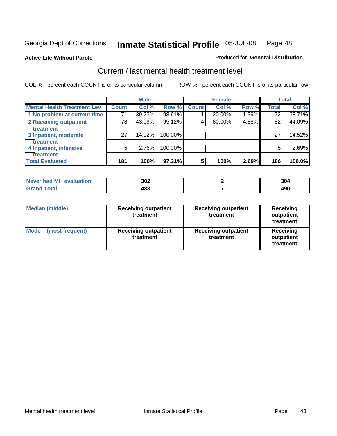#### **Active Life Without Parole**

#### Produced for **General Distribution**

### Current / last mental health treatment level

|                                    |       | <b>Male</b> |         |              | <b>Female</b> |       |              | <b>Total</b> |
|------------------------------------|-------|-------------|---------|--------------|---------------|-------|--------------|--------------|
| <b>Mental Health Treatment Lev</b> | Count | Col %       | Row %   | <b>Count</b> | Col %         | Row % | <b>Total</b> | Col %        |
| 1 No problem at current time       | 71    | 39.23%      | 98.61%  |              | 20.00%        | 1.39% | 72           | 38.71%       |
| 2 Receiving outpatient             | 78    | 43.09%      | 95.12%  | 4            | 80.00%        | 4.88% | 82           | 44.09%       |
| treatment                          |       |             |         |              |               |       |              |              |
| 3 Inpatient, moderate              | 27    | 14.92%      | 100.00% |              |               |       | 27           | 14.52%       |
| treatment                          |       |             |         |              |               |       |              |              |
| 4 Inpatient, intensive             | 5     | 2.76%       | 100.00% |              |               |       | 5            | 2.69%        |
| treatment                          |       |             |         |              |               |       |              |              |
| <b>Total Evaluated</b>             | 181   | 100%        | 97.31%  | 5            | 100%          | 2.69% | 186          | 100.0%       |

| Never had MH evaluation | 302 | 304         |
|-------------------------|-----|-------------|
| $T \wedge t \wedge$     | 483 | ۸00<br>43 U |

| <b>Median (middle)</b>         | <b>Receiving outpatient</b><br>treatment | <b>Receiving outpatient</b><br>treatment | <b>Receiving</b><br>outpatient<br>treatment |
|--------------------------------|------------------------------------------|------------------------------------------|---------------------------------------------|
| <b>Mode</b><br>(most frequent) | <b>Receiving outpatient</b><br>treatment | <b>Receiving outpatient</b><br>treatment | Receiving<br>outpatient<br>treatment        |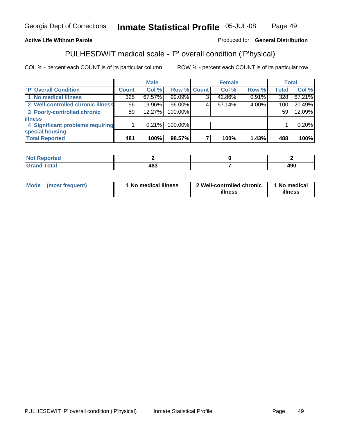### **Active Life Without Parole**

### Produced for **General Distribution**

# PULHESDWIT medical scale - 'P' overall condition ('P'hysical)

|                                   |         | <b>Male</b> |             | <b>Female</b> |       |              | <b>Total</b> |
|-----------------------------------|---------|-------------|-------------|---------------|-------|--------------|--------------|
| 'P' Overall Condition             | Count l | Col %       | Row % Count | Col %         | Row % | <b>Total</b> | Col %        |
| 1 No medical illness              | 325     | 67.57%      | 99.09%      | 42.86%        | 0.91% | 328          | 67.21%       |
| 2 Well-controlled chronic illness | 96      | 19.96%      | 96.00%      | 57.14%        | 4.00% | 100          | 20.49%       |
| 3 Poorly-controlled chronic       | 59      | $12.27\%$   | 100.00%     |               |       | 59           | 12.09%       |
| <b>illness</b>                    |         |             |             |               |       |              |              |
| 4 Significant problems requiring  |         | $0.21\%$    | 100.00%     |               |       |              | 0.20%        |
| special housing                   |         |             |             |               |       |              |              |
| <b>Total Reported</b>             | 481     | 100%        | 98.57%      | 100%          | 1.43% | 488          | 100%         |

| Not Reported |               |            |
|--------------|---------------|------------|
| <b>otal</b>  | $AB^2$<br>10. | 0۵۸<br>4JU |

| Mode | (most frequent) | 'No medical illness | 2 Well-controlled chronic<br>illness | 1 No medical<br>illness |
|------|-----------------|---------------------|--------------------------------------|-------------------------|
|------|-----------------|---------------------|--------------------------------------|-------------------------|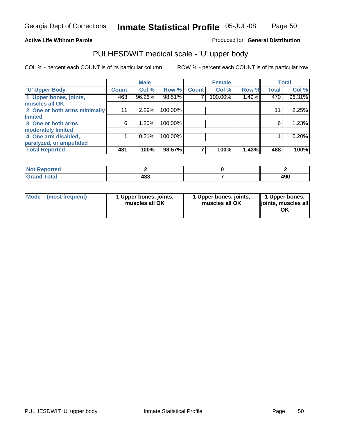### **Active Life Without Parole**

#### Produced for **General Distribution**

### PULHESDWIT medical scale - 'U' upper body

|                              |                    | <b>Male</b> |         |              | <b>Female</b> |       |              | <b>Total</b> |
|------------------------------|--------------------|-------------|---------|--------------|---------------|-------|--------------|--------------|
| <b>TU' Upper Body</b>        | Count <sup>1</sup> | Col %       | Row %   | <b>Count</b> | Col %         | Row % | <b>Total</b> | Col %        |
| 1 Upper bones, joints,       | 463                | 96.26%      | 98.51%  |              | 100.00%       | 1.49% | 470          | 96.31%       |
| muscles all OK               |                    |             |         |              |               |       |              |              |
| 2 One or both arms minimally | 11                 | 2.29%       | 100.00% |              |               |       | 11           | 2.25%        |
| limited                      |                    |             |         |              |               |       |              |              |
| 3 One or both arms           | 6                  | 1.25%       | 100.00% |              |               |       | 6            | 1.23%        |
| moderately limited           |                    |             |         |              |               |       |              |              |
| 4 One arm disabled,          |                    | 0.21%       | 100.00% |              |               |       |              | 0.20%        |
| paralyzed, or amputated      |                    |             |         |              |               |       |              |              |
| <b>Total Reported</b>        | 481                | 100%        | 98.57%  |              | 100%          | 1.43% | 488          | 100%         |

| المتصافين للمراد<br>rreol<br>NG      |            |            |
|--------------------------------------|------------|------------|
| $f$ ntn'<br>υιαι<br>$\mathbf{v}$ and | ៱៰៰<br>TUJ | 100<br>4JU |

| <b>Mode</b> | (most frequent) | 1 Upper bones, joints,<br>muscles all OK | 1 Upper bones, joints,<br>muscles all OK | 1 Upper bones,<br>joints, muscles all<br>OK |
|-------------|-----------------|------------------------------------------|------------------------------------------|---------------------------------------------|
|-------------|-----------------|------------------------------------------|------------------------------------------|---------------------------------------------|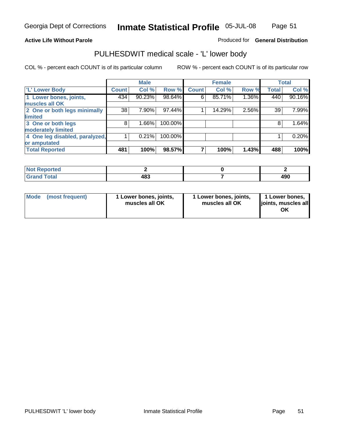### **Active Life Without Parole**

### Produced for **General Distribution**

## PULHESDWIT medical scale - 'L' lower body

|                                |              | <b>Male</b> |         |              | <b>Female</b> |       |              | <b>Total</b> |
|--------------------------------|--------------|-------------|---------|--------------|---------------|-------|--------------|--------------|
| <b>L' Lower Body</b>           | <b>Count</b> | Col %       | Row %   | <b>Count</b> | Col %         | Row % | <b>Total</b> | Col %        |
| 1 Lower bones, joints,         | 434          | 90.23%      | 98.64%  | 6            | 85.71%        | 1.36% | 440          | 90.16%       |
| muscles all OK                 |              |             |         |              |               |       |              |              |
| 2 One or both legs minimally   | 38           | 7.90%       | 97.44%  |              | 14.29%        | 2.56% | 39           | 7.99%        |
| limited                        |              |             |         |              |               |       |              |              |
| 3 One or both legs             | 8            | 1.66%       | 100.00% |              |               |       | 8            | 1.64%        |
| moderately limited             |              |             |         |              |               |       |              |              |
| 4 One leg disabled, paralyzed, |              | 0.21%       | 100.00% |              |               |       |              | 0.20%        |
| or amputated                   |              |             |         |              |               |       |              |              |
| <b>Total Reported</b>          | 481          | 100%        | 98.57%  |              | 100%          | 1.43% | 488          | 100%         |

| <b>Continued in the Continued Inc.</b><br>τeα<br>NG<br>. |     |                   |
|----------------------------------------------------------|-----|-------------------|
| $T0$ tol<br><b>C</b> <sub>ro</sub><br>υιαι               | 483 | $\sqrt{2}$<br>4JU |

|  | Mode (most frequent) | 1 Lower bones, joints,<br>muscles all OK | 1 Lower bones, joints,<br>muscles all OK | 1 Lower bones,<br>joints, muscles all<br>OK |
|--|----------------------|------------------------------------------|------------------------------------------|---------------------------------------------|
|--|----------------------|------------------------------------------|------------------------------------------|---------------------------------------------|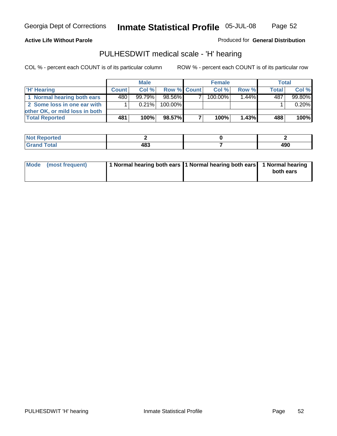Page 52

#### **Active Life Without Parole**

Produced for **General Distribution**

### PULHESDWIT medical scale - 'H' hearing

|                                |              | <b>Male</b> |             | <b>Female</b> |          | <b>Total</b> |        |
|--------------------------------|--------------|-------------|-------------|---------------|----------|--------------|--------|
| 'H' Hearing                    | <b>Count</b> | Col%        | Row % Count | Col%          | Row %    | <b>Total</b> | Col %  |
| 1 Normal hearing both ears     | 480          | $99.79\%$   | 98.56%      | 100.00%       | $1.44\%$ | 487          | 99.80% |
| 2 Some loss in one ear with    |              | $0.21\%$    | 100.00%     |               |          |              | 0.20%  |
| other OK, or mild loss in both |              |             |             |               |          |              |        |
| <b>Total Reported</b>          | 481          | 100%        | 98.57%I     | 100%          | 1.43%    | 488          | 100%   |

| тео<br>N |    |      |
|----------|----|------|
| ------   | .  | 00 א |
|          | __ | 4JU  |

| Mode (most frequent) | 1 Normal hearing both ears 1 Normal hearing both ears 1 Normal hearing | both ears |
|----------------------|------------------------------------------------------------------------|-----------|
|                      |                                                                        |           |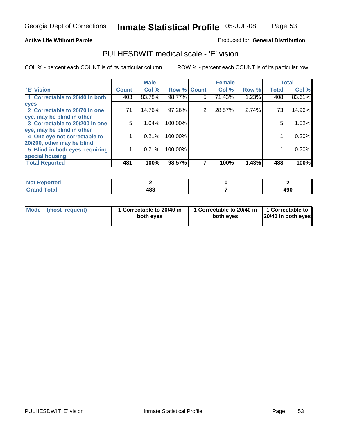Page 53

#### **Active Life Without Parole**

### Produced for **General Distribution**

### PULHESDWIT medical scale - 'E' vision

|                                 |              | <b>Male</b> |                    |   | <b>Female</b> |       |              | <b>Total</b> |
|---------------------------------|--------------|-------------|--------------------|---|---------------|-------|--------------|--------------|
| 'E' Vision                      | <b>Count</b> | Col %       | <b>Row % Count</b> |   | Col %         | Row % | <b>Total</b> | Col %        |
| 1 Correctable to 20/40 in both  | 403          | 83.78%      | 98.77%             | 5 | 71.43%        | 1.23% | 408          | 83.61%       |
| eyes                            |              |             |                    |   |               |       |              |              |
| 2 Correctable to 20/70 in one   | 71           | 14.76%      | 97.26%             | 2 | 28.57%        | 2.74% | 73           | 14.96%       |
| eye, may be blind in other      |              |             |                    |   |               |       |              |              |
| 3 Correctable to 20/200 in one  | 5            | $1.04\%$    | 100.00%            |   |               |       | 5            | 1.02%        |
| eye, may be blind in other      |              |             |                    |   |               |       |              |              |
| 4 One eye not correctable to    |              | 0.21%       | 100.00%            |   |               |       |              | 0.20%        |
| 20/200, other may be blind      |              |             |                    |   |               |       |              |              |
| 5 Blind in both eyes, requiring |              | 0.21%       | 100.00%            |   |               |       |              | 0.20%        |
| special housing                 |              |             |                    |   |               |       |              |              |
| <b>Total Reported</b>           | 481          | 100%        | 98.57%             |   | 100%          | 1.43% | 488          | 100%         |

| ∩rteu i |     |     |
|---------|-----|-----|
| int     | 100 | 10c |
| ------  | 403 | 4JU |

| Mode | (most frequent) | 1 Correctable to 20/40 in<br>both eves | 1 Correctable to 20/40 in   1 Correctable to<br>both eves | 20/40 in both eyes |
|------|-----------------|----------------------------------------|-----------------------------------------------------------|--------------------|
|------|-----------------|----------------------------------------|-----------------------------------------------------------|--------------------|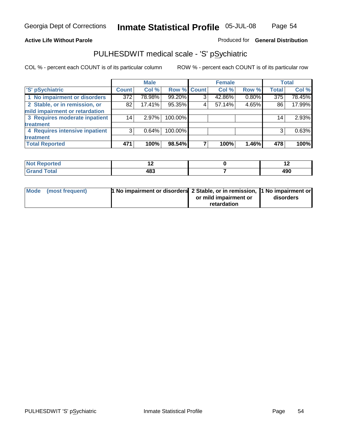#### **Active Life Without Parole**

#### Produced for **General Distribution**

### PULHESDWIT medical scale - 'S' pSychiatric

|                                |              | <b>Male</b> |             |   | <b>Female</b> |       |                  | <b>Total</b> |
|--------------------------------|--------------|-------------|-------------|---|---------------|-------|------------------|--------------|
| 'S' pSychiatric                | <b>Count</b> | Col %       | Row % Count |   | Col %         | Row % | <b>Total</b>     | Col %        |
| 1 No impairment or disorders   | 372          | 78.98%      | 99.20%      | 2 | 42.86%        | 0.80% | $\overline{375}$ | 78.45%       |
| 2 Stable, or in remission, or  | 82           | 17.41%      | 95.35%      | 4 | 57.14%        | 4.65% | 86               | 17.99%       |
| mild impairment or retardation |              |             |             |   |               |       |                  |              |
| 3 Requires moderate inpatient  | 14           | 2.97%       | 100.00%     |   |               |       | 14 <sub>1</sub>  | 2.93%        |
| treatment                      |              |             |             |   |               |       |                  |              |
| 4 Requires intensive inpatient | 3            | 0.64%       | 100.00%     |   |               |       | 3                | 0.63%        |
| treatment                      |              |             |             |   |               |       |                  |              |
| <b>Total Reported</b>          | 471          | 100%        | 98.54%      |   | 100%          | 1.46% | 478              | 100%         |

| المتحدقين<br>onteo |            | $\overline{\phantom{0}}$ |
|--------------------|------------|--------------------------|
| <b>otal</b>        | 10O<br>40ა | 490                      |

| Mode (most frequent) | 1 No impairment or disorders 2 Stable, or in remission,  1 No impairment or |                       |           |
|----------------------|-----------------------------------------------------------------------------|-----------------------|-----------|
|                      |                                                                             | or mild impairment or | disorders |
|                      |                                                                             | retardation           |           |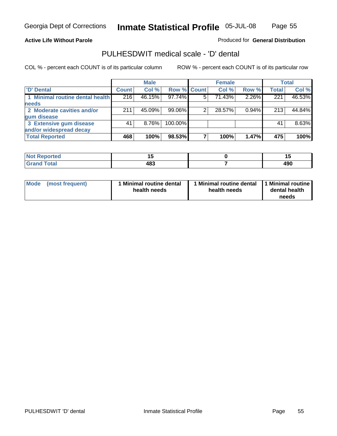Page 55

### **Active Life Without Parole**

### Produced for **General Distribution**

### PULHESDWIT medical scale - 'D' dental

|                                 |              | <b>Male</b> |             | <b>Female</b> |          |              | <b>Total</b> |
|---------------------------------|--------------|-------------|-------------|---------------|----------|--------------|--------------|
| <b>D' Dental</b>                | <b>Count</b> | Col %       | Row % Count | Col %         | Row %    | <b>Total</b> | Col %        |
| 1 Minimal routine dental health | 216          | 46.15%      | 97.74%      | 71.43%        | 2.26%    | 221          | 46.53%       |
| <b>needs</b>                    |              |             |             |               |          |              |              |
| 2 Moderate cavities and/or      | 211          | 45.09%      | 99.06%      | 28.57%        | $0.94\%$ | 213          | 44.84%       |
| gum disease                     |              |             |             |               |          |              |              |
| 3 Extensive gum disease         | 41           | $8.76\%$    | 100.00%     |               |          | 41           | 8.63%        |
| and/or widespread decay         |              |             |             |               |          |              |              |
| <b>Total Reported</b>           | 468          | 100%        | 98.53%      | 100%          | 1.47%    | 475          | 100%         |

| and an additional con-<br>тео<br>N | . .<br>$-$       |            |
|------------------------------------|------------------|------------|
| ______                             | 10 D<br>™∾<br>__ | ۸۵۴<br>4JU |

| Mode (most frequent) | <b>Minimal routine dental</b><br>health needs | 1 Minimal routine dental<br>health needs | 1 Minimal routine<br>dental health<br>needs |
|----------------------|-----------------------------------------------|------------------------------------------|---------------------------------------------|
|----------------------|-----------------------------------------------|------------------------------------------|---------------------------------------------|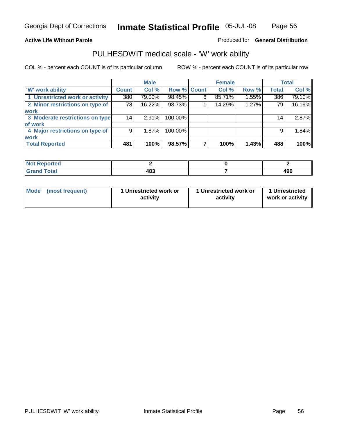### **Active Life Without Parole**

### Produced for **General Distribution**

### PULHESDWIT medical scale - 'W' work ability

|                                 |              | <b>Male</b> |             |   | <b>Female</b> |       |                 | <b>Total</b> |
|---------------------------------|--------------|-------------|-------------|---|---------------|-------|-----------------|--------------|
| <b>W' work ability</b>          | <b>Count</b> | Col %       | Row % Count |   | Col %         | Row % | <b>Total</b>    | Col %        |
| 1 Unrestricted work or activity | 380          | 79.00%      | 98.45%      | 6 | 85.71%        | 1.55% | 386             | 79.10%       |
| 2 Minor restrictions on type of | 78           | 16.22%      | 98.73%      |   | 14.29%        | 1.27% | 79              | 16.19%       |
| <b>work</b>                     |              |             |             |   |               |       |                 |              |
| 3 Moderate restrictions on type | 14           | 2.91%       | 100.00%     |   |               |       | 14 <sub>1</sub> | 2.87%        |
| of work                         |              |             |             |   |               |       |                 |              |
| 4 Major restrictions on type of | 9            | $1.87\%$    | 100.00%     |   |               |       | 9               | 1.84%        |
| <b>work</b>                     |              |             |             |   |               |       |                 |              |
| <b>Total Reported</b>           | 481          | 100%        | 98.57%      |   | 100%          | 1.43% | 488             | 100%         |

| <b>orted</b><br>NOT    |     |            |
|------------------------|-----|------------|
| <b>Total</b><br>------ | 483 | 10C<br>49U |

| Mode | (most frequent) | 1 Unrestricted work or<br>activity | 1 Unrestricted work or<br>activity | 1 Unrestricted<br>work or activity |  |
|------|-----------------|------------------------------------|------------------------------------|------------------------------------|--|
|      |                 |                                    |                                    |                                    |  |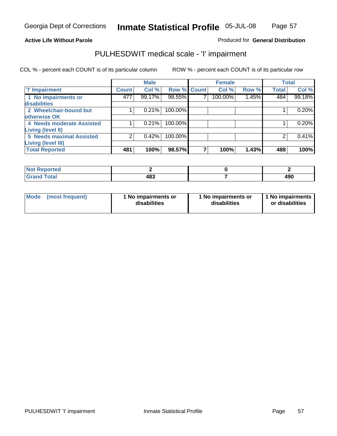### Page 57

#### **Active Life Without Parole**

### Produced for **General Distribution**

### PULHESDWIT medical scale - 'I' impairment

|                                 |              | <b>Male</b> |                    |   | <b>Female</b> |       |              | <b>Total</b> |
|---------------------------------|--------------|-------------|--------------------|---|---------------|-------|--------------|--------------|
| <b>T' Impairment</b>            | <b>Count</b> | Col %       | <b>Row % Count</b> |   | Col %         | Row % | <b>Total</b> | Col %        |
| 1 No impairments or             | 477          | 99.17%      | 98.55%             |   | 100.00%       | 1.45% | 484          | 99.18%       |
| <b>disabilities</b>             |              |             |                    |   |               |       |              |              |
| 2 Wheelchair-bound but          |              | 0.21%       | 100.00%            |   |               |       |              | 0.20%        |
| otherwise OK                    |              |             |                    |   |               |       |              |              |
| 4 Needs moderate Assisted       |              | 0.21%       | 100.00%            |   |               |       |              | 0.20%        |
| Living (level II)               |              |             |                    |   |               |       |              |              |
| <b>5 Needs maximal Assisted</b> | ⌒            | 0.42%       | 100.00%            |   |               |       |              | 0.41%        |
| <b>Living (level III)</b>       |              |             |                    |   |               |       |              |              |
| <b>Total Reported</b>           | 481          | 100%        | 98.57%             | 7 | 100%          | 1.43% | 488          | 100%         |

| <b>Not Reported</b>          |     |     |
|------------------------------|-----|-----|
| <b>Total</b><br><b>Grand</b> | 483 | 490 |

| <b>Mode</b> | (most frequent) | 1 No impairments or<br>disabilities | 1 No impairments or<br>disabilities | 1 No impairments  <br>or disabilities |
|-------------|-----------------|-------------------------------------|-------------------------------------|---------------------------------------|
|-------------|-----------------|-------------------------------------|-------------------------------------|---------------------------------------|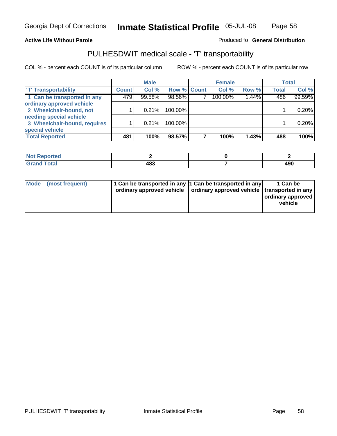#### **Inmate Statistical Profile** 05-JUL-08 Page Page 58

### **Active Life Without Parole Produced fo Seneral Distribution**

## PULHESDWIT medical scale - 'T' transportability

|                              |              | <b>Male</b> |             | <b>Female</b> |       |              | <b>Total</b> |
|------------------------------|--------------|-------------|-------------|---------------|-------|--------------|--------------|
| <b>T' Transportability</b>   | <b>Count</b> | Col %       | Row % Count | Col %         | Row % | <b>Total</b> | Col %        |
| 1 Can be transported in any  | 479          | 99.58%      | 98.56%      | 100.00%       | 1.44% | 486          | 99.59%       |
| ordinary approved vehicle    |              |             |             |               |       |              |              |
| 2 Wheelchair-bound, not      |              | 0.21%       | 100.00%     |               |       |              | 0.20%        |
| needing special vehicle      |              |             |             |               |       |              |              |
| 3 Wheelchair-bound, requires |              | 0.21%       | 100.00%     |               |       |              | 0.20%        |
| special vehicle              |              |             |             |               |       |              |              |
| <b>Total Reported</b>        | 481          | 100%        | 98.57%      | 100%          | 1.43% | 488          | 100%         |

| <b>Reported</b><br><b>NOT</b> |             |     |
|-------------------------------|-------------|-----|
| <b>Fotal</b>                  | 483<br>$ -$ | 490 |

| Mode (most frequent) | 1 Can be transported in any 1 Can be transported in any | ordinary approved vehicle   ordinary approved vehicle   transported in any | 1 Can be<br>  ordinary approved  <br>vehicle |
|----------------------|---------------------------------------------------------|----------------------------------------------------------------------------|----------------------------------------------|
|----------------------|---------------------------------------------------------|----------------------------------------------------------------------------|----------------------------------------------|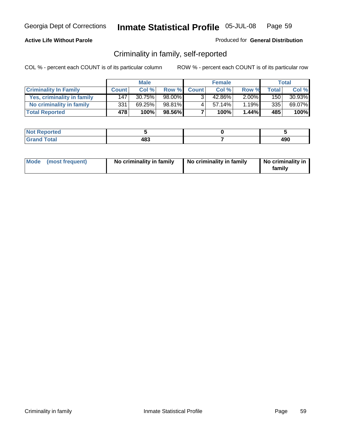### **Active Life Without Parole**

### Produced for **General Distribution**

### Criminality in family, self-reported

|                              |              | <b>Male</b> |        |              | <b>Female</b> |          |              | Total     |
|------------------------------|--------------|-------------|--------|--------------|---------------|----------|--------------|-----------|
| <b>Criminality In Family</b> | <b>Count</b> | Col %       | Row %  | <b>Count</b> | Col %         | Row %    | <b>Total</b> | Col %     |
| Yes, criminality in family   | 147          | 30.75%      | 98.00% |              | 42.86%        | $2.00\%$ | 150          | $30.93\%$ |
| No criminality in family     | 331          | 69.25%      | 98.81% | 4            | 57.14%        | 1.19%    | 335          | 69.07%    |
| <b>Total Reported</b>        | 478          | 100%        | 98.56% |              | 100%          | $1.44\%$ | 485          | 100%      |

| ported<br><b>NOT</b><br>* IZAR |            |     |
|--------------------------------|------------|-----|
| $\sim$<br>Grar<br>$\sim$       | ៱៰៰<br>100 | 490 |

| Mode (most frequent) |  | No criminality in family | No criminality in family | No criminality in<br>family |
|----------------------|--|--------------------------|--------------------------|-----------------------------|
|----------------------|--|--------------------------|--------------------------|-----------------------------|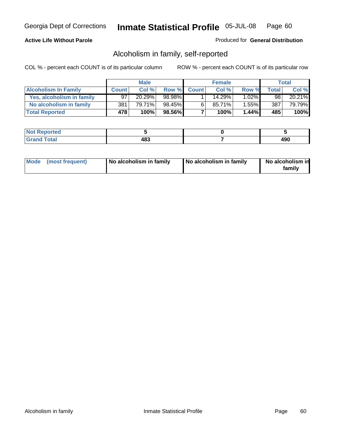### **Active Life Without Parole**

#### Produced for **General Distribution**

### Alcoholism in family, self-reported

|                             |              | <b>Male</b> |        |              | <b>Female</b> |          |                 | Total  |
|-----------------------------|--------------|-------------|--------|--------------|---------------|----------|-----------------|--------|
| <b>Alcoholism In Family</b> | <b>Count</b> | Col %       | Row %  | <b>Count</b> | Col %         | Row %    | Total           | Col %  |
| Yes, alcoholism in family   | 97           | 20.29%      | 98.98% |              | 14.29%        | $1.02\%$ | 98 <sub>1</sub> | 20.21% |
| No alcoholism in family     | 381          | 79.71%      | 98.45% | 6            | 85.71%        | $1.55\%$ | 387             | 79.79% |
| <b>Total Reported</b>       | 478          | 100%        | 98.56% |              | 100%          | $1.44\%$ | 485             | 100%   |

| ported<br><b>NOT</b><br><b>NGP</b> |     |               |
|------------------------------------|-----|---------------|
| <b>Total</b><br>Gran<br>$\sim$     | 483 | 1 M C<br>4J U |

|  | Mode (most frequent) | No alcoholism in family | No alcoholism in family | No alcoholism in<br>familv |
|--|----------------------|-------------------------|-------------------------|----------------------------|
|--|----------------------|-------------------------|-------------------------|----------------------------|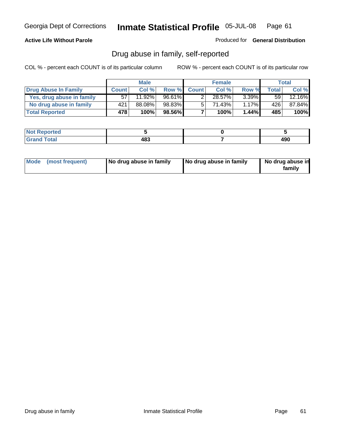### **Active Life Without Parole**

Produced for **General Distribution**

### Drug abuse in family, self-reported

|                           |              | <b>Male</b> |        |              | <b>Female</b> |          |       | Total  |
|---------------------------|--------------|-------------|--------|--------------|---------------|----------|-------|--------|
| Drug Abuse In Family      | <b>Count</b> | Col %       | Row %  | <b>Count</b> | Col %         | Row %    | Total | Col %  |
| Yes, drug abuse in family | 57           | $11.92\%$   | 96.61% | ົ            | 28.57%        | $3.39\%$ | 59    | 12.16% |
| No drug abuse in family   | 421          | 88.08%      | 98.83% | 5            | 71.43%        | $1.17\%$ | 426   | 87.84% |
| <b>Total Reported</b>     | 478          | 100%        | 98.56% |              | 100%          | 1.44%    | 485   | 100%   |

| ported<br><b>NOT</b><br><b>NGP</b> |     |               |
|------------------------------------|-----|---------------|
| <b>Total</b><br>Gran<br>$\sim$     | 483 | 1 M C<br>4J U |

|  | Mode (most frequent) | No drug abuse in family | No drug abuse in family | No drug abuse in<br>family |
|--|----------------------|-------------------------|-------------------------|----------------------------|
|--|----------------------|-------------------------|-------------------------|----------------------------|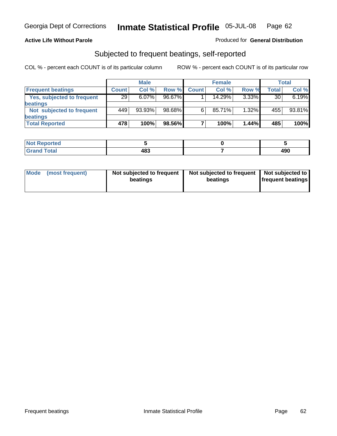### **Active Life Without Parole**

#### Produced for **General Distribution**

### Subjected to frequent beatings, self-reported

|                            |              | <b>Male</b> |        |              | <b>Female</b> |          |              | Total  |
|----------------------------|--------------|-------------|--------|--------------|---------------|----------|--------------|--------|
| <b>Frequent beatings</b>   | <b>Count</b> | Col %       | Row %  | <b>Count</b> | Col%          | Row %    | <b>Total</b> | Col %  |
| Yes, subjected to frequent | 29           | $6.07\%$    | 96.67% |              | 14.29%        | $3.33\%$ | 30           | 6.19%  |
| <b>beatings</b>            |              |             |        |              |               |          |              |        |
| Not subjected to frequent  | 449          | 93.93%      | 98.68% | 6            | 85.71%        | $1.32\%$ | 455          | 93.81% |
| beatings                   |              |             |        |              |               |          |              |        |
| <b>Total Reported</b>      | 478          | 100%        | 98.56% |              | 100%          | 1.44%    | 485          | 100%   |

| <b>Not Reported</b> |     |            |
|---------------------|-----|------------|
| <b>Crond Total</b>  | 483 | חחו<br>4JL |

| Mode<br>(most frequent) | beatings | Not subjected to frequent | Not subjected to frequent<br>beatings | Not subjected to<br><b>frequent beatings</b> |
|-------------------------|----------|---------------------------|---------------------------------------|----------------------------------------------|
|                         |          |                           |                                       |                                              |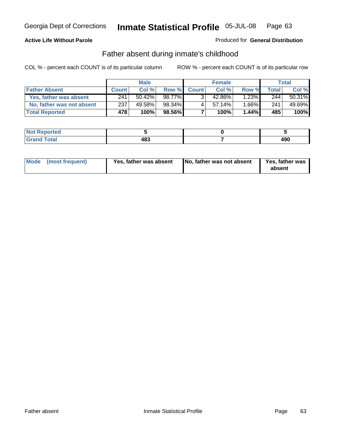### **Active Life Without Parole**

### Produced for **General Distribution**

### Father absent during inmate's childhood

|                           |              | <b>Male</b> |        |              | <b>Female</b> |          |       | Total  |
|---------------------------|--------------|-------------|--------|--------------|---------------|----------|-------|--------|
| <b>Father Absent</b>      | <b>Count</b> | Col %       | Row %  | <b>Count</b> | Col %         | Row %    | Total | Col %  |
| Yes, father was absent    | 241          | $50.42\%$   | 98.77% | $\mathbf{R}$ | 42.86%        | $1.23\%$ | 244   | 50.31% |
| No, father was not absent | 237          | 49.58%      | 98.34% |              | 57.14%        | $1.66\%$ | 241   | 49.69% |
| <b>Total Reported</b>     | 478          | 100%        | 98.56% |              | 100%          | $1.44\%$ | 485   | 100%   |

| <b>Not Reported</b>   |     |            |
|-----------------------|-----|------------|
| <b>Total</b><br>Grand | 483 | 106<br>ーコし |

|  | Mode (most frequent) | Yes, father was absent | No, father was not absent | <b>Yes, father was</b><br>absent |
|--|----------------------|------------------------|---------------------------|----------------------------------|
|--|----------------------|------------------------|---------------------------|----------------------------------|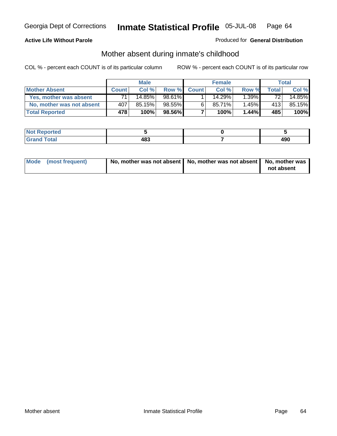### **Active Life Without Parole**

### Produced for **General Distribution**

# Mother absent during inmate's childhood

|                           |              | <b>Male</b> |         |              | <b>Female</b> |          |       | Total  |
|---------------------------|--------------|-------------|---------|--------------|---------------|----------|-------|--------|
| <b>Mother Absent</b>      | <b>Count</b> | Col %       | Row %   | <b>Count</b> | Col %         | Row %    | Total | Col %  |
| Yes, mother was absent    |              | 14.85%      | 98.61%  |              | 14.29%        | $1.39\%$ | 72    | 14.85% |
| No, mother was not absent | 407          | 85.15%      | 98.55%  | 6            | 85.71%        | $1.45\%$ | 413   | 85.15% |
| <b>Total Reported</b>     | 478          | 100%        | 98.56%I |              | 100%          | $1.44\%$ | 485   | 100%   |

| <b>Not Reported</b>        |             |     |
|----------------------------|-------------|-----|
| Γotal<br>Cran <sub>o</sub> | 483<br>$ -$ | 490 |

| Mode (most frequent) | No, mother was not absent $\vert$ No, mother was not absent $\vert$ No, mother was | not absent |
|----------------------|------------------------------------------------------------------------------------|------------|
|                      |                                                                                    |            |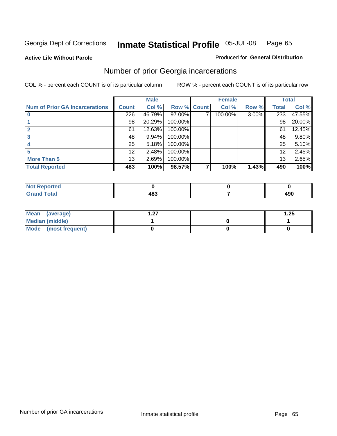**Active Life Without Parole** 

#### Produced for **General Distribution**

# Number of prior Georgia incarcerations

|                                       |              | <b>Male</b> |         |              | <b>Female</b> |          |       | <b>Total</b> |
|---------------------------------------|--------------|-------------|---------|--------------|---------------|----------|-------|--------------|
| <b>Num of Prior GA Incarcerations</b> | <b>Count</b> | Col %       | Row %   | <b>Count</b> | Col %         | Row %    | Total | Col %        |
|                                       | 226          | 46.79%      | 97.00%  |              | 100.00%       | $3.00\%$ | 233   | 47.55%       |
|                                       | 98           | 20.29%      | 100.00% |              |               |          | 98    | 20.00%       |
|                                       | 61           | 12.63%      | 100.00% |              |               |          | 61    | 12.45%       |
|                                       | 48           | 9.94%       | 100.00% |              |               |          | 48    | 9.80%        |
|                                       | 25           | 5.18%       | 100.00% |              |               |          | 25    | 5.10%        |
|                                       | 12           | 2.48%       | 100.00% |              |               |          | 12    | 2.45%        |
| <b>More Than 5</b>                    | 13           | 2.69%       | 100.00% |              |               |          | 13    | 2.65%        |
| <b>Total Reported</b>                 | 483          | 100%        | 98.57%  |              | 100%          | 1.43%    | 490   | 100%         |

| .<br>тео<br>N |      |     |
|---------------|------|-----|
| ota.          | ^^^  | 100 |
|               | $ -$ | 4JU |

| Mean (average)       | - 27 | .25 |
|----------------------|------|-----|
| Median (middle)      |      |     |
| Mode (most frequent) |      |     |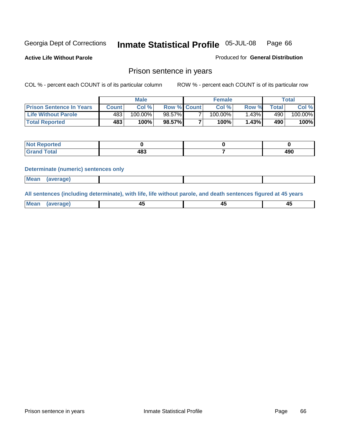**Active Life Without Parole** 

Produced for **General Distribution**

### Prison sentence in years

COL % - percent each COUNT is of its particular column ROW % - percent each COUNT is of its particular row

|                                 |         | Male    |                    | <b>Female</b> |       |             | $\tau$ otal |
|---------------------------------|---------|---------|--------------------|---------------|-------|-------------|-------------|
| <b>Prison Sentence In Years</b> | Count l | Col %   | <b>Row % Count</b> | Col %         | Row % | $\tau$ otal | Col %       |
| <b>Life Without Parole</b>      | 483     | 100.00% | 98.57%             | $100.00\%$    | .43%  | 490         | 100.00%     |
| <b>Total Reported</b>           | 483'    | 100%    | 98.57%             | 100%          | 1.43% | 490         | 100%        |

| <b>eported</b>   |     |     |
|------------------|-----|-----|
| <b>Total</b>     | י ה | ۸۵۴ |
| $\mathsf{C}$ and | 10J | 491 |

#### **Determinate (numeric) sentences only**

| <b>Mean</b> | (average) |  |  |
|-------------|-----------|--|--|

**All sentences (including determinate), with life, life without parole, and death sentences figured at 45 years**

| Me           |             |        |              |
|--------------|-------------|--------|--------------|
| mе<br>.<br>. | ᠇<br>$\sim$ | $\sim$ | т.<br>$\sim$ |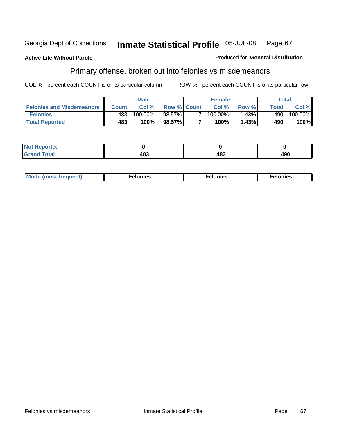### **Active Life Without Parole**

#### Produced for **General Distribution**

# Primary offense, broken out into felonies vs misdemeanors

|                                  |         | <b>Male</b> |                    | <b>Female</b> |          |              | Total   |
|----------------------------------|---------|-------------|--------------------|---------------|----------|--------------|---------|
| <b>Felonies and Misdemeanors</b> | Count l | Col %       | <b>Row % Count</b> | Col%          | Row %    | <b>Total</b> | Col %   |
| <b>Felonies</b>                  | 483     | 100.00%     | 98.57% <b>I</b>    | 100.00%       | $1.43\%$ | 490          | 100.00% |
| <b>Total Reported</b>            | 483     | 100%        | 98.57%I            | 100%          | .43%     | 490          | 100%    |

| <b>Not Reported</b> |      |     |     |
|---------------------|------|-----|-----|
| <b>Total</b>        | . הי | 12? | 490 |
| Grand               | .uJ  | 10. |     |

| M <sub>0</sub><br>. | צאור<br>. | . |
|---------------------|-----------|---|
|---------------------|-----------|---|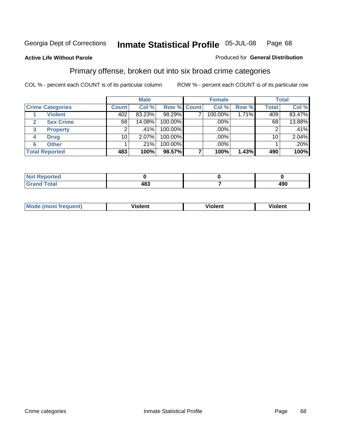**Active Life Without Parole** 

#### Produced for **General Distribution**

### Primary offense, broken out into six broad crime categories

|                         |              | <b>Male</b> |             | <b>Female</b> |       |              | <b>Total</b> |
|-------------------------|--------------|-------------|-------------|---------------|-------|--------------|--------------|
| <b>Crime Categories</b> | <b>Count</b> | Col %       | Row % Count | Col %         | Row % | <b>Total</b> | Col %        |
| <b>Violent</b>          | 402          | 83.23%      | 98.29%      | 100.00%       | 1.71% | 409          | 83.47%       |
| <b>Sex Crime</b><br>2   | 68           | 14.08%      | 100.00%     | $.00\%$ $ $   |       | 68           | 13.88%       |
| <b>Property</b><br>3    | 2            | $.41\%$     | 100.00%     | .00%          |       | 2            | .41%         |
| <b>Drug</b><br>4        | 10           | $2.07\%$    | 100.00%     | .00%          |       | 10           | 2.04%        |
| <b>Other</b><br>6       |              | .21%        | 100.00%     | .00%          |       |              | .20%         |
| <b>Total Reported</b>   | 483          | 100%        | 98.57%      | 100%          | 1.43% | 490          | 100%         |

| Reported<br><b>Not</b><br>$\sim$ |     |     |
|----------------------------------|-----|-----|
| <b>Total</b><br>Grand            | 483 | 490 |

| Mo | n n | winlor" | ılen' |
|----|-----|---------|-------|
|    |     |         |       |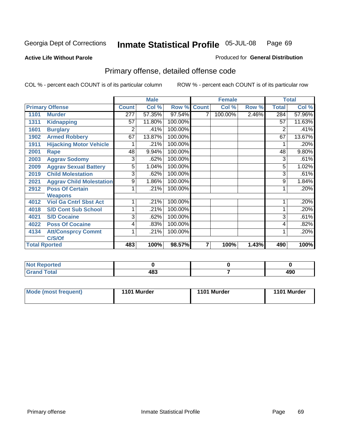**Active Life Without Parole** 

Produced for **General Distribution**

# Primary offense, detailed offense code

|      |                                 |                  | <b>Male</b> |             |   | <b>Female</b> |       |              | <b>Total</b> |
|------|---------------------------------|------------------|-------------|-------------|---|---------------|-------|--------------|--------------|
|      | <b>Primary Offense</b>          | <b>Count</b>     | Col %       | Row % Count |   | Col %         | Row % | <b>Total</b> | Col %        |
| 1101 | <b>Murder</b>                   | $\overline{277}$ | 57.35%      | 97.54%      |   | 100.00%       | 2.46% | 284          | 57.96%       |
| 1311 | <b>Kidnapping</b>               | 57               | 11.80%      | 100.00%     |   |               |       | 57           | 11.63%       |
| 1601 | <b>Burglary</b>                 | 2                | .41%        | 100.00%     |   |               |       | 2            | .41%         |
| 1902 | <b>Armed Robbery</b>            | 67               | 13.87%      | 100.00%     |   |               |       | 67           | 13.67%       |
| 1911 | <b>Hijacking Motor Vehicle</b>  |                  | .21%        | 100.00%     |   |               |       |              | .20%         |
| 2001 | <b>Rape</b>                     | 48               | 9.94%       | 100.00%     |   |               |       | 48           | 9.80%        |
| 2003 | <b>Aggrav Sodomy</b>            | 3                | .62%        | 100.00%     |   |               |       | 3            | .61%         |
| 2009 | <b>Aggrav Sexual Battery</b>    | 5                | 1.04%       | 100.00%     |   |               |       | 5            | 1.02%        |
| 2019 | <b>Child Molestation</b>        | 3                | .62%        | 100.00%     |   |               |       | 3            | .61%         |
| 2021 | <b>Aggrav Child Molestation</b> | 9                | 1.86%       | 100.00%     |   |               |       | 9            | 1.84%        |
| 2912 | <b>Poss Of Certain</b>          |                  | .21%        | 100.00%     |   |               |       |              | .20%         |
|      | <b>Weapons</b>                  |                  |             |             |   |               |       |              |              |
| 4012 | <b>Viol Ga Cntrl Sbst Act</b>   |                  | .21%        | 100.00%     |   |               |       |              | .20%         |
| 4018 | <b>S/D Cont Sub School</b>      |                  | .21%        | 100.00%     |   |               |       |              | .20%         |
| 4021 | <b>S/D Cocaine</b>              | 3                | .62%        | 100.00%     |   |               |       | 3            | .61%         |
| 4022 | <b>Poss Of Cocaine</b>          | 4                | .83%        | 100.00%     |   |               |       | 4            | .82%         |
| 4134 | <b>Att/Consprcy Commt</b>       | 1                | .21%        | 100.00%     |   |               |       |              | .20%         |
|      | C/S/Of                          |                  |             |             |   |               |       |              |              |
|      | <b>Total Rported</b>            | 483              | 100%        | 98.57%      | 7 | 100%          | 1.43% | 490          | 100%         |

| <b>Not Reported</b> |           |             |
|---------------------|-----------|-------------|
| <b>Grand Total</b>  | 00<br>403 | 100<br>4J U |

| Mode (most frequent) | 1101 Murder | 1101 Murder | 1101 Murder |
|----------------------|-------------|-------------|-------------|
|----------------------|-------------|-------------|-------------|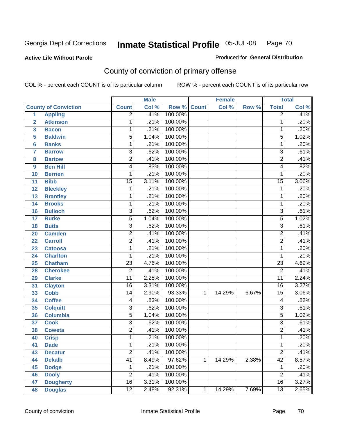### **Active Life Without Parole**

### Produced for **General Distribution**

# County of conviction of primary offense

|                         |                             |                 | <b>Male</b> |         |              | <b>Female</b> |       |                 | <b>Total</b> |
|-------------------------|-----------------------------|-----------------|-------------|---------|--------------|---------------|-------|-----------------|--------------|
|                         | <b>County of Conviction</b> | <b>Count</b>    | Col %       | Row %   | <b>Count</b> | Col %         | Row % | <b>Total</b>    | Col %        |
| 1                       | <b>Appling</b>              | $\overline{2}$  | .41%        | 100.00% |              |               |       | $\overline{2}$  | .41%         |
| $\overline{2}$          | <b>Atkinson</b>             | 1               | .21%        | 100.00% |              |               |       | 1               | .20%         |
| $\overline{\mathbf{3}}$ | <b>Bacon</b>                | 1               | .21%        | 100.00% |              |               |       | 1               | .20%         |
| 5                       | <b>Baldwin</b>              | $\overline{5}$  | 1.04%       | 100.00% |              |               |       | 5               | 1.02%        |
| 6                       | <b>Banks</b>                | 1               | .21%        | 100.00% |              |               |       | 1               | .20%         |
| $\overline{\mathbf{7}}$ | <b>Barrow</b>               | $\overline{3}$  | .62%        | 100.00% |              |               |       | $\overline{3}$  | .61%         |
| 8                       | <b>Bartow</b>               | $\overline{2}$  | .41%        | 100.00% |              |               |       | $\overline{2}$  | .41%         |
| 9                       | <b>Ben Hill</b>             | 4               | .83%        | 100.00% |              |               |       | 4               | .82%         |
| 10                      | <b>Berrien</b>              | 1               | .21%        | 100.00% |              |               |       | 1               | .20%         |
| 11                      | <b>Bibb</b>                 | $\overline{15}$ | 3.11%       | 100.00% |              |               |       | $\overline{15}$ | 3.06%        |
| 12                      | <b>Bleckley</b>             | 1               | .21%        | 100.00% |              |               |       | 1               | .20%         |
| 13                      | <b>Brantley</b>             | 1               | .21%        | 100.00% |              |               |       | 1               | .20%         |
| 14                      | <b>Brooks</b>               | 1               | .21%        | 100.00% |              |               |       | 1               | .20%         |
| 16                      | <b>Bulloch</b>              | $\overline{3}$  | .62%        | 100.00% |              |               |       | $\overline{3}$  | .61%         |
| 17                      | <b>Burke</b>                | $\overline{5}$  | 1.04%       | 100.00% |              |               |       | $\overline{5}$  | 1.02%        |
| 18                      | <b>Butts</b>                | $\overline{3}$  | .62%        | 100.00% |              |               |       | $\overline{3}$  | .61%         |
| 20                      | <b>Camden</b>               | $\overline{2}$  | .41%        | 100.00% |              |               |       | $\overline{2}$  | .41%         |
| 22                      | <b>Carroll</b>              | $\overline{2}$  | .41%        | 100.00% |              |               |       | $\overline{2}$  | .41%         |
| 23                      | <b>Catoosa</b>              | 1               | .21%        | 100.00% |              |               |       | 1               | .20%         |
| 24                      | <b>Charlton</b>             | 1               | .21%        | 100.00% |              |               |       | 1               | .20%         |
| 25                      | <b>Chatham</b>              | $\overline{23}$ | 4.76%       | 100.00% |              |               |       | $\overline{23}$ | 4.69%        |
| 28                      | <b>Cherokee</b>             | $\overline{2}$  | .41%        | 100.00% |              |               |       | $\overline{2}$  | .41%         |
| 29                      | <b>Clarke</b>               | $\overline{11}$ | 2.28%       | 100.00% |              |               |       | $\overline{11}$ | 2.24%        |
| 31                      | <b>Clayton</b>              | $\overline{16}$ | 3.31%       | 100.00% |              |               |       | $\overline{16}$ | 3.27%        |
| 33                      | <b>Cobb</b>                 | 14              | 2.90%       | 93.33%  | 1            | 14.29%        | 6.67% | $\overline{15}$ | 3.06%        |
| 34                      | <b>Coffee</b>               | 4               | .83%        | 100.00% |              |               |       | 4               | .82%         |
| 35                      | <b>Colquitt</b>             | $\overline{3}$  | .62%        | 100.00% |              |               |       | $\overline{3}$  | .61%         |
| 36                      | <b>Columbia</b>             | $\overline{5}$  | 1.04%       | 100.00% |              |               |       | $\overline{5}$  | 1.02%        |
| 37                      | <b>Cook</b>                 | $\overline{3}$  | .62%        | 100.00% |              |               |       | $\overline{3}$  | .61%         |
| 38                      | <b>Coweta</b>               | $\overline{2}$  | .41%        | 100.00% |              |               |       | $\overline{2}$  | .41%         |
| 40                      | <b>Crisp</b>                | 1               | .21%        | 100.00% |              |               |       | 1               | .20%         |
| 41                      | <b>Dade</b>                 | 1               | .21%        | 100.00% |              |               |       | 1               | .20%         |
| 43                      | <b>Decatur</b>              | $\overline{2}$  | .41%        | 100.00% |              |               |       | $\overline{2}$  | .41%         |
| 44                      | <b>Dekalb</b>               | 41              | 8.49%       | 97.62%  | 1            | 14.29%        | 2.38% | $\overline{42}$ | 8.57%        |
| 45                      | <b>Dodge</b>                | 1               | .21%        | 100.00% |              |               |       | 1               | .20%         |
| 46                      | <b>Dooly</b>                | $\overline{2}$  | .41%        | 100.00% |              |               |       | $\overline{2}$  | .41%         |
| 47                      | <b>Dougherty</b>            | $\overline{16}$ | 3.31%       | 100.00% |              |               |       | 16              | 3.27%        |
| 48                      | <b>Douglas</b>              | $\overline{12}$ | 2.48%       | 92.31%  | 1            | 14.29%        | 7.69% | $\overline{13}$ | 2.65%        |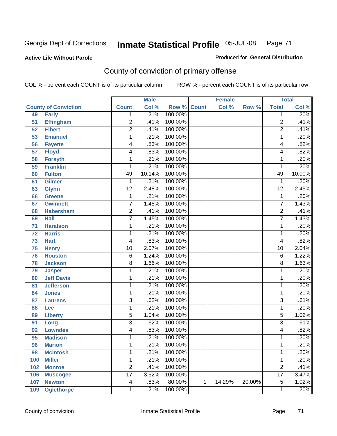### **Active Life Without Parole**

### Produced for **General Distribution**

# County of conviction of primary offense

|     |                             |                 | <b>Male</b> |                    |   | <b>Female</b> |        |                 | <b>Total</b> |
|-----|-----------------------------|-----------------|-------------|--------------------|---|---------------|--------|-----------------|--------------|
|     | <b>County of Conviction</b> | <b>Count</b>    | Col %       | <b>Row % Count</b> |   | Col %         | Row %  | <b>Total</b>    | Col %        |
| 49  | <b>Early</b>                | 1               | .21%        | 100.00%            |   |               |        | 1               | .20%         |
| 51  | <b>Effingham</b>            | $\overline{c}$  | .41%        | 100.00%            |   |               |        | $\overline{2}$  | .41%         |
| 52  | <b>Elbert</b>               | $\overline{2}$  | .41%        | 100.00%            |   |               |        | $\overline{2}$  | .41%         |
| 53  | <b>Emanuel</b>              | 1               | .21%        | 100.00%            |   |               |        | 1               | .20%         |
| 56  | <b>Fayette</b>              | 4               | .83%        | 100.00%            |   |               |        | 4               | .82%         |
| 57  | <b>Floyd</b>                | 4               | .83%        | 100.00%            |   |               |        | 4               | .82%         |
| 58  | <b>Forsyth</b>              | 1               | .21%        | 100.00%            |   |               |        | 1               | .20%         |
| 59  | <b>Franklin</b>             | 1               | .21%        | 100.00%            |   |               |        | 1               | .20%         |
| 60  | <b>Fulton</b>               | 49              | 10.14%      | 100.00%            |   |               |        | 49              | 10.00%       |
| 61  | <b>Gilmer</b>               | 1               | .21%        | 100.00%            |   |               |        | 1               | .20%         |
| 63  | <b>Glynn</b>                | $\overline{12}$ | 2.48%       | 100.00%            |   |               |        | $\overline{12}$ | 2.45%        |
| 66  | <b>Greene</b>               | 1               | .21%        | 100.00%            |   |               |        | 1               | .20%         |
| 67  | <b>Gwinnett</b>             | 7               | 1.45%       | 100.00%            |   |               |        | $\overline{7}$  | 1.43%        |
| 68  | <b>Habersham</b>            | $\overline{c}$  | .41%        | 100.00%            |   |               |        | $\overline{2}$  | .41%         |
| 69  | <b>Hall</b>                 | 7               | 1.45%       | 100.00%            |   |               |        | $\overline{7}$  | 1.43%        |
| 71  | <b>Haralson</b>             | 1               | .21%        | 100.00%            |   |               |        | 1               | .20%         |
| 72  | <b>Harris</b>               | 1               | .21%        | 100.00%            |   |               |        | 1               | .20%         |
| 73  | <b>Hart</b>                 | 4               | .83%        | 100.00%            |   |               |        | 4               | .82%         |
| 75  | <b>Henry</b>                | $\overline{10}$ | 2.07%       | 100.00%            |   |               |        | $\overline{10}$ | 2.04%        |
| 76  | <b>Houston</b>              | 6               | 1.24%       | 100.00%            |   |               |        | 6               | 1.22%        |
| 78  | <b>Jackson</b>              | 8               | 1.66%       | 100.00%            |   |               |        | 8               | 1.63%        |
| 79  | <b>Jasper</b>               | 1               | .21%        | 100.00%            |   |               |        | 1               | .20%         |
| 80  | <b>Jeff Davis</b>           | 1               | .21%        | 100.00%            |   |               |        | 1               | .20%         |
| 81  | <b>Jefferson</b>            | 1               | .21%        | 100.00%            |   |               |        | 1               | .20%         |
| 84  | <b>Jones</b>                | 1               | .21%        | 100.00%            |   |               |        | 1               | .20%         |
| 87  | <b>Laurens</b>              | $\overline{3}$  | .62%        | 100.00%            |   |               |        | 3               | .61%         |
| 88  | Lee                         | 1               | .21%        | 100.00%            |   |               |        | 1               | .20%         |
| 89  | <b>Liberty</b>              | $\overline{5}$  | 1.04%       | 100.00%            |   |               |        | 5               | 1.02%        |
| 91  | Long                        | 3               | .62%        | 100.00%            |   |               |        | $\overline{3}$  | .61%         |
| 92  | <b>Lowndes</b>              | 4               | .83%        | 100.00%            |   |               |        | 4               | .82%         |
| 95  | <b>Madison</b>              | 1               | .21%        | 100.00%            |   |               |        | 1               | .20%         |
| 96  | <b>Marion</b>               | 1               | .21%        | 100.00%            |   |               |        | 1               | .20%         |
| 98  | <b>Mcintosh</b>             | 1               | .21%        | 100.00%            |   |               |        | 1               | .20%         |
| 100 | <b>Miller</b>               | 1               | .21%        | 100.00%            |   |               |        | 1               | .20%         |
| 102 | <b>Monroe</b>               | $\overline{2}$  | .41%        | 100.00%            |   |               |        | $\overline{2}$  | .41%         |
| 106 | <b>Muscogee</b>             | $\overline{17}$ | 3.52%       | 100.00%            |   |               |        | $\overline{17}$ | 3.47%        |
| 107 | <b>Newton</b>               | 4               | .83%        | 80.00%             | 1 | 14.29%        | 20.00% | $\overline{5}$  | 1.02%        |
| 109 | <b>Oglethorpe</b>           | 1               | .21%        | 100.00%            |   |               |        | 1               | .20%         |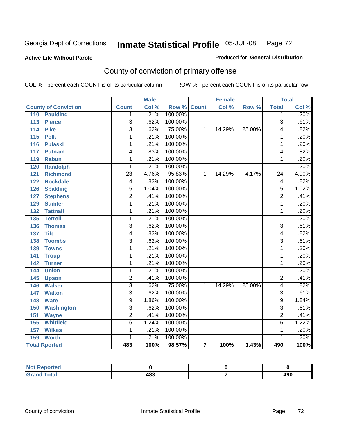#### **Active Life Without Parole**

#### Produced for **General Distribution**

# County of conviction of primary offense

|                                     |                          | <b>Male</b> |         |                | <b>Female</b> |        |                 | <b>Total</b> |
|-------------------------------------|--------------------------|-------------|---------|----------------|---------------|--------|-----------------|--------------|
| <b>County of Conviction</b>         | <b>Count</b>             | Col %       | Row %   | <b>Count</b>   | Col %         | Row %  | <b>Total</b>    | Col %        |
| <b>Paulding</b><br>110              | 1                        | .21%        | 100.00% |                |               |        | 1               | .20%         |
| $\overline{113}$<br><b>Pierce</b>   | 3                        | .62%        | 100.00% |                |               |        | $\overline{3}$  | .61%         |
| <b>Pike</b><br>$\frac{114}{114}$    | $\overline{\mathbf{3}}$  | .62%        | 75.00%  | 1              | 14.29%        | 25.00% | 4               | .82%         |
| $\overline{115}$<br><b>Polk</b>     | 1                        | .21%        | 100.00% |                |               |        | 1               | .20%         |
| 116<br><b>Pulaski</b>               | 1                        | .21%        | 100.00% |                |               |        | 1               | .20%         |
| 117<br><b>Putnam</b>                | 4                        | .83%        | 100.00% |                |               |        | 4               | .82%         |
| 119<br><b>Rabun</b>                 | 1                        | .21%        | 100.00% |                |               |        | 1               | .20%         |
| <b>Randolph</b><br>120              | 1                        | .21%        | 100.00% |                |               |        | 1               | .20%         |
| <b>Richmond</b><br>121              | $\overline{23}$          | 4.76%       | 95.83%  | $\mathbf{1}$   | 14.29%        | 4.17%  | $\overline{24}$ | 4.90%        |
| <b>Rockdale</b><br>122              | $\overline{\mathcal{A}}$ | .83%        | 100.00% |                |               |        | 4               | .82%         |
| <b>Spalding</b><br>126              | 5                        | 1.04%       | 100.00% |                |               |        | 5               | 1.02%        |
| $\overline{127}$<br><b>Stephens</b> | $\overline{2}$           | .41%        | 100.00% |                |               |        | $\overline{2}$  | .41%         |
| 129<br><b>Sumter</b>                | 1                        | .21%        | 100.00% |                |               |        | 1               | .20%         |
| <b>Tattnall</b><br>132              | 1                        | .21%        | 100.00% |                |               |        | 1               | .20%         |
| <b>Terrell</b><br>135               | 1                        | .21%        | 100.00% |                |               |        | 1               | .20%         |
| 136<br><b>Thomas</b>                | $\overline{3}$           | .62%        | 100.00% |                |               |        | $\overline{3}$  | .61%         |
| <b>Tift</b><br>137                  | 4                        | .83%        | 100.00% |                |               |        | 4               | .82%         |
| <b>Toombs</b><br>$138$              | $\overline{\mathbf{3}}$  | .62%        | 100.00% |                |               |        | $\overline{3}$  | .61%         |
| <b>Towns</b><br>139                 | 1                        | .21%        | 100.00% |                |               |        | $\mathbf{1}$    | .20%         |
| 141<br><b>Troup</b>                 | 1                        | .21%        | 100.00% |                |               |        | 1               | .20%         |
| 142<br><b>Turner</b>                | 1                        | .21%        | 100.00% |                |               |        | 1               | .20%         |
| <b>Union</b><br>144                 | 1                        | .21%        | 100.00% |                |               |        | 1               | .20%         |
| 145<br><b>Upson</b>                 | $\overline{2}$           | .41%        | 100.00% |                |               |        | $\overline{2}$  | .41%         |
| <b>Walker</b><br>146                | $\overline{3}$           | .62%        | 75.00%  | 1              | 14.29%        | 25.00% | 4               | .82%         |
| <b>Walton</b><br>147                | $\overline{3}$           | .62%        | 100.00% |                |               |        | $\overline{3}$  | .61%         |
| <b>Ware</b><br>148                  | 9                        | 1.86%       | 100.00% |                |               |        | 9               | 1.84%        |
| 150<br><b>Washington</b>            | $\overline{3}$           | .62%        | 100.00% |                |               |        | $\overline{3}$  | .61%         |
| 151<br><b>Wayne</b>                 | $\overline{2}$           | .41%        | 100.00% |                |               |        | $\overline{2}$  | .41%         |
| <b>Whitfield</b><br>155             | $\overline{6}$           | 1.24%       | 100.00% |                |               |        | $\overline{6}$  | 1.22%        |
| <b>Wilkes</b><br>157                | 1                        | .21%        | 100.00% |                |               |        | 1               | .20%         |
| 159<br><b>Worth</b>                 | 1                        | .21%        | 100.00% |                |               |        | 1               | .20%         |
| <b>Total Rported</b>                | 483                      | 100%        | 98.57%  | $\overline{7}$ | 100%          | 1.43%  | 490             | 100%         |

| Reported<br><b>NOT</b> |     |            |
|------------------------|-----|------------|
| <b>Total</b><br>anu iv | 483 | 100<br>4JU |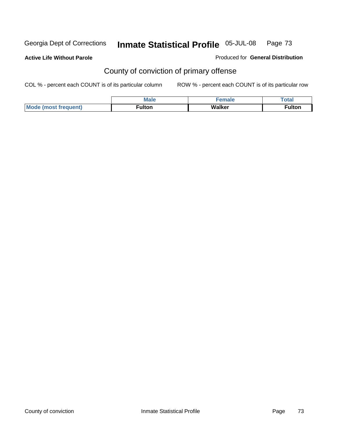**Active Life Without Parole** 

Produced for **General Distribution**

# County of conviction of primary offense

|                             | <b>Male</b>        | <b>SPACE</b> | Total         |
|-----------------------------|--------------------|--------------|---------------|
| Mode<br>`frequent)<br>lmost | ulton <sup>-</sup> | Walker       | <b>≂ulton</b> |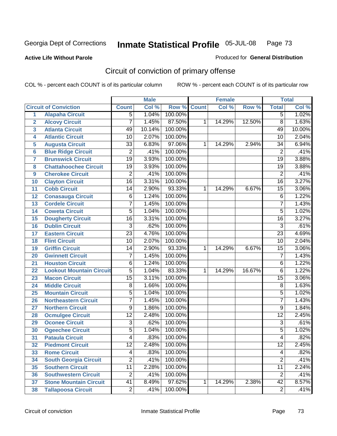**Active Life Without Parole** 

Produced for **General Distribution**

# Circuit of conviction of primary offense

|                         |                                 |                 | <b>Male</b> |             |   | <b>Female</b> |        |                 | <b>Total</b> |
|-------------------------|---------------------------------|-----------------|-------------|-------------|---|---------------|--------|-----------------|--------------|
|                         | <b>Circuit of Conviction</b>    | <b>Count</b>    | Col %       | Row % Count |   | Col %         | Row %  | <b>Total</b>    | Col %        |
| 1                       | <b>Alapaha Circuit</b>          | 5               | 1.04%       | 100.00%     |   |               |        | 5               | 1.02%        |
| $\overline{2}$          | <b>Alcovy Circuit</b>           | $\overline{7}$  | 1.45%       | 87.50%      | 1 | 14.29%        | 12.50% | $\overline{8}$  | 1.63%        |
| $\overline{\mathbf{3}}$ | <b>Atlanta Circuit</b>          | 49              | 10.14%      | 100.00%     |   |               |        | 49              | 10.00%       |
| 4                       | <b>Atlantic Circuit</b>         | 10              | 2.07%       | 100.00%     |   |               |        | 10              | 2.04%        |
| 5                       | <b>Augusta Circuit</b>          | $\overline{33}$ | 6.83%       | 97.06%      | 1 | 14.29%        | 2.94%  | 34              | 6.94%        |
| 6                       | <b>Blue Ridge Circuit</b>       | $\overline{2}$  | .41%        | 100.00%     |   |               |        | $\overline{2}$  | .41%         |
| 7                       | <b>Brunswick Circuit</b>        | $\overline{19}$ | 3.93%       | 100.00%     |   |               |        | $\overline{19}$ | 3.88%        |
| 8                       | <b>Chattahoochee Circuit</b>    | 19              | 3.93%       | 100.00%     |   |               |        | 19              | 3.88%        |
| 9                       | <b>Cherokee Circuit</b>         | $\overline{2}$  | .41%        | 100.00%     |   |               |        | $\overline{2}$  | .41%         |
| 10                      | <b>Clayton Circuit</b>          | $\overline{16}$ | 3.31%       | 100.00%     |   |               |        | $\overline{16}$ | 3.27%        |
| 11                      | <b>Cobb Circuit</b>             | $\overline{14}$ | 2.90%       | 93.33%      | 1 | 14.29%        | 6.67%  | $\overline{15}$ | 3.06%        |
| 12                      | <b>Conasauga Circuit</b>        | 6               | 1.24%       | 100.00%     |   |               |        | $\,6$           | 1.22%        |
| 13                      | <b>Cordele Circuit</b>          | $\overline{7}$  | 1.45%       | 100.00%     |   |               |        | $\overline{7}$  | 1.43%        |
| 14                      | <b>Coweta Circuit</b>           | $\overline{5}$  | 1.04%       | 100.00%     |   |               |        | $\overline{5}$  | 1.02%        |
| 15                      | <b>Dougherty Circuit</b>        | $\overline{16}$ | 3.31%       | 100.00%     |   |               |        | $\overline{16}$ | 3.27%        |
| 16                      | <b>Dublin Circuit</b>           | $\overline{3}$  | .62%        | 100.00%     |   |               |        | $\overline{3}$  | .61%         |
| 17                      | <b>Eastern Circuit</b>          | $\overline{23}$ | 4.76%       | 100.00%     |   |               |        | $\overline{23}$ | 4.69%        |
| 18                      | <b>Flint Circuit</b>            | $\overline{10}$ | 2.07%       | 100.00%     |   |               |        | 10              | 2.04%        |
| 19                      | <b>Griffin Circuit</b>          | 14              | 2.90%       | 93.33%      | 1 | 14.29%        | 6.67%  | 15              | 3.06%        |
| 20                      | <b>Gwinnett Circuit</b>         | 7               | 1.45%       | 100.00%     |   |               |        | 7               | 1.43%        |
| 21                      | <b>Houston Circuit</b>          | 6               | 1.24%       | 100.00%     |   |               |        | 6               | 1.22%        |
| 22                      | <b>Lookout Mountain Circuit</b> | $\overline{5}$  | 1.04%       | 83.33%      | 1 | 14.29%        | 16.67% | 6               | 1.22%        |
| 23                      | <b>Macon Circuit</b>            | $\overline{15}$ | 3.11%       | 100.00%     |   |               |        | $\overline{15}$ | 3.06%        |
| 24                      | <b>Middle Circuit</b>           | 8               | 1.66%       | 100.00%     |   |               |        | 8               | 1.63%        |
| 25                      | <b>Mountain Circuit</b>         | 5               | 1.04%       | 100.00%     |   |               |        | 5               | 1.02%        |
| 26                      | <b>Northeastern Circuit</b>     | $\overline{7}$  | 1.45%       | 100.00%     |   |               |        | $\overline{7}$  | 1.43%        |
| 27                      | <b>Northern Circuit</b>         | $\overline{9}$  | 1.86%       | 100.00%     |   |               |        | 9               | 1.84%        |
| 28                      | <b>Ocmulgee Circuit</b>         | $\overline{12}$ | 2.48%       | 100.00%     |   |               |        | $\overline{12}$ | 2.45%        |
| 29                      | <b>Oconee Circuit</b>           | $\overline{3}$  | .62%        | 100.00%     |   |               |        | $\overline{3}$  | .61%         |
| 30                      | <b>Ogeechee Circuit</b>         | 5               | 1.04%       | 100.00%     |   |               |        | 5               | 1.02%        |
| 31                      | <b>Pataula Circuit</b>          | 4               | .83%        | 100.00%     |   |               |        | 4               | .82%         |
| 32                      | <b>Piedmont Circuit</b>         | 12              | 2.48%       | 100.00%     |   |               |        | 12              | 2.45%        |
| 33                      | <b>Rome Circuit</b>             | 4               | .83%        | 100.00%     |   |               |        | 4               | .82%         |
| 34                      | <b>South Georgia Circuit</b>    | $\overline{2}$  | .41%        | 100.00%     |   |               |        | $\overline{2}$  | .41%         |
| 35                      | <b>Southern Circuit</b>         | $\overline{11}$ | 2.28%       | 100.00%     |   |               |        | $\overline{11}$ | 2.24%        |
| 36                      | <b>Southwestern Circuit</b>     | $\overline{2}$  | .41%        | 100.00%     |   |               |        | $\overline{2}$  | .41%         |
| 37                      | <b>Stone Mountain Circuit</b>   | 41              | 8.49%       | 97.62%      | 1 | 14.29%        | 2.38%  | $\overline{42}$ | 8.57%        |
| 38                      | <b>Tallapoosa Circuit</b>       | $\overline{2}$  | .41%        | 100.00%     |   |               |        | $\overline{2}$  | .41%         |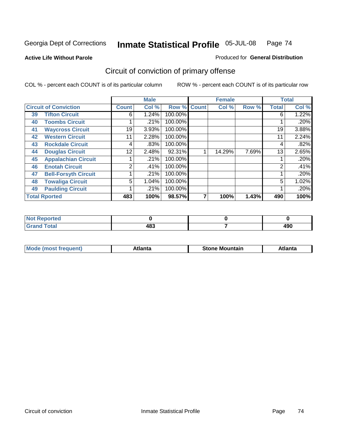**Active Life Without Parole** 

#### Produced for **General Distribution**

# Circuit of conviction of primary offense

|    |                              |              | <b>Male</b> |                    | <b>Female</b> |       |                | <b>Total</b> |
|----|------------------------------|--------------|-------------|--------------------|---------------|-------|----------------|--------------|
|    | <b>Circuit of Conviction</b> | <b>Count</b> | Col %       | <b>Row % Count</b> | Col %         | Row % | <b>Total</b>   | Col %        |
| 39 | <b>Tifton Circuit</b>        | 6            | 1.24%       | 100.00%            |               |       | 6              | 1.22%        |
| 40 | <b>Toombs Circuit</b>        |              | .21%        | 100.00%            |               |       |                | .20%         |
| 41 | <b>Waycross Circuit</b>      | 19           | 3.93%       | 100.00%            |               |       | 19             | 3.88%        |
| 42 | <b>Western Circuit</b>       | 11           | 2.28%       | 100.00%            |               |       | 11             | 2.24%        |
| 43 | <b>Rockdale Circuit</b>      | 4            | .83%        | 100.00%            |               |       | 4              | .82%         |
| 44 | <b>Douglas Circuit</b>       | 12           | 2.48%       | 92.31%             | 14.29%        | 7.69% | 13             | 2.65%        |
| 45 | <b>Appalachian Circuit</b>   |              | .21%        | 100.00%            |               |       |                | .20%         |
| 46 | <b>Enotah Circuit</b>        | 2            | .41%        | 100.00%            |               |       | $\overline{2}$ | .41%         |
| 47 | <b>Bell-Forsyth Circuit</b>  |              | .21%        | 100.00%            |               |       |                | .20%         |
| 48 | <b>Towaliga Circuit</b>      | 5            | 1.04%       | 100.00%            |               |       | 5              | 1.02%        |
| 49 | <b>Paulding Circuit</b>      |              | .21%        | 100.00%            |               |       |                | .20%         |
|    | <b>Total Rported</b>         | 483          | 100%        | 98.57%             | 100%          | 1.43% | 490            | 100%         |

| Reported<br><b>NOT</b>          |     |            |
|---------------------------------|-----|------------|
| <b>otal</b><br>$\mathbf{v}$ and | 483 | ۸ΩΩ<br>4JU |

| M | *****<br>лш.<br>71 I C | Stone<br>Mountain | .<br>ulo |
|---|------------------------|-------------------|----------|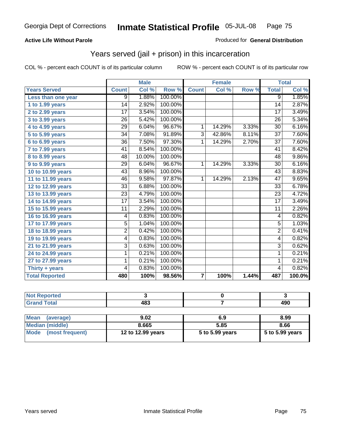#### **Active Life Without Parole**

#### Produced for **General Distribution**

### Years served (jail + prison) in this incarceration

|                              |                 | <b>Male</b> |         |                         | <b>Female</b> |       |                 | <b>Total</b> |
|------------------------------|-----------------|-------------|---------|-------------------------|---------------|-------|-----------------|--------------|
| <b>Years Served</b>          | <b>Count</b>    | Col %       | Row %   | <b>Count</b>            | Col %         | Row % | <b>Total</b>    | Col %        |
| Less than one year           | 9               | 1.88%       | 100.00% |                         |               |       | 9               | 1.85%        |
| 1 to 1.99 years              | $\overline{14}$ | 2.92%       | 100.00% |                         |               |       | $\overline{14}$ | 2.87%        |
| 2 to 2.99 years              | $\overline{17}$ | 3.54%       | 100.00% |                         |               |       | $\overline{17}$ | 3.49%        |
| 3 to 3.99 years              | $\overline{26}$ | 5.42%       | 100.00% |                         |               |       | 26              | 5.34%        |
| 4 to 4.99 years              | $\overline{29}$ | 6.04%       | 96.67%  | 1                       | 14.29%        | 3.33% | 30              | 6.16%        |
| $\overline{5}$ to 5.99 years | $\overline{34}$ | 7.08%       | 91.89%  | $\overline{3}$          | 42.86%        | 8.11% | $\overline{37}$ | 7.60%        |
| $6$ to $6.99$ years          | $\overline{36}$ | 7.50%       | 97.30%  | 1                       | 14.29%        | 2.70% | $\overline{37}$ | 7.60%        |
| $7$ to $7.99$ years          | 41              | 8.54%       | 100.00% |                         |               |       | 41              | 8.42%        |
| <b>8 to 8.99 years</b>       | 48              | 10.00%      | 100.00% |                         |               |       | 48              | 9.86%        |
| 9 to 9.99 years              | 29              | 6.04%       | 96.67%  | $\mathbf{1}$            | 14.29%        | 3.33% | $\overline{30}$ | 6.16%        |
| 10 to 10.99 years            | 43              | 8.96%       | 100.00% |                         |               |       | 43              | 8.83%        |
| 11 to 11.99 years            | 46              | 9.58%       | 97.87%  | 1                       | 14.29%        | 2.13% | 47              | 9.65%        |
| 12 to 12.99 years            | 33              | 6.88%       | 100.00% |                         |               |       | 33              | 6.78%        |
| 13 to 13.99 years            | $\overline{23}$ | 4.79%       | 100.00% |                         |               |       | $\overline{23}$ | 4.72%        |
| 14 to 14.99 years            | 17              | 3.54%       | 100.00% |                         |               |       | $\overline{17}$ | 3.49%        |
| 15 to 15.99 years            | 11              | 2.29%       | 100.00% |                         |               |       | 11              | 2.26%        |
| 16 to 16.99 years            | 4               | 0.83%       | 100.00% |                         |               |       | 4               | 0.82%        |
| 17 to 17.99 years            | $\overline{5}$  | 1.04%       | 100.00% |                         |               |       | $\overline{5}$  | 1.03%        |
| 18 to 18.99 years            | $\overline{2}$  | 0.42%       | 100.00% |                         |               |       | $\overline{2}$  | 0.41%        |
| 19 to 19.99 years            | 4               | 0.83%       | 100.00% |                         |               |       | 4               | 0.82%        |
| 21 to 21.99 years            | 3               | 0.63%       | 100.00% |                         |               |       | $\overline{3}$  | 0.62%        |
| 24 to 24.99 years            | 1               | 0.21%       | 100.00% |                         |               |       | 1               | 0.21%        |
| 27 to 27.99 years            | 1               | 0.21%       | 100.00% |                         |               |       | $\mathbf{1}$    | 0.21%        |
| Thirty + years               | 4               | 0.83%       | 100.00% |                         |               |       | 4               | 0.82%        |
| <b>Total Reported</b>        | 480             | 100%        | 98.56%  | $\overline{\mathbf{7}}$ | 100%          | 1.44% | 487             | 100.0%       |

| المراجع المنعور<br>arreo |                  |            |
|--------------------------|------------------|------------|
|                          | 122<br>-07<br>__ | 1ar<br>4JU |

| <b>Mean</b><br>(average) | 9.02              | 6.9             | 8.99            |  |  |
|--------------------------|-------------------|-----------------|-----------------|--|--|
| Median (middle)          | 8.665             | 5.85            | 8.66            |  |  |
| Mode (most frequent)     | 12 to 12.99 years | 5 to 5.99 years | 5 to 5.99 years |  |  |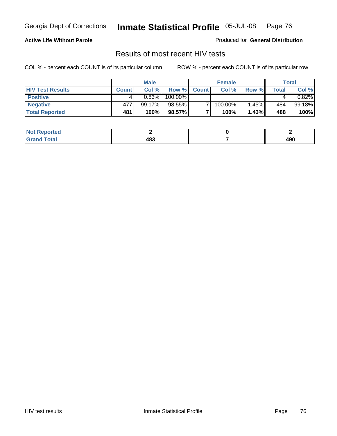#### **Active Life Without Parole**

Produced for **General Distribution**

### Results of most recent HIV tests

|                         |              | <b>Male</b> |         |              | <b>Female</b> |       |       | Total    |
|-------------------------|--------------|-------------|---------|--------------|---------------|-------|-------|----------|
| <b>HIV Test Results</b> | <b>Count</b> | Col %       | Row %   | <b>Count</b> | Col %         | Row % | Total | Col %    |
| <b>Positive</b>         | 4            | 0.83%       | 100.00% |              |               |       |       | $0.82\%$ |
| <b>Negative</b>         | 477          | 99.17%      | 98.55%  |              | 100.00%       | 1.45% | 484   | 99.18%   |
| <b>Total Reported</b>   | 481          | 100%        | 98.57%  |              | 100%          | 1.43% | 488   | 100%     |

| <b>Not Reported</b>          |     |               |
|------------------------------|-----|---------------|
| <b>Total</b><br><b>Grand</b> | 483 | A O O<br>- 90 |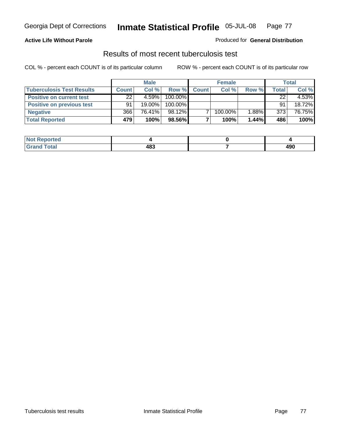#### **Active Life Without Parole**

#### Produced for **General Distribution**

### Results of most recent tuberculosis test

|                                  |              | <b>Male</b> |         |              | <b>Female</b> |       |       | <b>Total</b> |
|----------------------------------|--------------|-------------|---------|--------------|---------------|-------|-------|--------------|
| <b>Tuberculosis Test Results</b> | <b>Count</b> | Col %       | Row %   | <b>Count</b> | Col %         | Row % | Total | Col %        |
| <b>Positive on current test</b>  | 22           | 4.59%       | 100.00% |              |               |       | 22    | 4.53%        |
| <b>Positive on previous test</b> | 91           | 19.00%      | 100.00% |              |               |       | 91    | 18.72%       |
| <b>Negative</b>                  | 366          | 76.41%      | 98.12%  |              | 100.00%       | 1.88% | 373   | 76.75%       |
| <b>Total Reported</b>            | 479          | 100%        | 98.56%  |              | 100%          | 1.44% | 486   | 100%         |

| <b>Reported</b> |     |             |
|-----------------|-----|-------------|
| <b>Total</b>    | 483 | 0۵۸<br>4J U |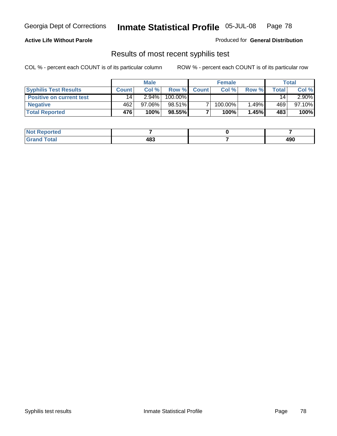#### **Active Life Without Parole**

Produced for **General Distribution**

### Results of most recent syphilis test

|                                 |              | <b>Male</b> |         |              | <b>Female</b> |       |       | Total     |
|---------------------------------|--------------|-------------|---------|--------------|---------------|-------|-------|-----------|
| <b>Syphilis Test Results</b>    | <b>Count</b> | Col%        | Row %   | <b>Count</b> | Col%          | Row % | Total | Col %     |
| <b>Positive on current test</b> | 14           | $2.94\%$    | 100.00% |              |               |       | 14    | $2.90\%$  |
| <b>Negative</b>                 | 462          | 97.06%      | 98.51%  |              | 100.00%       | 1.49% | 469   | $97.10\%$ |
| <b>Total Reported</b>           | 476          | 100%        | 98.55%  |              | 100%          | 1.45% | 483   | 100%      |

| <b>Not Reported</b> |     |     |
|---------------------|-----|-----|
| <b>Grand Total</b>  | 483 | 490 |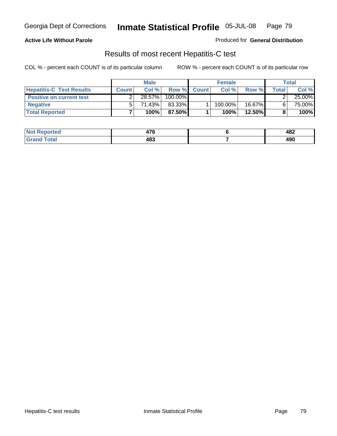#### **Active Life Without Parole**

Produced for **General Distribution**

### Results of most recent Hepatitis-C test

|                                 |              | <b>Male</b> |         |              | <b>Female</b> |           |       | Total  |
|---------------------------------|--------------|-------------|---------|--------------|---------------|-----------|-------|--------|
| <b>Hepatitis-C Test Results</b> | <b>Count</b> | Col %       | Row %   | <b>Count</b> | Col %         | Row %     | Total | Col %  |
| <b>Positive on current test</b> |              | 28.57%      | 100.00% |              |               |           |       | 25.00% |
| <b>Negative</b>                 |              | ا 1.43%.    | 83.33%  |              | 100.00%       | 16.67%    |       | 75.00% |
| <b>Total Reported</b>           |              | 100%        | 87.50%I |              | 100%          | $12.50\%$ |       | 100%   |

| <b>Not</b><br><b>Reported</b> | --<br>΄ Τ<br>TI. | 482        |
|-------------------------------|------------------|------------|
| <b>Total</b>                  | 483              | ៱៱៱<br>49U |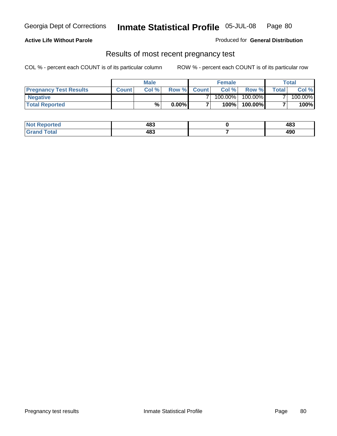#### **Active Life Without Parole**

Produced for **General Distribution**

### Results of most recent pregnancy test

|                               |              | <b>Male</b> |          |                | <b>Female</b> |         |                | <b>Total</b> |
|-------------------------------|--------------|-------------|----------|----------------|---------------|---------|----------------|--------------|
| <b>Pregnancy Test Results</b> | <b>Count</b> | Col%        | Row %    | <b>Count</b> Ⅰ | Col %         | Row %   | <b>Total</b> I | Col %        |
| <b>Negative</b>               |              |             |          |                | $100.00\%$    | 100.00% |                | 100.00%      |
| <b>Total Reported</b>         |              | %           | $0.00\%$ |                | 100%          | 100.00% |                | 100%         |

| Reported<br><b>NOT</b> | 483 | 483        |
|------------------------|-----|------------|
| <b>Fotal</b><br>____   | 483 | 100<br>47U |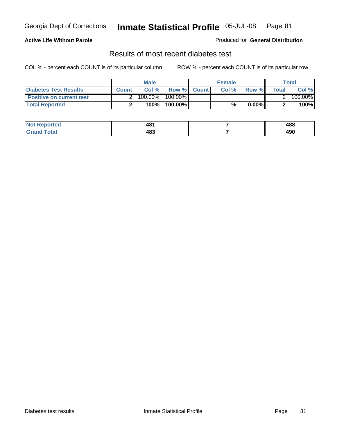#### **Active Life Without Parole**

#### Produced for **General Distribution**

### Results of most recent diabetes test

|                                 |              | Male    |            |              | <b>Female</b> |          |              | Total   |
|---------------------------------|--------------|---------|------------|--------------|---------------|----------|--------------|---------|
| Diabetes Test Results           | <b>Count</b> | Col %   | Row %      | <b>Count</b> | Col %         | Row %I   | <b>Total</b> | Col %   |
| <b>Positive on current test</b> |              | 100.00% | $100.00\%$ |              |               |          |              | 100.00% |
| <b>Total Reported</b>           |              | 100%    | 100.00%    |              | %             | $0.00\%$ |              | 100%    |

| Reported<br><b>NOT</b> | ⁄48<br>TV. | 488        |
|------------------------|------------|------------|
| <b>Fotal</b><br>____   | 483        | 100<br>47U |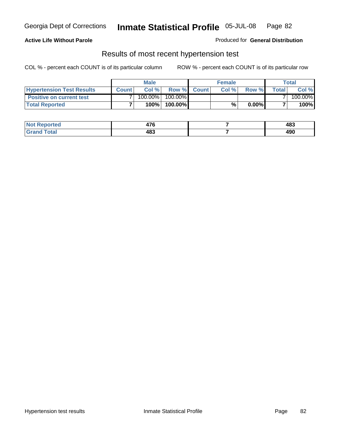#### **Active Life Without Parole**

#### Produced for **General Distribution**

### Results of most recent hypertension test

|                                  |              | <b>Male</b> |            |             | <b>Female</b> |          |        | <b>Total</b> |
|----------------------------------|--------------|-------------|------------|-------------|---------------|----------|--------|--------------|
| <b>Hypertension Test Results</b> | <b>Count</b> | Col %       |            | Row % Count | Col%          | Row %    | Totall | Col %        |
| <b>Positive on current test</b>  |              | 100.00%     | $100.00\%$ |             |               |          |        | 100.00%      |
| <b>Total Reported</b>            |              | 100%        | 100.00%    |             | %             | $0.00\%$ |        | 100%         |

| Reported<br><b>NOT</b> | --<br>47 V | 483        |
|------------------------|------------|------------|
| <b>Total</b><br>.      | 483        | 100<br>47U |